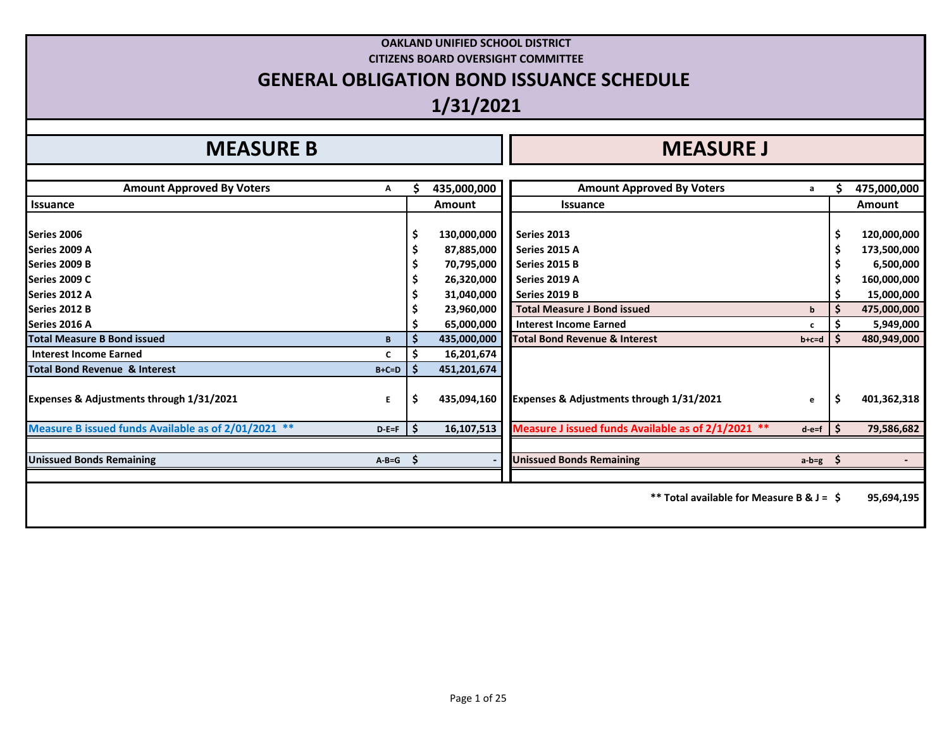# **OAKLAND UNIFIED SCHOOL DISTRICT CITIZENS BOARD OVERSIGHT COMMITTEE GENERAL OBLIGATION BOND ISSUANCE SCHEDULE 1/31/2021**

# **MEASURE B I**

| <b>Amount Approved By Voters</b>                    | Α           |     | 435,000,000   | <b>Amount Approved By Voters</b>                   | a             | 475,000,000   |
|-----------------------------------------------------|-------------|-----|---------------|----------------------------------------------------|---------------|---------------|
| Issuance                                            |             |     | <b>Amount</b> | <b>Issuance</b>                                    |               | <b>Amount</b> |
|                                                     |             |     |               |                                                    |               |               |
| Series 2006                                         |             |     | 130,000,000   | Series 2013                                        |               | 120,000,000   |
| Series 2009 A                                       |             |     | 87,885,000    | Series 2015 A                                      |               | 173,500,000   |
| Series 2009 B                                       |             |     | 70,795,000    | Series 2015 B                                      |               | 6,500,000     |
| Series 2009 C                                       |             |     | 26,320,000    | Series 2019 A                                      |               | 160,000,000   |
| Series 2012 A                                       |             |     | 31,040,000    | Series 2019 B                                      |               | 15,000,000    |
| Series 2012 B                                       |             |     | 23,960,000    | <b>Total Measure J Bond issued</b>                 | b             | 475,000,000   |
| Series 2016 A                                       |             |     | 65,000,000    | <b>Interest Income Earned</b>                      | c             | 5,949,000     |
| <b>Total Measure B Bond issued</b>                  | B           |     | 435,000,000   | <b>Total Bond Revenue &amp; Interest</b>           | b+c=d         | 480,949,000   |
| <b>Interest Income Earned</b>                       |             |     | 16,201,674    |                                                    |               |               |
| Total Bond Revenue & Interest                       | $B+C=D$     |     | 451,201,674   |                                                    |               |               |
| <b>Expenses &amp; Adjustments through 1/31/2021</b> | E.          |     | 435,094,160   | Expenses & Adjustments through 1/31/2021           | e             | 401,362,318   |
| Measure B issued funds Available as of 2/01/2021 ** | $D - E = F$ | IS. | 16,107,513    | Measure J issued funds Available as of 2/1/2021 ** | $d-e=f$       | 79,586,682    |
|                                                     |             |     |               |                                                    |               |               |
| <b>Unissued Bonds Remaining</b>                     | $A - B = G$ | -S  |               | <b>Unissued Bonds Remaining</b>                    | a-b=g $\zeta$ |               |
|                                                     |             |     |               |                                                    |               |               |
|                                                     |             |     |               | ** Total available for Measure B & $J =$ \$        |               | 95,694,195    |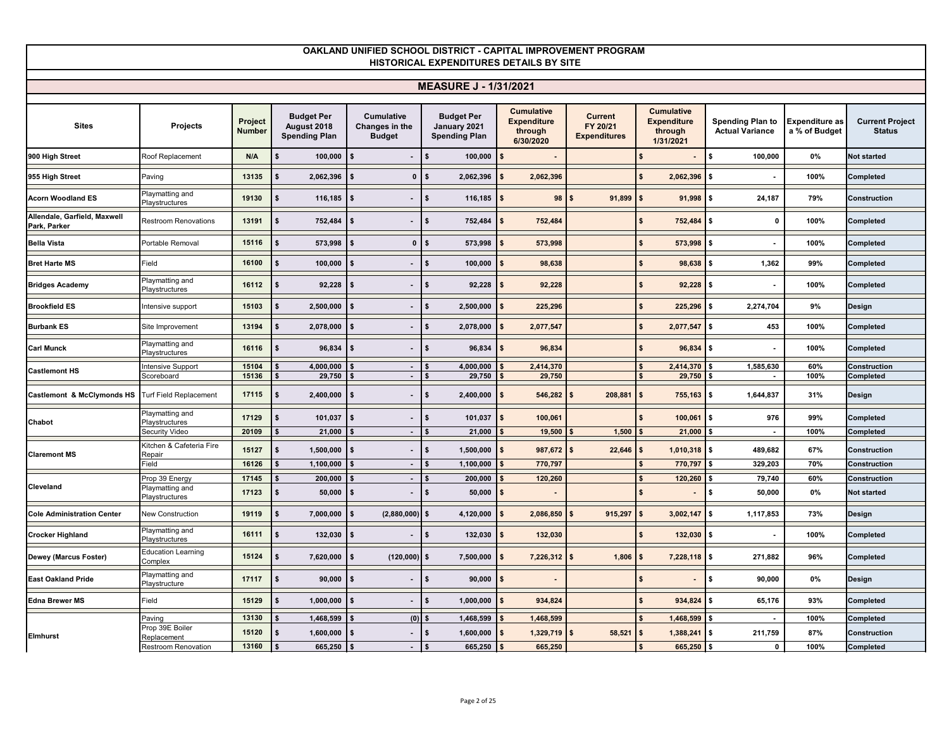|                                              |                                          |                          |                                                          |                                               | <b>MEASURE J - 1/31/2021</b>                              |                                                                 |                                            |                                                                 |                                                   |                                 |                                         |
|----------------------------------------------|------------------------------------------|--------------------------|----------------------------------------------------------|-----------------------------------------------|-----------------------------------------------------------|-----------------------------------------------------------------|--------------------------------------------|-----------------------------------------------------------------|---------------------------------------------------|---------------------------------|-----------------------------------------|
| <b>Sites</b>                                 | Projects                                 | Project<br><b>Number</b> | <b>Budget Per</b><br>August 2018<br><b>Spending Plan</b> | Cumulative<br>Changes in the<br><b>Budget</b> | <b>Budget Per</b><br>January 2021<br><b>Spending Plan</b> | <b>Cumulative</b><br><b>Expenditure</b><br>through<br>6/30/2020 | Current<br>FY 20/21<br><b>Expenditures</b> | <b>Cumulative</b><br><b>Expenditure</b><br>through<br>1/31/2021 | <b>Spending Plan to</b><br><b>Actual Variance</b> | Expenditure as<br>a % of Budget | <b>Current Project</b><br><b>Status</b> |
| 900 High Street                              | Roof Replacement                         | N/A                      | \$<br>100,000                                            | $\mathbf{\hat{s}}$<br>$\blacksquare$          | 100,000                                                   | $\mathbf{f}$                                                    |                                            |                                                                 | \$<br>100,000                                     | 0%                              | Not started                             |
| 955 High Street                              | Paving                                   | 13135                    | 2,062,396<br>\$                                          | $\mathbf{0}$                                  | 2,062,396<br>l \$                                         | 2,062,396                                                       |                                            | 2,062,396                                                       | \$<br>$\sim$                                      | 100%                            | Completed                               |
| <b>Acorn Woodland ES</b>                     | Playmatting and<br>Playstructures        | 19130                    | \$<br>116,185                                            | l \$                                          | 116,185<br>\$                                             | $\mathbf{s}$<br>98                                              | 91,899<br>$\mathbf{s}$                     | 91,998                                                          | \$<br>24,187                                      | 79%                             | Construction                            |
| Allendale, Garfield, Maxwell<br>Park, Parker | <b>Restroom Renovations</b>              | 13191                    | \$<br>752,484                                            | $\mathbf{s}$                                  | 752,484<br>\$                                             | 752,484<br>$\mathbf{s}$                                         |                                            | 752,484                                                         | $\mathbf{0}$<br>\$                                | 100%                            | Completed                               |
| <b>Bella Vista</b>                           | Portable Removal                         | 15116                    | 573,998                                                  | $\mathbf{0}$                                  | 573,998                                                   | 573,998<br>\$                                                   |                                            | 573,998                                                         | \$<br>$\sim$                                      | 100%                            | Completed                               |
| <b>Bret Harte MS</b>                         | Field                                    | 16100                    | 100,000<br>\$                                            | - \$                                          | 100,000<br>s                                              | 98,638                                                          |                                            | 98,638                                                          | 1,362<br>\$                                       | 99%                             | Completed                               |
| <b>Bridges Academy</b>                       | Playmatting and<br>Playstructures        | 16112                    | 92,228<br>\$                                             | $\mathbf{s}$                                  | 92,228<br>\$                                              | 92,228<br>\$                                                    |                                            | 92,228                                                          | \$<br>$\sim$                                      | 100%                            | Completed                               |
| <b>Brookfield ES</b>                         | Intensive support                        | 15103                    | \$<br>2,500,000                                          | $\mathbf{s}$                                  | 2,500,000<br>\$                                           | 225,296                                                         |                                            | 225,296                                                         | 2,274,704<br>s.                                   | 9%                              | Design                                  |
| <b>Burbank ES</b>                            | Site Improvement                         | 13194                    | 2,078,000<br>\$                                          | <b>S</b>                                      | 2,078,000<br>\$                                           | 2,077,547                                                       |                                            | 2,077,547                                                       | 453<br>\$                                         | 100%                            | Completed                               |
| <b>Carl Munck</b>                            | Playmatting and<br><b>Playstructures</b> | 16116                    | 96,834<br>\$                                             | l \$                                          | 96,834<br>\$                                              | \$<br>96,834                                                    |                                            | 96,834                                                          | \$                                                | 100%                            | Completed                               |
| <b>Castlemont HS</b>                         | Intensive Support<br>Scoreboard          | 15104<br>15136           | 4,000,000<br>29,750                                      | $\sim$<br>$\blacksquare$                      | 4,000,000<br>29,750                                       | 2,414,370<br>29,750                                             |                                            | 2,414,370<br>29,750                                             | 1,585,630<br>-S<br>$\sim$                         | 60%<br>100%                     | Construction<br>Completed               |
| Castlemont & McClymonds HS                   | <b>Turf Field Replacement</b>            | 17115                    | \$<br>2,400,000                                          | $\mathbf{s}$                                  | \$<br>2,400,000                                           | $\mathbf{\hat{S}}$<br>546,282                                   | 208,881                                    | 755,163<br><b>S</b>                                             | \$<br>1,644,837                                   | 31%                             | Design                                  |
| Chabot                                       | Playmatting and<br>Playstructures        | 17129                    | 101,037<br>\$                                            | $\mathbf{s}$                                  | 101,037<br>\$                                             | $\mathbf{s}$<br>100,061                                         |                                            | 100,061                                                         | 976<br>\$                                         | 99%                             | Completed                               |
|                                              | Security Video                           | 20109                    | 21,000                                                   | $\sim$                                        | 21,000                                                    | 19,500                                                          | 1,500                                      | 21,000                                                          | $\sim$                                            | 100%                            | Completed                               |
| <b>Claremont MS</b>                          | Kitchen & Cafeteria Fire<br>Repair       | 15127                    | \$<br>1,500,000                                          | $\mathbf{s}$<br>$\blacksquare$                | 1,500,000                                                 | 987,672<br>\$                                                   | $22,646$ \$<br>\$                          | $1,010,318$ \$                                                  | 489,682                                           | 67%                             | Construction                            |
|                                              | Field                                    | 16126                    | 1,100,000                                                | $\blacksquare$                                | 1,100,000                                                 | 770,797                                                         |                                            | 770,797                                                         | 329,203                                           | 70%                             | Construction                            |
| Cleveland                                    | Prop 39 Energy<br>Playmatting and        | 17145                    | 200,000                                                  | $\sim$                                        | 200,000                                                   | 120,260                                                         |                                            | 120,260                                                         | 79,740                                            | 60%                             | Construction                            |
|                                              | Playstructures                           | 17123                    | \$<br>50,000                                             | $\mathbf{s}$                                  | 50,000<br>\$                                              | \$                                                              |                                            |                                                                 | \$<br>50,000                                      | 0%                              | Not started                             |
| <b>Cole Administration Center</b>            | <b>New Construction</b>                  | 19119                    | \$<br>7,000,000                                          | $(2,880,000)$ \$<br>\$                        | 4,120,000                                                 | 2,086,850                                                       | 915,297                                    | 3,002,147                                                       | \$<br>1,117,853                                   | 73%                             | Design                                  |
| <b>Crocker Highland</b>                      | Playmatting and<br><b>Playstructures</b> | 16111                    | 132,030<br>\$                                            | <b>S</b>                                      | 132,030<br>s                                              | 132,030<br>- \$                                                 |                                            | 132,030                                                         | \$<br>$\sim$                                      | 100%                            | Completed                               |
| Dewey (Marcus Foster)                        | <b>Education Learning</b><br>Complex     | 15124                    | \$<br>7,620,000                                          | $(120,000)$ \$<br>$\mathbf{\hat{s}}$          | 7,500,000                                                 | 7,226,312<br>\$                                                 | 1,806<br>\$                                | 7,228,118<br>ΙS                                                 | S.<br>271,882                                     | 96%                             | Completed                               |
| <b>East Oakland Pride</b>                    | Playmatting and<br>Playstructure         | 17117                    | \$<br>90,000                                             | l \$                                          | \$<br>90,000                                              | $\mathbf{s}$                                                    |                                            |                                                                 | \$<br>90,000                                      | 0%                              | Design                                  |
| <b>Edna Brewer MS</b>                        | Field                                    | 15129                    | \$<br>1,000,000                                          | l \$<br>$\blacksquare$                        | \$<br>1,000,000                                           | $\mathbf{s}$<br>934,824                                         |                                            | 934,824                                                         | 65,176<br>\$                                      | 93%                             | Completed                               |
|                                              | Paving                                   | 13130                    | 1,468,599                                                | (0)                                           | 1,468,599                                                 | 1,468,599                                                       |                                            | 1,468,599                                                       | $\sim$                                            | 100%                            | Completed                               |
| <b>Elmhurst</b>                              | Prop 39E Boiler<br>Replacement           | 15120                    | 1,600,000<br>\$                                          |                                               | 1,600,000<br>\$                                           | 1,329,719                                                       | 58,521                                     | 1,388,241<br>- \$                                               | 211,759<br>\$                                     | 87%                             | Construction                            |
|                                              | Restroom Renovation                      | 13160                    | 665,250                                                  |                                               | 665,250                                                   | 665,250                                                         |                                            | 665,250                                                         | 0                                                 | 100%                            | Completed                               |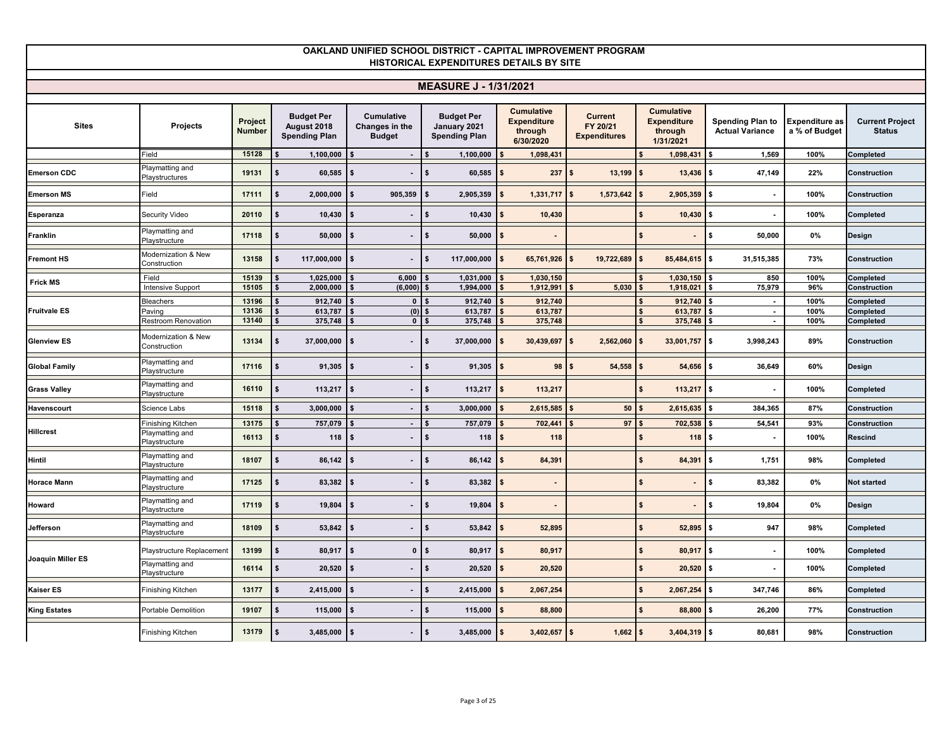|                      |                                     |                          |                                                          |                                               | <b>MEASURE J - 1/31/2021</b>                              |                                                                 |                                                   |                                                                 |                                                   |                                        |                                         |
|----------------------|-------------------------------------|--------------------------|----------------------------------------------------------|-----------------------------------------------|-----------------------------------------------------------|-----------------------------------------------------------------|---------------------------------------------------|-----------------------------------------------------------------|---------------------------------------------------|----------------------------------------|-----------------------------------------|
| <b>Sites</b>         | Projects                            | Project<br><b>Number</b> | <b>Budget Per</b><br>August 2018<br><b>Spending Plan</b> | Cumulative<br>Changes in the<br><b>Budget</b> | <b>Budget Per</b><br>January 2021<br><b>Spending Plan</b> | <b>Cumulative</b><br><b>Expenditure</b><br>through<br>6/30/2020 | <b>Current</b><br>FY 20/21<br><b>Expenditures</b> | <b>Cumulative</b><br><b>Expenditure</b><br>through<br>1/31/2021 | <b>Spending Plan to</b><br><b>Actual Variance</b> | <b>Expenditure as</b><br>a % of Budget | <b>Current Project</b><br><b>Status</b> |
|                      | Field                               | 15128                    | 1,100,000                                                | $\sim$                                        | 1,100,000                                                 | 1,098,431                                                       |                                                   | 1,098,431                                                       | 1,569                                             | 100%                                   | Completed                               |
| <b>Emerson CDC</b>   | Playmatting and<br>Playstructures   | 19131                    | 60,585<br>\$                                             | \$                                            | 60,585                                                    | 237<br>\$                                                       | 13,199<br>\$                                      | 13,436<br><b>S</b>                                              | \$<br>47,149                                      | 22%                                    | Construction                            |
| <b>Emerson MS</b>    | Field                               | 17111                    | \$<br>2,000,000                                          | 905,359<br>$\mathbf{\hat{s}}$                 | 2,905,359                                                 | 1,331,717<br>\$                                                 | \$<br>1,573,642                                   | 2,905,359                                                       | \$<br>$\sim$                                      | 100%                                   | <b>Construction</b>                     |
| <b>Esperanza</b>     | Security Video                      | 20110                    | 10,430<br>\$                                             | \$                                            | 10,430<br>\$                                              | 10,430<br>\$                                                    |                                                   | 10,430                                                          | \$                                                | 100%                                   | Completed                               |
| Franklin             | Playmatting and<br>Plavstructure    | 17118                    | 50,000                                                   | $\mathbf{s}$                                  | \$<br>50,000                                              | $\mathbf{s}$                                                    |                                                   |                                                                 | \$<br>50,000                                      | 0%                                     | Design                                  |
| <b>Fremont HS</b>    | Modernization & New<br>Construction | 13158                    | \$<br>117,000,000                                        | <b>S</b>                                      | \$<br>117,000,000                                         | $\sim$<br>65,761,926                                            | $\sim$<br>$19,722,689$ \$                         | 85,484,615 \$                                                   | 31,515,385                                        | 73%                                    | Construction                            |
| <b>Frick MS</b>      | Field                               | 15139                    | 1,025,000                                                | 6.000                                         | 1,031,000                                                 | 1.030.150                                                       |                                                   | 1,030,150                                                       | 850                                               | 100%                                   | Completed                               |
|                      | Intensive Support                   | 15105                    | 2,000,000<br>\$                                          | $(6,000)$ \$                                  | 1,994,000                                                 | 1,912,991                                                       | 5,030                                             | 1,918,021                                                       | 75,979                                            | 96%                                    | Construction                            |
|                      | <b>Bleachers</b>                    | 13196                    | 912,740                                                  | $\mathbf{0}$                                  | 912,740                                                   | 912,740                                                         |                                                   | 912,740                                                         | $\sim$                                            | 100%                                   | Completed                               |
| <b>Fruitvale ES</b>  | Paving                              | 13136                    | 613,787                                                  | (0)                                           | 613,787                                                   | 613,787                                                         |                                                   | 613,787                                                         | Ŝ.<br>$\sim$                                      | 100%                                   | Completed                               |
|                      | Restroom Renovation                 | 13140                    | 375,748                                                  | 0 <sup>1</sup>                                | 375,748                                                   | 375,748                                                         |                                                   | 375,748                                                         | $\sim$                                            | 100%                                   | Completed                               |
| <b>Glenview ES</b>   | Modernization & New<br>Construction | 13134                    | 37,000,000<br>\$                                         | IS.                                           | l \$<br>37,000,000                                        | $\sim$<br>$30,439,697$ \$                                       | 2,562,060                                         | $33,001,757$ \$<br>$\blacksquare$                               | 3,998,243                                         | 89%                                    | Construction                            |
| <b>Global Family</b> | Playmatting and<br>Playstructure    | 17116                    | 91,305<br>\$                                             | $\sim$                                        | 91,305<br>\$                                              | 98<br>$\mathbf{s}$                                              | 54,558<br>$\mathbf{s}$                            | 54,656<br><b>S</b>                                              | 36,649<br>$\mathbf{s}$                            | 60%                                    | Design                                  |
| <b>Grass Valley</b>  | Playmatting and<br>Playstructure    | 16110                    | 113,217                                                  | $\mathbf{s}$                                  | 113,217                                                   | 113,217<br>\$                                                   |                                                   | 113,217                                                         | \$<br>$\blacksquare$                              | 100%                                   | Completed                               |
| Havenscourt          | Science Labs                        | 15118                    | 3,000,000                                                | $\sim$                                        | 3,000,000                                                 | 2,615,585                                                       | 50                                                | 2,615,635                                                       | 384,365                                           | 87%                                    | Construction                            |
|                      | Finishing Kitchen                   | 13175                    | 757,079                                                  | $\blacksquare$                                | 757,079                                                   | 702,441                                                         | 97                                                | 702,538                                                         | 54,541                                            | 93%                                    | Construction                            |
| <b>Hillcrest</b>     | Playmatting and<br>Playstructure    | 16113                    | 118<br>\$                                                | ∣\$                                           | 118<br>\$                                                 | 118<br>\$                                                       |                                                   | $118$ \$                                                        | $\blacksquare$                                    | 100%                                   | <b>Rescind</b>                          |
| <b>Hintil</b>        | Playmatting and<br>Playstructure    | 18107                    | 86,142<br>\$                                             | $\mathbf{s}$                                  | 86,142<br>\$                                              | 84,391<br>\$                                                    |                                                   | 84,391                                                          | 1,751<br>Ŝ.                                       | 98%                                    | Completed                               |
| <b>Horace Mann</b>   | Playmatting and<br>Playstructure    | 17125                    | 83,382<br>\$                                             | <b>S</b>                                      | 83,382<br>\$                                              | -\$                                                             |                                                   |                                                                 | \$<br>83,382                                      | 0%                                     | <b>Not started</b>                      |
| Howard               | Playmatting and<br>Playstructure    | 17119                    | 19,804                                                   | <b>S</b>                                      | 19,804<br>\$                                              | \$                                                              |                                                   |                                                                 | \$<br>19,804                                      | 0%                                     | Design                                  |
| Jefferson            | Playmatting and<br>Playstructure    | 18109                    | 53,842                                                   | <b>S</b>                                      | 53,842<br>\$                                              | 52,895<br>\$                                                    |                                                   | 52,895                                                          | 947<br>\$                                         | 98%                                    | Completed                               |
| Joaquin Miller ES    | Playstructure Replacement           | 13199                    | 80,917<br>\$                                             | $\overline{0}$<br><b>S</b>                    | 80,917<br>l \$                                            | 80,917<br>\$                                                    |                                                   | 80,917                                                          | \$<br>$\sim$                                      | 100%                                   | Completed                               |
|                      | Playmatting and<br>Playstructure    | 16114                    | 20,520<br>\$                                             | $\mathbf{s}$                                  | 20,520<br>\$                                              | 20,520<br>$\mathbf{s}$                                          |                                                   | 20,520                                                          | ls.<br>$\blacksquare$                             | 100%                                   | Completed                               |
| <b>Kaiser ES</b>     | Finishing Kitchen                   | 13177                    | \$<br>2,415,000                                          | $\mathbf{s}$                                  | 2,415,000<br>\$                                           | \$<br>2,067,254                                                 |                                                   | 2,067,254<br>$\mathbf{s}$                                       | 347,746<br>\$                                     | 86%                                    | Completed                               |
| <b>King Estates</b>  | <b>Portable Demolition</b>          | 19107                    | 115,000                                                  |                                               | 115,000                                                   | 88,800                                                          |                                                   | 88,800                                                          | 26,200<br>s.                                      | 77%                                    | Construction                            |
|                      | Finishing Kitchen                   | 13179                    | \$<br>$3,485,000$ \$                                     |                                               | 3,485,000<br>$\mathbf{s}$                                 | $3,402,657$ \$<br><b>S</b>                                      | $1,662$ \$                                        | $3,404,319$ \$                                                  | 80,681                                            | 98%                                    | <b>Construction</b>                     |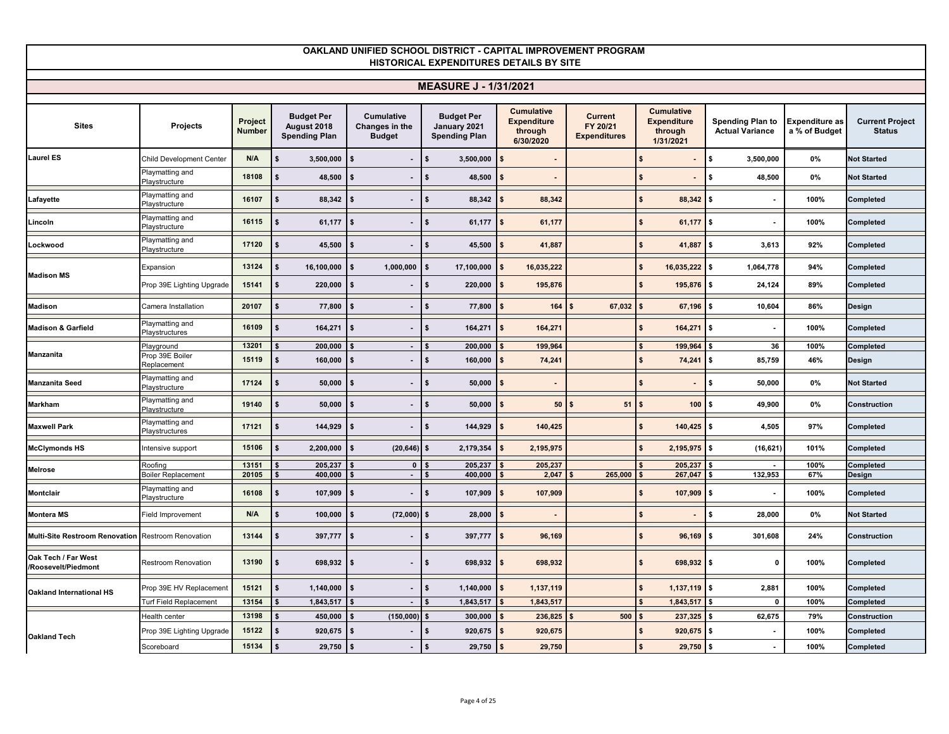#### **Sites Projects Projects Project Number Budget Per August 2018 Spending Plan Cumulative Changes in the Budget Budget Per January 2021 Spending Plan Cumulative Expenditure through 6/30/2020 Current FY 20/21 Expenditures Cumulative Expenditure through 1/31/2021 Spending Plan to Actual Variance Expenditure as a % of Budget Current Project Status OAKLAND UNIFIED SCHOOL DISTRICT - CAPITAL IMPROVEMENT PROGRAM HISTORICAL EXPENDITURES DETAILS BY SITE MEASURE J - 1/31/2021** Child Development Center **N/A \$ 3,500,000 \$ - \$ 3,500,000 \$ - \$ - \$ 3,500,000 0% Not Started** Playmatting and ้าผ<sub>ู้</sub>าและแก่บูรแล**่ 18108 \$48,500 \$ - \$48,500 \$ - \$48,500 \$ - \$ 48,500 \$ - \$ 48,500 0% Not Started<br>Playstructure Lafayette Playmatting and Playstructure** ้าผ<sub>ู้</sub>าแฉแห่งชู 16107 \$88,342 \$ - \$88,342 \$88,342 \$88,342 \$88,342 \$ 100% Completed<br>Playstructure **Lincoln**<br> **Lincoln**<br> **Lincoln**<br> **Playstructure** Playstructure **16115 \$ 61,177 \$ - \$ 61,177 \$ 61,177 \$ 61,177 \$ - 100% Completed Lockwood** Playmatting and Playstructure - Ply that the second that **17120 \$45,500 \$45,500 \$41,887 \$41,887 \$41,887 \$41,887** \$3,613 92% Completed<br>Playstructure Expansion **13124 \$ 16,100,000 \$ 1,000,000 \$ 17,100,000 \$ 16,035,222 \$ 16,035,222 \$ 1,064,778 94% Completed** Prop 39E Lighting Upgrade **15141 \$ 220,000 \$ - \$ 220,000 \$ 195,876 \$ 195,876 \$ 24,124 89% Completed Madison** Camera Installation **20107 \$ 77,800 \$ - \$ 77,800 \$ 164 \$ 67,032 \$ 67,196 \$ 10,604 86% Design Madison & Garfield** Playmatting and Plays - Playstructures **16109 \$164,271 \$164,271 \$164,271** \$164,271 \$164,271 \$164,271 \$164,271 \$164,271 \$100% Completed Playground **13201 \$ 200,000 \$ - \$ 200,000 \$ 199,964 \$ 199,964 \$ 36 100% Completed** Prop 39E Boile<mark>r</mark><br>Replacement Replacement **15119 \$ 160,000 \$ - \$ 160,000 \$ 74,241 \$ 74,241 \$ 85,759 46% Design Manzanita Seed Playmatting and Playsification** - Playstructure **17124 \$ 50,000 \$ - \$ 50,000 \$ - \$ - \$ 50,000 \$ - \$ 50,000 \$ - \$ 50,000 \$ - \$ 50,000 \$ - \$ 50,000 \$ Markham** Playmatting and<br>
Playstructure Playstructure **19140 \$ 50,000 \$ - \$ 50,000 \$ 50 \$ 51 \$ 100 \$ 49,900 0% Construction Maxwell Park** Playmatting and Playstructures Playstructures **17121 \$ 144,929 \$ - \$ 144,929 \$ 140,425 \$ 140,425 \$ 4,505 97% Completed McClymonds HS** Intensive support **15106 \$ 2,200,000 \$ (20,646) \$ 2,179,354 \$ 2,195,975 \$ 2,195,975 \$ (16,621) 101% Completed** Roofing **13151 \$ 205,237 \$ 0 \$ 205,237 \$ 205,237 \$ 205,237 \$ - 100% Completed** Boiler Replacement **20105 \$ 400,000 \$ - \$ 400,000 \$ 2,047 \$ 265,000 \$ 267,047 \$ 132,953 67% Design Montclair Playmatting and**<br>Playstructure ้า <sub>เรยา</sub>และแก่บูรแล <mark>16108 \$107,909 \$-</mark> \$107,909 \$107,909 \$107,909 \$107,909 \$- 107,909 \$107,909 \$108 **}}** {Completed<br>Playstructure **Montera MS** Field Improvement **N/A \$ 100,000 \$ (72,000) \$ 28,000 \$ - \$ - \$ 28,000 0% Not Started Multi-Site Restroom Renovation** Restroom Renovation **13144 \$ 397,777 \$ - \$ 397,777 \$ 96,169 \$ 96,169 \$ 301,608 24% Construction Oak Tech / Far West /Roosevelt/Piedmont** Restroom Renovation **13190 \$ 698,932 \$ - \$ 698,932 \$ 698,932 \$ 698,932 \$ 0 100% Completed** Prop 39E HV Replacement **15121 \$ 1,140,000 \$ - \$ 1,140,000 \$ 1,137,119 \$ 1,137,119 \$ 2,881 100% Completed** Turf Field Replacement **13154 \$ 1,843,517 \$ - \$ 1,843,517 \$ 1,843,517 \$ 1,843,517 \$ 0 100% Completed** Health center **13198 \$ 450,000 \$ (150,000) \$ 300,000 \$ 236,825 \$ 500 \$ 237,325 \$ 62,675 79% Construction** Prop 39E Lighting Upgrade **15122 \$ 920,675 \$ - \$ 920,675 \$ 920,675 \$ 920,675 \$ - 100% Completed** Scoreboard **15134 \$ 29,750 \$ - \$ 29,750 \$ 29,750 \$ 29,750 \$ - 100% Completed Madison MS Manzanita Laurel ES Melrose Oakland International HS Oakland Tech**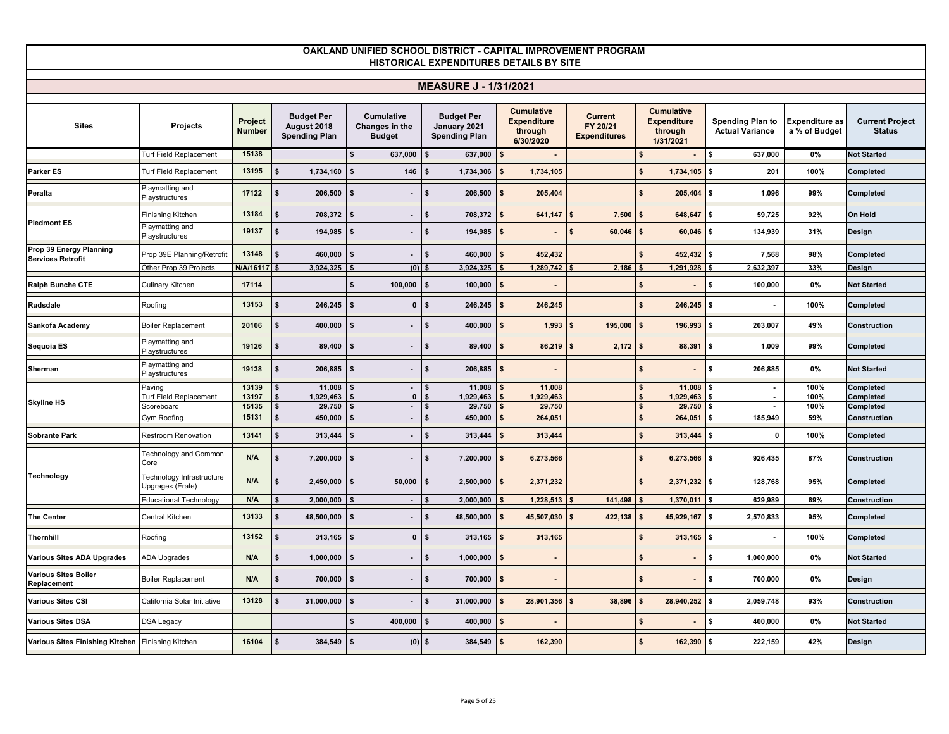|                                                     |                                               |                          |                                                          |                                                      | <b>MEASURE J - 1/31/2021</b>                              |                                                                 |                                                   |                                                                 |                                                   |                                        |                                         |
|-----------------------------------------------------|-----------------------------------------------|--------------------------|----------------------------------------------------------|------------------------------------------------------|-----------------------------------------------------------|-----------------------------------------------------------------|---------------------------------------------------|-----------------------------------------------------------------|---------------------------------------------------|----------------------------------------|-----------------------------------------|
| <b>Sites</b>                                        | Projects                                      | Project<br><b>Number</b> | <b>Budget Per</b><br>August 2018<br><b>Spending Plan</b> | <b>Cumulative</b><br>Changes in the<br><b>Budget</b> | <b>Budget Per</b><br>January 2021<br><b>Spending Plan</b> | <b>Cumulative</b><br><b>Expenditure</b><br>through<br>6/30/2020 | <b>Current</b><br>FY 20/21<br><b>Expenditures</b> | <b>Cumulative</b><br><b>Expenditure</b><br>through<br>1/31/2021 | <b>Spending Plan to</b><br><b>Actual Variance</b> | <b>Expenditure as</b><br>a % of Budget | <b>Current Project</b><br><b>Status</b> |
|                                                     | <b>Turf Field Replacement</b>                 | 15138                    |                                                          | 637,000                                              | 637,000                                                   |                                                                 |                                                   |                                                                 | 637,000                                           | 0%                                     | <b>Not Started</b>                      |
| <b>Parker ES</b>                                    | Turf Field Replacement                        | 13195                    | 1,734,160<br>\$                                          | 146<br>$\mathbf{s}$                                  | 1,734,306                                                 | 1,734,105<br>\$                                                 |                                                   | 1,734,105                                                       | 201<br>\$                                         | 100%                                   | Completed                               |
| Peralta                                             | Playmatting and<br>Playstructures             | 17122                    | 206,500<br>\$                                            | $\mathbf{s}$                                         | 206.500<br>\$                                             | $\mathbf{\hat{S}}$<br>205,404                                   |                                                   | 205,404                                                         | 1.096<br>\$                                       | 99%                                    | Completed                               |
|                                                     | Finishing Kitchen                             | 13184                    | 708,372<br>\$                                            | $\mathbf{\hat{S}}$                                   | 708,372<br>\$                                             | 641,147<br>$\mathbf{f}$                                         | 7,500<br>s.                                       | 648,647<br>l S                                                  | 59,725<br>\$                                      | 92%                                    | <b>On Hold</b>                          |
| <b>Piedmont ES</b>                                  | Playmatting and<br>Playstructures             | 19137                    | \$<br>194,985                                            | $\mathbf{s}$                                         | \$<br>194,985                                             | $\mathbf{s}$                                                    | \$<br>60,046                                      | 60,046<br>$\mathbf{S}$                                          | 134,939<br>\$                                     | 31%                                    | Design                                  |
| Prop 39 Energy Planning<br><b>Services Retrofit</b> | Prop 39E Planning/Retrofit                    | 13148                    | 460,000<br>\$                                            | l \$                                                 | 460,000<br>\$                                             | 452,432<br>-\$                                                  |                                                   | 452,432                                                         | \$<br>7,568                                       | 98%                                    | Completed                               |
|                                                     | Other Prop 39 Projects                        | N/A/1611                 | 3,924,325                                                | $(0)$   \$                                           | 3,924,325                                                 | 1,289,742                                                       | 2,186                                             | 1,291,928                                                       | 2,632,397                                         | 33%                                    | Design                                  |
| Ralph Bunche CTE                                    | <b>Culinary Kitchen</b>                       | 17114                    |                                                          | 100,000                                              | 100,000                                                   | \$                                                              |                                                   |                                                                 | 100,000<br>\$                                     | 0%                                     | <b>Not Started</b>                      |
| <b>Rudsdale</b>                                     | Roofing                                       | 13153                    | 246,245                                                  | $\mathbf 0$                                          | 246,245<br>\$                                             | 246,245<br>\$                                                   |                                                   | 246,245                                                         | \$<br>$\sim$                                      | 100%                                   | Completed                               |
| Sankofa Academy                                     | <b>Boiler Replacement</b>                     | 20106                    | 400,000<br>\$                                            | - \$                                                 | 400,000<br>\$                                             | 1,993                                                           | 195,000                                           | 196,993                                                         | 203,007<br>\$                                     | 49%                                    | Construction                            |
| Sequoia ES                                          | Playmatting and<br>Playstructures             | 19126                    | 89,400<br>\$                                             | <b>S</b>                                             | \$<br>89,400                                              | 86,219<br>- \$                                                  | $2,172$ \$<br>- \$                                | 88,391                                                          | 1.009<br>\$                                       | 99%                                    | Completed                               |
| Sherman                                             | Playmatting and<br>Playstructures             | 19138                    | 206,885<br>\$                                            | $\mathbf{s}$                                         | \$<br>206,885                                             | $\mathbf{\hat{s}}$                                              |                                                   |                                                                 | 206,885<br>\$                                     | 0%                                     | <b>Not Started</b>                      |
|                                                     | Paving                                        | 13139                    | 11,008                                                   |                                                      | 11,008                                                    | 11,008                                                          |                                                   | 11,008                                                          | $\sim$                                            | 100%                                   | Completed                               |
| <b>Skyline HS</b>                                   | Turf Field Replacement                        | 13197<br>15135           | 1,929,463                                                | $\mathbf 0$                                          | 1,929,463                                                 | 1,929,463                                                       |                                                   | 1,929,463<br>$\mathbf{\hat{s}}$                                 | \$<br>$\sim$<br>$\sim$                            | 100%                                   | Completed                               |
|                                                     | Scoreboard<br>Gym Roofing                     | 15131                    | 29,750<br>450,000<br>\$                                  | $\sim$<br>- \$<br>$\blacksquare$                     | 29,750<br>450,000                                         | 29,750<br>264,051                                               |                                                   | 29,750<br>264,051                                               | 185,949<br>\$                                     | 100%<br>59%                            | Completed<br>Construction               |
|                                                     |                                               |                          |                                                          |                                                      |                                                           |                                                                 |                                                   |                                                                 |                                                   |                                        |                                         |
| <b>Sobrante Park</b>                                | Restroom Renovation                           | 13141                    | 313,444                                                  | $\mathbf{s}$<br>$\blacksquare$                       | 313,444                                                   | 313,444<br>\$                                                   |                                                   | 313,444                                                         | $\mathbf{0}$<br>\$                                | 100%                                   | Completed                               |
|                                                     | Technology and Common<br>Core                 | N/A                      | \$<br>7,200,000                                          | l \$                                                 | 7,200,000<br>\$                                           | 6,273,566<br>$\mathbf{s}$                                       |                                                   | $6,273,566$ \$                                                  | 926,435                                           | 87%                                    | Construction                            |
| Technology                                          | Technology Infrastructure<br>Upgrages (Erate) | N/A                      | \$<br>2,450,000                                          | 50,000<br>l \$                                       | $2,500,000$ \$<br>-S                                      | 2,371,232                                                       |                                                   | 2,371,232<br>\$                                                 | 128,768<br><b>S</b>                               | 95%                                    | Completed                               |
|                                                     | Educational Technology                        | N/A                      | 2,000,000                                                | $\sim$                                               | 2,000,000                                                 | 1,228,513                                                       | 141,498                                           | 1,370,011                                                       | 629,989                                           | 69%                                    | Construction                            |
| <b>The Center</b>                                   | Central Kitchen                               | 13133                    | \$<br>48,500,000                                         | $\mathbf{s}$<br>$\blacksquare$                       | 48,500,000                                                | 45,507,030                                                      | 422,138                                           | 45,929,167                                                      | 2,570,833<br>\$                                   | 95%                                    | Completed                               |
| Thornhill                                           | Roofing                                       | 13152                    | 313,165<br>\$                                            | $\bullet$<br>$\mathbf{s}$                            | 313,165<br>\$                                             | 313,165<br>$\mathbf{\hat{S}}$                                   |                                                   | 313,165                                                         | \$<br>$\sim$                                      | 100%                                   | Completed                               |
| <b>Various Sites ADA Upgrades</b>                   | ADA Upgrades                                  | N/A                      | \$<br>1,000,000                                          | $\mathbf{s}$                                         | 1,000,000<br>\$                                           | \$                                                              |                                                   |                                                                 | \$<br>1,000,000                                   | 0%                                     | <b>Not Started</b>                      |
| <b>Various Sites Boiler</b><br>Replacement          | <b>Boiler Replacement</b>                     | N/A                      | \$<br>700,000                                            | $\mathbf{s}$                                         | \$<br>700,000                                             | $\mathbf{s}$                                                    |                                                   |                                                                 | Ŝ.<br>700,000                                     | 0%                                     | <b>Design</b>                           |
| <b>Various Sites CSI</b>                            | California Solar Initiative                   | 13128                    | 31,000,000                                               | <b>S</b>                                             | 31,000,000                                                | 28,901,356                                                      | 38,896                                            | 28,940,252                                                      | \$<br>2,059,748                                   | 93%                                    | Construction                            |
| <b>Various Sites DSA</b>                            | DSA Legacy                                    |                          |                                                          | 400,000                                              | 400,000                                                   | \$                                                              |                                                   |                                                                 | 400,000<br>\$                                     | 0%                                     | <b>Not Started</b>                      |
| Various Sites Finishing Kitchen Finishing Kitchen   |                                               | 16104                    | 384,549<br>\$                                            | (0)<br>$\mathbf{s}$                                  | 384,549<br>\$                                             | 162,390<br>Ŝ.                                                   |                                                   | 162,390                                                         | 222,159<br>\$                                     | 42%                                    | <b>Design</b>                           |
|                                                     |                                               |                          |                                                          |                                                      |                                                           |                                                                 |                                                   |                                                                 |                                                   |                                        |                                         |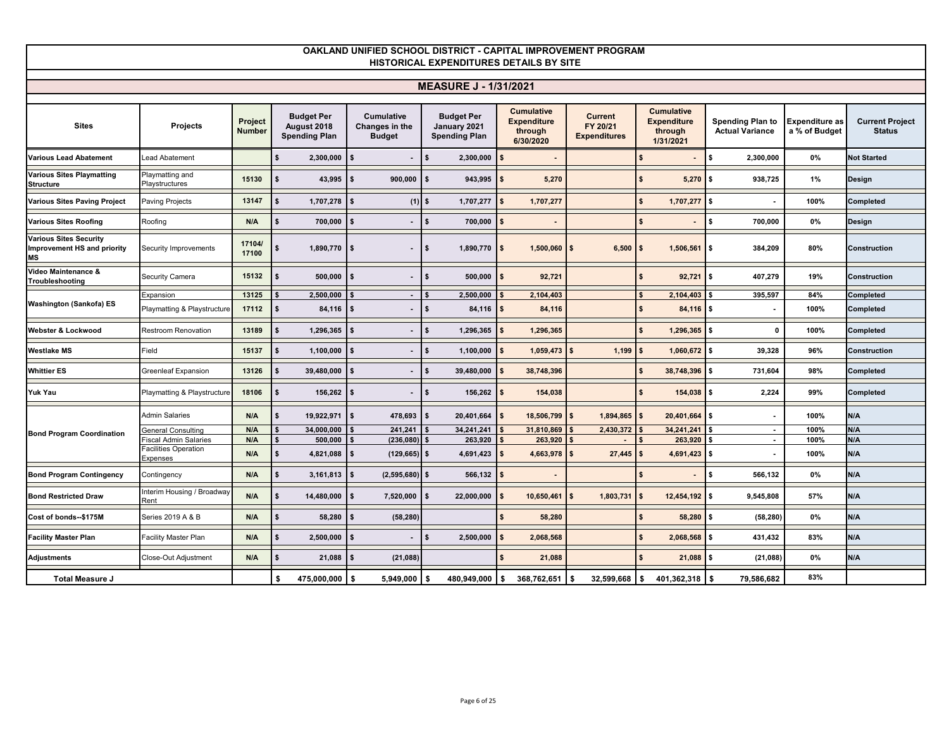|                                                                    |                                         |                          |                                                          |                                                      | <b>MEASURE J - 1/31/2021</b>                              |                                                                 |                                                   |                                                                 |                                                   |                                        |                                         |
|--------------------------------------------------------------------|-----------------------------------------|--------------------------|----------------------------------------------------------|------------------------------------------------------|-----------------------------------------------------------|-----------------------------------------------------------------|---------------------------------------------------|-----------------------------------------------------------------|---------------------------------------------------|----------------------------------------|-----------------------------------------|
|                                                                    |                                         |                          |                                                          |                                                      |                                                           |                                                                 |                                                   |                                                                 |                                                   |                                        |                                         |
| <b>Sites</b>                                                       | Projects                                | Project<br><b>Number</b> | <b>Budget Per</b><br>August 2018<br><b>Spending Plan</b> | <b>Cumulative</b><br>Changes in the<br><b>Budget</b> | <b>Budget Per</b><br>January 2021<br><b>Spending Plan</b> | <b>Cumulative</b><br><b>Expenditure</b><br>through<br>6/30/2020 | <b>Current</b><br>FY 20/21<br><b>Expenditures</b> | <b>Cumulative</b><br><b>Expenditure</b><br>through<br>1/31/2021 | <b>Spending Plan to</b><br><b>Actual Variance</b> | <b>Expenditure as</b><br>a % of Budget | <b>Current Project</b><br><b>Status</b> |
| <b>Various Lead Abatement</b>                                      | Lead Abatement                          |                          | 2,300,000                                                |                                                      | 2,300,000                                                 |                                                                 |                                                   |                                                                 | \$<br>2,300,000                                   | 0%                                     | <b>Not Started</b>                      |
| Various Sites Playmatting<br><b>Structure</b>                      | Playmatting and<br>Playstructures       | 15130                    | 43,995                                                   | <b>S</b><br>900,000                                  | 943,995                                                   | \$<br>5,270                                                     |                                                   | $5,270$ \$                                                      | 938,725                                           | 1%                                     | Design                                  |
| <b>Various Sites Paving Project</b>                                | Paving Projects                         | 13147                    | 1,707,278<br>\$                                          | $(1)$   \$<br>$\mathbf{s}$                           | 1,707,277                                                 | 1,707,277<br>\$                                                 |                                                   | 1,707,277<br>-\$                                                | <b>S</b>                                          | 100%                                   | Completed                               |
| <b>Various Sites Roofing</b>                                       | Roofing                                 | N/A                      | 700,000                                                  | $\mathbf{s}$                                         | 700,000                                                   | \$                                                              |                                                   |                                                                 | \$<br>700.000                                     | 0%                                     | Design                                  |
| Various Sites Security<br>Improvement HS and priority<br><b>MS</b> | Security Improvements                   | 17104/<br>17100          | 1,890,770 \$                                             |                                                      | 1,890,770<br>IS.                                          | $1,500,060$ \$<br>$\mathsf{I}$                                  | 6,500                                             | $1,506,561$ \$<br>l \$                                          | 384,209                                           | 80%                                    | Construction                            |
| Video Maintenance &<br>Troubleshooting                             | <b>Security Camera</b>                  | 15132                    | 500,000                                                  | $\overline{\phantom{a}}$                             | 500,000                                                   | 92,721<br>\$                                                    |                                                   | $92,721$ \$                                                     | 407,279                                           | 19%                                    | Construction                            |
|                                                                    | Expansion                               | 13125                    | 2,500,000                                                | $\sim$                                               | 2,500,000                                                 | 2.104.403                                                       |                                                   | 2,104,403                                                       | 395,597                                           | 84%                                    | Completed                               |
| <b>Washington (Sankofa) ES</b>                                     | Playmatting & Playstructure             | 17112                    | $84,116$ \$                                              |                                                      | 84,116                                                    | $\frac{1}{2}$<br>84,116                                         |                                                   | $84,116$ \$                                                     |                                                   | 100%                                   | Completed                               |
| Webster & Lockwood                                                 | Restroom Renovation                     | 13189                    | 1,296,365                                                | $\mathbf{s}$                                         | 1,296,365                                                 | \$<br>1,296,365                                                 |                                                   | $1,296,365$ \$                                                  | $\mathbf{0}$                                      | 100%                                   | Completed                               |
| <b>Westlake MS</b>                                                 | Field                                   | 15137                    | 1,100,000                                                | - \$                                                 | 1,100,000                                                 | $1,059,473$ \$<br>\$                                            | 1,199                                             | $1,060,672$ \$<br>l \$                                          | 39,328                                            | 96%                                    | Construction                            |
| <b>Whittier ES</b>                                                 | Greenleaf Expansion                     | 13126                    | 39,480,000                                               |                                                      | 39,480,000                                                | 38,748,396                                                      |                                                   | 38,748,396<br>\$                                                | S.<br>731,604                                     | 98%                                    | Completed                               |
| Yuk Yau                                                            | Playmatting & Playstructure             | 18106                    | 156,262                                                  | l \$                                                 | 156,262                                                   | 154,038<br>$\mathbf{s}$                                         |                                                   | 154,038                                                         | 2,224<br>l \$                                     | 99%                                    | Completed                               |
|                                                                    | <b>Admin Salaries</b>                   | N/A                      | 19,922,971                                               | 478,693                                              | 20,401,664                                                | 18,506,799 \$                                                   | 1,894,865                                         | 20,401,664<br>l \$                                              | \$<br>$\sim$                                      | 100%                                   | N/A                                     |
| <b>Bond Program Coordination</b>                                   | <b>General Consulting</b>               | N/A                      | 34,000,000                                               | 241,241                                              | 34,241,241                                                | 31,810,869                                                      | 2,430,372                                         | 34,241,241                                                      | $\sim$                                            | 100%                                   | N/A                                     |
|                                                                    | iscal Admin Salaries                    | N/A                      | 500,000                                                  | $(236,080)$ \$                                       | 263,920                                                   | 263,920                                                         |                                                   | 263,920                                                         | $\sim$                                            | 100%                                   | N/A                                     |
|                                                                    | <b>Facilities Operation</b><br>Expenses | N/A                      | 4,821,088<br>\$                                          | $(129, 665)$ \$<br>l \$                              | 4,691,423                                                 | $4,663,978$ \$<br>$\mathbf{s}$                                  | $27,445$ \$                                       | $4,691,423$ \$                                                  |                                                   | 100%                                   | N/A                                     |
| <b>Bond Program Contingency</b>                                    | Contingency                             | N/A                      | \$<br>3,161,813                                          | <b>s</b><br>$(2,595,680)$ \$                         | 566,132                                                   | \$                                                              |                                                   |                                                                 | 566,132<br>\$                                     | 0%                                     | N/A                                     |
| <b>Bond Restricted Draw</b>                                        | nterim Housing / Broadway<br>Rent       | N/A                      | 14,480,000                                               | 7,520,000                                            | 22,000,000                                                | 10,650,461                                                      | 1,803,731<br>\$                                   | 12,454,192                                                      | <b>S</b><br>9,545,808                             | 57%                                    | N/A                                     |
| Cost of bonds-\$175M                                               | Series 2019 A & B                       | N/A                      | 58,280                                                   | (58, 280)                                            |                                                           | 58,280                                                          |                                                   | 58,280                                                          | (58, 280)<br>\$                                   | 0%                                     | N/A                                     |
| <b>Facility Master Plan</b>                                        | Facility Master Plan                    | N/A                      | 2,500,000                                                |                                                      | 2,500,000                                                 | 2,068,568                                                       |                                                   | 2,068,568                                                       | 431,432<br>Ŝ.                                     | 83%                                    | N/A                                     |
| <b>Adjustments</b>                                                 | Close-Out Adjustment                    | N/A                      | 21,088                                                   | (21, 088)                                            |                                                           | 21,088                                                          |                                                   | 21,088                                                          | Ŝ.<br>(21, 088)                                   | 0%                                     | N/A                                     |
| Total Measure J                                                    |                                         |                          | 475,000,000<br>\$                                        | $5,949,000$ \$<br>l \$                               | 480,949,000                                               | 368,762,651<br>l \$                                             | 32,599,668<br>l \$                                | 401,362,318<br>l Si                                             | Ŝ.<br>79,586,682                                  | 83%                                    |                                         |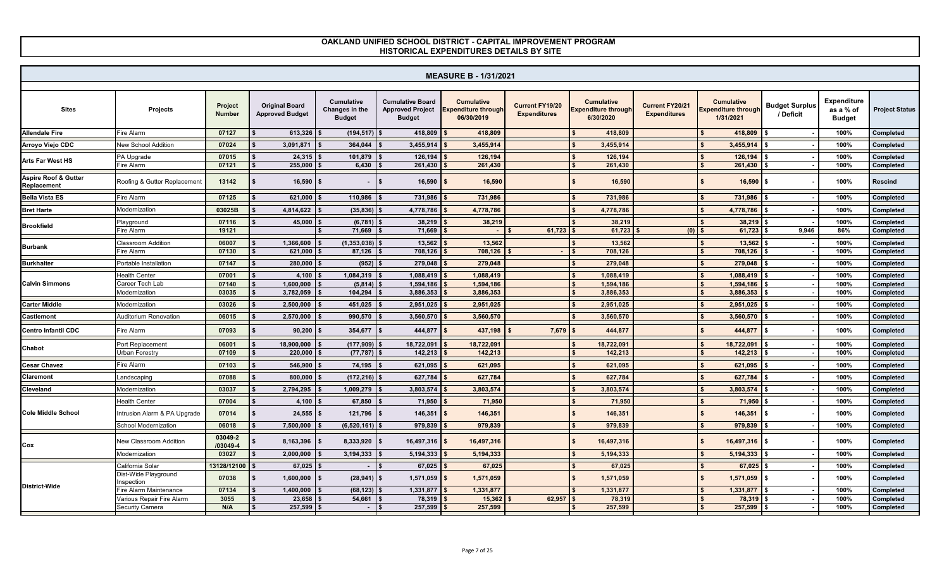|                                     |                                              |                                 |                                                 |                                               |                                                                     | <b>MEASURE B - 1/31/2021</b>                                  |                                               |                                                       |                                        |                                                              |                                    |                                                  |                        |
|-------------------------------------|----------------------------------------------|---------------------------------|-------------------------------------------------|-----------------------------------------------|---------------------------------------------------------------------|---------------------------------------------------------------|-----------------------------------------------|-------------------------------------------------------|----------------------------------------|--------------------------------------------------------------|------------------------------------|--------------------------------------------------|------------------------|
| <b>Sites</b>                        | Projects                                     | <b>Project</b><br><b>Number</b> | <b>Original Board</b><br><b>Approved Budget</b> | Cumulative<br>Changes in the<br><b>Budget</b> | <b>Cumulative Board</b><br><b>Approved Project</b><br><b>Budget</b> | <b>Cumulative</b><br><b>Expenditure through</b><br>06/30/2019 | <b>Current FY19/20</b><br><b>Expenditures</b> | Cumulative<br><b>Expenditure through</b><br>6/30/2020 | Current FY20/21<br><b>Expenditures</b> | <b>Cumulative</b><br><b>Expenditure through</b><br>1/31/2021 | <b>Budget Surplus</b><br>/ Deficit | <b>Expenditure</b><br>as a % of<br><b>Budget</b> | <b>Project Status</b>  |
| <b>Allendale Fire</b>               | Fire Alarm                                   | 07127                           | $613,326$ \$                                    | $(194, 517)$ \$                               | 418,809                                                             | 418.809                                                       |                                               | 418.809                                               |                                        | 418,809                                                      |                                    | 100%                                             | Completed              |
| Arroyo Viejo CDC                    | <b>New School Addition</b>                   | 07024                           | 3.091.871                                       | 364.044                                       | 3,455,914                                                           | 3.455.914                                                     |                                               | 3,455,914                                             |                                        | 3,455,914                                                    |                                    | 100%                                             | Completed              |
| Arts Far West HS                    | PA Upgrade                                   | 07015                           | 24,315                                          | 101,879                                       | 126,194                                                             | 126,194                                                       |                                               | 126,194                                               |                                        | 126,194                                                      |                                    | 100%                                             | Completed              |
|                                     | <b>Fire Alarm</b>                            | 07121                           | 255,000                                         | 6,430                                         | 261,430                                                             | 261,430                                                       |                                               | 261,430                                               |                                        | 261,430                                                      |                                    | 100%                                             | Completed              |
| Aspire Roof & Gutter<br>Replacement | Roofing & Gutter Replacement                 | 13142                           | $16,590$ \$                                     | $\sim$                                        | 16,590<br>$\mathbf{s}$                                              | 16,590                                                        |                                               | 16,590<br>$\mathbf{s}$                                |                                        | $16,590$ \$                                                  |                                    | 100%                                             | <b>Rescind</b>         |
| <b>Bella Vista ES</b>               | Fire Alarm                                   | 07125                           | 621.000                                         | 110.986                                       | 731.986                                                             | 731.986                                                       |                                               | 731,986                                               |                                        | 731.986                                                      |                                    | 100%                                             | Completed              |
| <b>Bret Harte</b>                   | Modernization                                | 03025B                          | 4,814,622                                       | (35, 836)                                     | 4,778,786                                                           | 4,778,786                                                     |                                               | 4,778,786                                             |                                        | 4,778,786                                                    |                                    | 100%                                             | Completed              |
| <b>Brookfield</b>                   | Playground                                   | 07116                           | 45,000                                          | (6,781)                                       | 38,219                                                              | 38.219                                                        |                                               | 38.219                                                |                                        | 38,219                                                       |                                    | 100%                                             | Completed              |
|                                     | Fire Alarm                                   | 19121                           |                                                 | 71,669                                        | 71,669                                                              |                                                               | 61,723                                        | 61,723                                                | (0)                                    | 61,723                                                       | 9,946                              | 86%                                              | Completed              |
| <b>Burbank</b>                      | <b>Classroom Addition</b>                    | 06007                           | 1.366.600                                       | (1, 353, 038)                                 | 13,562                                                              | 13,562                                                        |                                               | 13,562<br>s.                                          |                                        | 13,562                                                       |                                    | 100%                                             | Completed              |
|                                     | ire Alarm <sup>-</sup>                       | 07130                           | $621,000$ \$                                    | 87,126                                        | 708,126                                                             | 708,126                                                       |                                               | 708,126                                               |                                        | 708,126                                                      |                                    | 100%                                             | Completed              |
| <b>Burkhalter</b>                   | Portable Installation                        | 07147                           | 280,000                                         | (952)                                         | 279.048                                                             | 279.048                                                       |                                               | 279.048                                               |                                        | 279,048                                                      |                                    | 100%                                             | Completed              |
|                                     | Health Center                                | 07001                           | $4.100$ $\pm$                                   | 1,084,319                                     | 1.088.419                                                           | 1.088.419                                                     |                                               | 1.088.419                                             |                                        | 1.088.419                                                    |                                    | 100%                                             | Completed              |
| <b>Calvin Simmons</b>               | Career Tech Lab<br>Modernization             | 07140<br>03035                  | 1.600.000<br>3,782,059                          | $(5,814)$ \$<br>104,294                       | 1,594,186<br>3,886,353                                              | 1,594,186<br>3,886,353                                        |                                               | 1,594,186<br>3,886,353                                |                                        | 1,594,186<br>3,886,353                                       |                                    | 100%<br>100%                                     | Completed<br>Completed |
| <b>Carter Middle</b>                | Modernization                                | 03026                           | 2,500,000                                       | 451,025                                       | 2,951,025                                                           | 2,951,025                                                     |                                               | 2,951,025                                             |                                        | 2,951,025                                                    |                                    | 100%                                             | Completed              |
|                                     | Auditorium Renovation                        | 06015                           |                                                 |                                               |                                                                     |                                                               |                                               |                                                       |                                        |                                                              |                                    | 100%                                             |                        |
| <b>Castlemont</b>                   |                                              |                                 | 2,570,000                                       | 990,570                                       | 3,560,570                                                           | 3,560,570                                                     |                                               | 3,560,570                                             |                                        | 3,560,570                                                    |                                    |                                                  | Completed              |
| <b>Centro Infantil CDC</b>          | Fire Alarm                                   | 07093                           | 90,200                                          | 354,677                                       | 444.877                                                             | 437.198                                                       | 7,679                                         | 444.877                                               |                                        | 444,877                                                      |                                    | 100%                                             | Completed              |
| Chabot                              | Port Replacement                             | 06001                           | 18,900,000                                      | (177,909)                                     | 18,722,091                                                          | 18,722,091                                                    |                                               | 18,722,091                                            |                                        | 18.722.091                                                   |                                    | 100%                                             | Completed              |
|                                     | Urban Forestry                               | 07109                           | 220,000                                         | (77, 787)                                     | 142,213                                                             | 142,213                                                       |                                               | 142,213                                               |                                        | 142,213                                                      |                                    | 100%                                             | Completed              |
| <b>Cesar Chavez</b>                 | Fire Alarm                                   | 07103                           | 546,900                                         | 74,195                                        | 621,095                                                             | 621,095                                                       |                                               | 621,095                                               |                                        | 621,095                                                      |                                    | 100%                                             | Completed              |
| Claremont                           | andscaping                                   | 07088                           | 800,000                                         | (172, 216)                                    | 627,784                                                             | 627,784                                                       |                                               | 627,784                                               |                                        | 627,784                                                      |                                    | 100%                                             | Completed              |
| Cleveland                           | Modernization                                | 03037                           | 2,794,295                                       | 1,009,279                                     | 3,803,574                                                           | 3,803,574                                                     |                                               | 3,803,574                                             |                                        | 3,803,574                                                    |                                    | 100%                                             | Completed              |
|                                     | <b>Health Center</b>                         | 07004                           | 4,100                                           | 67,850                                        | 71,950                                                              | 71.950                                                        |                                               | 71.950                                                |                                        | 71.950                                                       |                                    | 100%                                             | Completed              |
| <b>Cole Middle School</b>           | Intrusion Alarm & PA Upgrade                 | 07014                           | 24,555                                          | 121,796                                       | 146,351                                                             | 146,351                                                       |                                               | 146,351<br>\$                                         |                                        | 146,351                                                      | £.                                 | 100%                                             | Completed              |
|                                     | School Modernization                         | 06018                           | 7,500,000                                       | (6,520,161)                                   | 979,839                                                             | 979.839                                                       |                                               | 979.839                                               |                                        | 979,839                                                      |                                    | 100%                                             | Completed              |
| Cox                                 | <b>New Classroom Addition</b>                | 03049-2<br>/03049-4             | 8,163,396                                       | 8,333,920                                     | 16,497,316                                                          | 16,497,316                                                    |                                               | 16,497,316<br>\$                                      |                                        | 16,497,316                                                   | <b>S</b>                           | 100%                                             | Completed              |
|                                     | Modernization                                | 03027                           | 2,000,000                                       | 3,194,333                                     | 5,194,333                                                           | 5,194,333                                                     |                                               | 5,194,333                                             |                                        | 5,194,333                                                    |                                    | 100%                                             | Completed              |
|                                     | California Solar<br>Dist-Wide Playground     | 13128/12100                     | 67,025                                          | $\sim$                                        | 67,025<br>l S                                                       | 67.025                                                        |                                               | 67.025                                                |                                        | 67,025                                                       |                                    | 100%                                             | Completed              |
|                                     | nspection                                    | 07038                           | 1,600,000                                       | $(28, 941)$ \$                                | 1,571,059                                                           | 1,571,059                                                     |                                               | 1,571,059                                             |                                        | 1,571,059                                                    | \$                                 | 100%                                             | Completed              |
| <b>District-Wide</b>                | Fire Alarm Maintenance                       | 07134                           | 1,400,000                                       | (68, 123)                                     | 1,331,877                                                           | 1,331,877                                                     |                                               | 1,331,877                                             |                                        | 1,331,877                                                    |                                    | 100%                                             | Completed              |
|                                     | Various Repair Fire Alarm<br>Security Camera | 3055<br>N/A                     | 23.658<br>257,599                               | 54,661                                        | 78,319<br>257,599                                                   | 15,362<br>257,599                                             | 62,957                                        | 78.319<br>257,599                                     |                                        | 78,319<br>257,599                                            |                                    | 100%<br>100%                                     | Completed<br>Completed |
|                                     |                                              |                                 |                                                 |                                               |                                                                     |                                                               |                                               |                                                       |                                        |                                                              |                                    |                                                  |                        |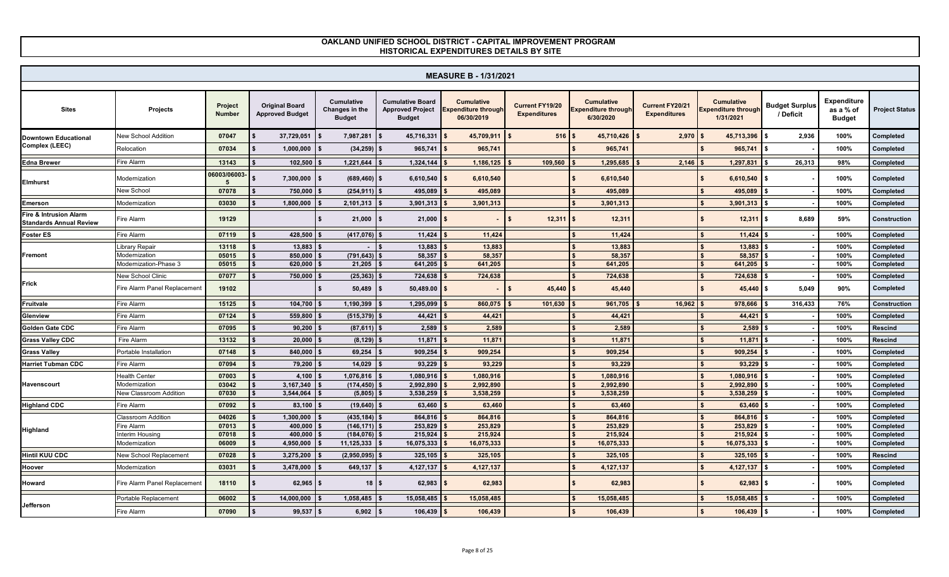|                                                          |                                        |                                 |                                                 |                                                      |                                                                     | <b>MEASURE B - 1/31/2021</b>                                 |                                               |                                                       |                                        |                                                              |                                    |                                                  |                        |
|----------------------------------------------------------|----------------------------------------|---------------------------------|-------------------------------------------------|------------------------------------------------------|---------------------------------------------------------------------|--------------------------------------------------------------|-----------------------------------------------|-------------------------------------------------------|----------------------------------------|--------------------------------------------------------------|------------------------------------|--------------------------------------------------|------------------------|
| <b>Sites</b>                                             | <b>Projects</b>                        | <b>Project</b><br><b>Number</b> | <b>Original Board</b><br><b>Approved Budget</b> | <b>Cumulative</b><br>Changes in the<br><b>Budget</b> | <b>Cumulative Board</b><br><b>Approved Project</b><br><b>Budget</b> | <b>Cumulative</b><br><b>xpenditure through</b><br>06/30/2019 | <b>Current FY19/20</b><br><b>Expenditures</b> | Cumulative<br><b>Expenditure through</b><br>6/30/2020 | Current FY20/21<br><b>Expenditures</b> | <b>Cumulative</b><br><b>Expenditure through</b><br>1/31/2021 | <b>Budget Surplus</b><br>/ Deficit | <b>Expenditure</b><br>as a % of<br><b>Budget</b> | <b>Project Status</b>  |
| <b>Downtown Educational</b>                              | <b>New School Addition</b>             | 07047                           | 37,729,051                                      | 7,987,281                                            | 45,716,331                                                          | 45,709,911                                                   | 516                                           | 45,710,426                                            | 2,970                                  | 45,713,396                                                   | 2.936<br>l \$                      | 100%                                             | Completed              |
| Complex (LEEC)                                           | Relocation                             | 07034                           | 1,000,000                                       | (34, 259)                                            | 965,741                                                             | 965,741                                                      |                                               | 965,741                                               |                                        | 965,741                                                      | . S.                               | 100%                                             | Completed              |
| <b>Edna Brewer</b>                                       | Fire Alarm                             | 13143                           | 102,500                                         | 1,221,644                                            | 1,324,144                                                           | 1,186,125                                                    | 109,560                                       | 1.295.685                                             | 2,146                                  | 1,297,831                                                    | 26,313                             | 98%                                              | Completed              |
| <b>Elmhurst</b>                                          | Modernization                          | 06003/06003<br>5                | 7,300,000                                       | (689, 460)                                           | 6,610,540                                                           | 6.610.540                                                    |                                               | 6.610.540<br>s.                                       |                                        | 6,610,540                                                    | IS.                                | 100%                                             | Completed              |
|                                                          | New School                             | 07078                           | 750,000                                         | $(254, 911)$ \$                                      | 495,089                                                             | 495,089                                                      |                                               | 495,089                                               |                                        | 495,089                                                      |                                    | 100%                                             | Completed              |
| Emerson                                                  | Modernizatior                          | 03030                           | 1,800,000                                       | 2,101,313                                            | 3,901,313                                                           | 3,901,313                                                    |                                               | 3,901,313                                             |                                        | 3,901,313                                                    |                                    | 100%                                             | Completed              |
| Fire & Intrusion Alarm<br><b>Standards Annual Review</b> | Fire Alarm                             | 19129                           |                                                 | $21,000$   \$                                        | 21,000                                                              |                                                              | $12,311$ \$<br>$\hat{\mathbf{r}}$             | 12,311                                                |                                        | $12,311$ \$                                                  | 8.689                              | 59%                                              | Construction           |
| <b>Foster ES</b>                                         | Fire Alarm                             | 07119                           | 428.500                                         | (417, 076)                                           | 11.424                                                              | 11.424                                                       |                                               | 11.424                                                |                                        | 11.424                                                       |                                    | 100%                                             | Completed              |
|                                                          | Library Repair                         | 13118                           | 13,883                                          |                                                      | 13,883                                                              | 13,883                                                       |                                               | 13,883                                                |                                        | 13,883                                                       |                                    | 100%                                             | Completed              |
| Fremont                                                  | Modernization<br>Modernization-Phase 3 | 05015<br>05015                  | 850,000<br>620,000                              | (791, 643)<br>21,205                                 | 58.357<br>641,205                                                   | 58,357<br>641,205                                            |                                               | 58,357<br>641,205                                     |                                        | 58,357<br>641,205                                            |                                    | 100%<br>100%                                     | Completed<br>Completed |
|                                                          | Jew School Clinic                      | 07077                           | 750,000                                         | (25, 363)                                            | 724,638                                                             | 724,638                                                      |                                               | 724,638                                               |                                        | 724,638                                                      |                                    | 100%                                             | Completed              |
| Frick                                                    | Fire Alarm Panel Replacemen            | 19102                           |                                                 | 50,489                                               | 50,489.00                                                           |                                                              | 45,440<br>$\mathbf{f}$                        | 45,440<br>-\$                                         |                                        | $45,440$ \$                                                  | 5,049                              | 90%                                              | Completed              |
| Fruitvale                                                | Fire Alarm                             | 15125                           | 104,700                                         | 1,190,399                                            | 1,295,099                                                           | 860,075                                                      | 101,630                                       | 961,705                                               | 16,962                                 | 978,666                                                      | 316,433                            | 76%                                              | Construction           |
| Glenview                                                 | Fire Alarm                             | 07124                           | 559,800                                         | $(515, 379)$ \$                                      | 44,421                                                              | 44,421                                                       |                                               | 44,421                                                |                                        | 44,421                                                       |                                    | 100%                                             | Completed              |
| Golden Gate CDC                                          | Fire Alarm                             | 07095                           | 90,200                                          | $(87,611)$ \$                                        | 2,589                                                               | 2,589                                                        |                                               | 2,589                                                 |                                        | 2,589                                                        |                                    | 100%                                             | <b>Rescind</b>         |
| <b>Grass Valley CDC</b>                                  | <b>Fire Alarm</b>                      | 13132                           | 20,000                                          | $(8, 129)$ \$                                        | 11,871                                                              | 11,871                                                       |                                               | 11.871                                                |                                        | 11,871                                                       |                                    | 100%                                             | <b>Rescind</b>         |
| <b>Grass Valley</b>                                      | Portable Installation                  | 07148                           | 840.000                                         | 69,254                                               | 909,254                                                             | 909,254                                                      |                                               | 909,254                                               |                                        | 909,254                                                      |                                    | 100%                                             | Completed              |
| <b>Harriet Tubman CDC</b>                                | Fire Alarm                             | 07094                           | 79.200                                          | 14,029                                               | 93,229                                                              | 93,229                                                       |                                               | 93.229                                                |                                        | 93.229                                                       |                                    | 100%                                             | Completed              |
|                                                          | <b>Health Center</b>                   | 07003                           | 4.100                                           | 1,076,816                                            | 1,080,916                                                           | 1.080.916                                                    |                                               | 1.080.916                                             |                                        | 1.080.916                                                    |                                    | 100%                                             | Completed              |
| Havenscourt                                              | Modernization                          | 03042                           | 3,167,340                                       | (174, 450)                                           | 2,992,890                                                           | 2,992,890                                                    |                                               | 2,992,890                                             |                                        | 2,992,890                                                    |                                    | 100%                                             | Completed              |
|                                                          | <b>Jew Classroom Addition</b>          | 07030                           | 3,544,064                                       | $(5,805)$ \$                                         | 3,538,259                                                           | 3,538,259                                                    |                                               | 3,538,259<br>$\mathbf{s}$                             |                                        | 3,538,259                                                    |                                    | 100%                                             | Completed              |
| <b>Highland CDC</b>                                      | Fire Alarm                             | 07092                           | 83,100                                          | $(19,640)$ \$                                        | 63,460                                                              | 63,460                                                       |                                               | 63,460                                                |                                        | 63,460                                                       |                                    | 100%                                             | Completed              |
|                                                          | <b>lassroom Addition</b><br>ire Alarm  | 04026<br>07013                  | 1,300,000<br>400,000                            | $(435, 184)$ \$<br>$(146, 171)$ \$                   | 864.816<br>253,829                                                  | 864.816<br>253,829                                           |                                               | 864.816<br>\$<br>253,829                              |                                        | 864.816<br>253.829                                           |                                    | 100%<br>100%                                     | Completed<br>Completed |
| Highland                                                 | <b>nterim Housing</b>                  | 07018                           | 400.000                                         | (184, 076)                                           | 215,924                                                             | 215,924                                                      |                                               | 215.924                                               |                                        | 215.924                                                      |                                    | 100%                                             | Completed              |
|                                                          | Modernization                          | 06009                           | 4,950,000                                       | 11,125,333                                           | 16,075,333                                                          | 16,075,333                                                   |                                               | 16,075,333                                            |                                        | 16,075,333                                                   |                                    | 100%                                             | Completed              |
| <b>Hintil KUU CDC</b>                                    | <b>New School Replacement</b>          | 07028                           | 3,275,200                                       | $(2,950,095)$ \$                                     | 325,105                                                             | 325,105                                                      |                                               | 325,105                                               |                                        | 325,105                                                      |                                    | 100%                                             | <b>Rescind</b>         |
| Hoover                                                   | Modernization                          | 03031                           | 3,478,000                                       | 649,137                                              | 4,127,137                                                           | 4,127,137                                                    |                                               | 4,127,137                                             |                                        | 4,127,137                                                    |                                    | 100%                                             | Completed              |
| Howard                                                   | Fire Alarm Panel Replacemen            | 18110                           | 62,965                                          | 18S                                                  | 62,983                                                              | 62,983                                                       |                                               | $\mathbf{s}$<br>62,983                                |                                        | $62,983$ \$                                                  |                                    | 100%                                             | Completed              |
|                                                          | Portable Replacement                   | 06002                           | 14,000,000                                      | 1,058,485                                            | 15,058,485                                                          | 15,058,485                                                   |                                               | 15,058,485                                            |                                        | 15,058,485                                                   |                                    | 100%                                             | Completed              |
| Jefferson                                                | <b>Fire Alarm</b>                      | 07090                           | 99,537                                          | 6,902                                                | 106,439                                                             | 106,439                                                      |                                               | 106,439                                               |                                        | 106,439                                                      |                                    | 100%                                             | Completed              |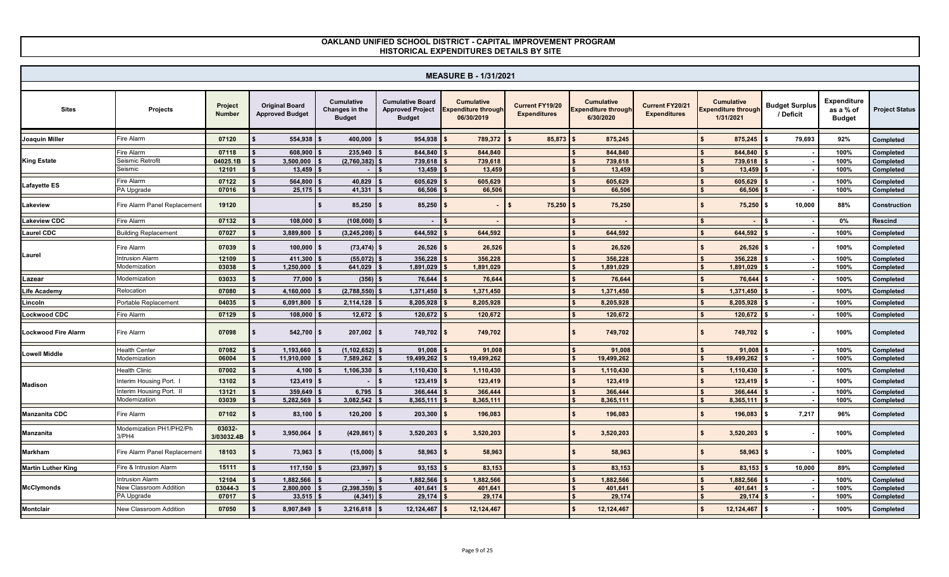|                            |                                   |                          |                                                 |                                                      |                                                                     | <b>MEASURE B - 1/31/2021</b>                                  |                                        |                                                              |                                        |                                                              |                                    |                                                  |                       |
|----------------------------|-----------------------------------|--------------------------|-------------------------------------------------|------------------------------------------------------|---------------------------------------------------------------------|---------------------------------------------------------------|----------------------------------------|--------------------------------------------------------------|----------------------------------------|--------------------------------------------------------------|------------------------------------|--------------------------------------------------|-----------------------|
| <b>Sites</b>               | Projects                          | Project<br><b>Number</b> | <b>Original Board</b><br><b>Approved Budget</b> | <b>Cumulative</b><br>Changes in the<br><b>Budget</b> | <b>Cumulative Board</b><br><b>Approved Project</b><br><b>Budget</b> | <b>Cumulative</b><br><b>Expenditure through</b><br>06/30/2019 | Current FY19/20<br><b>Expenditures</b> | <b>Cumulative</b><br><b>Expenditure through</b><br>6/30/2020 | Current FY20/21<br><b>Expenditures</b> | <b>Cumulative</b><br><b>Expenditure through</b><br>1/31/2021 | <b>Budget Surplus</b><br>/ Deficit | <b>Expenditure</b><br>as a % of<br><b>Budget</b> | <b>Project Status</b> |
| <b>Joaquin Miller</b>      | Fire Alarm                        | 07120                    | 554,938                                         | 400,000                                              | 954,938                                                             | 789,372                                                       | 85,873                                 | 875,245                                                      |                                        | 875,245                                                      | 79,693                             | 92%                                              | Completed             |
|                            | Fire Alarm                        | 07118                    | 608,900                                         | 235,940                                              | 844,840                                                             | 844,840                                                       |                                        | 844.840                                                      |                                        | 844.840                                                      |                                    | 100%                                             | Completed             |
| <b>King Estate</b>         | Seismic Retrofit                  | 04025.1B                 | 3,500,000                                       | (2,760,382)                                          | 739,618                                                             | 739,618                                                       |                                        | 739,618                                                      |                                        | 739,618                                                      |                                    | 100%                                             | Completed             |
|                            | Seismic                           | 12101                    | 13,459                                          |                                                      | 13,459                                                              | 13,459                                                        |                                        | 13,459                                                       |                                        | 13,459                                                       |                                    | 100%                                             | Completed             |
| <b>Lafayette ES</b>        | Fire Alarm                        | 07122                    | 564,800                                         | 40,829                                               | 605,629                                                             | 605,629                                                       |                                        | 605,629                                                      |                                        | 605,629                                                      |                                    | 100%                                             | Completed             |
|                            | PA Upgrade                        | 07016                    | 25,175                                          | 41,331                                               | 66,506                                                              | 66,506                                                        |                                        | 66,506                                                       |                                        | 66,506                                                       |                                    | 100%                                             | Completed             |
| Lakeview                   | Fire Alarm Panel Replacemen       | 19120                    |                                                 | 85,250                                               | 85,250<br>\$                                                        |                                                               | 75,250                                 | 75,250<br>$\mathbf{\hat{f}}$                                 |                                        | 75,250                                                       | <b>S</b><br>10,000                 | 88%                                              | Construction          |
| <b>Lakeview CDC</b>        | Fire Alarm                        | 07132                    | 108,000                                         | (108,000)                                            |                                                                     |                                                               |                                        |                                                              |                                        |                                                              |                                    | 0%                                               | <b>Rescind</b>        |
| <b>Laurel CDC</b>          | <b>Building Replacement</b>       | 07027                    | 3,889,800                                       | (3, 245, 208)                                        | 644,592                                                             | 644,592                                                       |                                        | 644,592                                                      |                                        | 644,592                                                      |                                    | 100%                                             | Completed             |
|                            | Fire Alarm                        | 07039                    | 100,000                                         | $(73, 474)$ \$                                       | 26,526                                                              | 26,526                                                        |                                        | 26,526<br>£.                                                 |                                        | 26,526                                                       | \$                                 | 100%                                             | Completed             |
| Laurel                     | ntrusion Alarm                    | 12109                    | 411,300                                         | (55,072)                                             | 356,228                                                             | 356,228                                                       |                                        | 356,228                                                      |                                        | 356,228                                                      |                                    | 100%                                             | Completed             |
|                            | Modernization                     | 03038                    | 1,250,000                                       | 641,029                                              | 1,891,029                                                           | 1,891,029                                                     |                                        | 1,891,029                                                    |                                        | 1,891,029                                                    |                                    | 100%                                             | Completed             |
| Lazear                     | Modernization                     | 03033                    | 77,000                                          | $(356)$ \$                                           | 76,644                                                              | 76,644                                                        |                                        | 76,644                                                       |                                        | 76,644                                                       |                                    | 100%                                             | Completed             |
| <b>Life Academy</b>        | Relocation                        | 07080                    | 4,160,000                                       | $(2,788,550)$ \$                                     | 1,371,450                                                           | 1,371,450                                                     |                                        | 1,371,450                                                    |                                        | 1,371,450                                                    |                                    | 100%                                             | Completed             |
| Lincoln                    | Portable Replacement              | 04035                    | 6,091,800                                       | 2,114,128                                            | 8,205,928                                                           | 8,205,928                                                     |                                        | 8,205,928                                                    |                                        | 8,205,928                                                    |                                    | 100%                                             | Completed             |
| <b>Lockwood CDC</b>        | Fire Alarm                        | 07129                    | 108,000                                         | 12,672                                               | 120,672                                                             | 120,672                                                       |                                        | 120.672                                                      |                                        | 120,672                                                      |                                    | 100%                                             | Completed             |
| <b>Lockwood Fire Alarm</b> | <b>Fire Alarm</b>                 | 07098                    | $542,700$ \$                                    | 207,002                                              | 749,702 \$<br>Ŝ.                                                    | 749,702                                                       |                                        | 749,702<br>s.                                                |                                        | 749,702                                                      | l \$                               | 100%                                             | Completed             |
|                            | lealth Center                     | 07082                    | 1,193,660                                       | (1, 102, 652)                                        | 91,008                                                              | 91.008                                                        |                                        | 91.008                                                       |                                        | 91,008                                                       |                                    | 100%                                             | Completed             |
| <b>Lowell Middle</b>       | Modernization                     | 06004                    | 11,910,000                                      | 7,589,262                                            | 19,499,262                                                          | 19,499,262                                                    |                                        | 19,499,262                                                   |                                        | 19,499,262                                                   |                                    | 100%                                             | Completed             |
|                            | <b>Health Clinic</b>              | 07002                    | 4,100                                           | 1,106,330                                            | 1,110,430                                                           | 1,110,430                                                     |                                        | 1,110,430                                                    |                                        | 1,110,430                                                    |                                    | 100%                                             | Completed             |
| <b>Madison</b>             | Interim Housing Port. I           | 13102                    | $123,419$ \$                                    |                                                      | 123,419                                                             | 123,419                                                       |                                        | 123,419                                                      |                                        | 123,419                                                      |                                    | 100%                                             | Completed             |
|                            | nterim Housing Port. II           | 13121                    | 359,649                                         | 6,795                                                | 366.444                                                             | 366,444                                                       |                                        | 366,444                                                      |                                        | 366,444                                                      |                                    | 100%                                             | Completed             |
|                            | Modernization                     | 03039                    | 5,282,569                                       | 3,082,542                                            | 8,365,111                                                           | 8,365,111                                                     |                                        | 8,365,111                                                    |                                        | 8,365,111                                                    |                                    | 100%                                             | Completed             |
| <b>Manzanita CDC</b>       | <b>Fire Alarm</b>                 | 07102                    | 83,100                                          | 120,200                                              | 203,300                                                             | 196,083                                                       |                                        | 196,083                                                      |                                        | 196,083                                                      | 7,217                              | 96%                                              | Completed             |
| <b>Manzanita</b>           | Modernization PH1/PH2/Ph<br>3/PH4 | 03032-<br>3/03032.4B     | 3,950,064                                       | (429, 861)                                           | 3,520,203                                                           | 3,520,203                                                     |                                        | 3,520,203                                                    |                                        | 3,520,203                                                    |                                    | 100%                                             | Completed             |
| <b>Markham</b>             | Fire Alarm Panel Replacemen       | 18103                    | 73,963                                          | (15,000)                                             | 58,963                                                              | 58,963                                                        |                                        | 58,963                                                       |                                        | 58,963                                                       | - \$                               | 100%                                             | Completed             |
| <b>Martin Luther King</b>  | Fire & Intrusion Alarm            | 15111                    | 117,150                                         | (23, 997)                                            | 93,153                                                              | 83,153                                                        |                                        | 83,153                                                       |                                        | 83,153                                                       | 10,000                             | 89%                                              | Completed             |
|                            | <b>Intrusion Alarm</b>            | 12104                    | 1,882,566                                       |                                                      | 1,882,566                                                           | 1,882,566                                                     |                                        | 1,882,566                                                    |                                        | 1,882,566                                                    |                                    | 100%                                             | Completed             |
| <b>McClymonds</b>          | New Classroom Addition            | 03044-3                  | 2,800,000                                       | (2,398,359)                                          | 401,641                                                             | 401,641                                                       |                                        | 401,641                                                      |                                        | 401,641                                                      |                                    | 100%                                             | Completed             |
|                            | <sup>2</sup> A Upgrade            | 07017                    | $33,515$ \$                                     | $(4,341)$ \$                                         | 29,174                                                              | 29,174                                                        |                                        | 29,174                                                       |                                        | 29,174                                                       |                                    | 100%                                             | Completed             |
| <b>Montclair</b>           | New Classroom Addition            | 07050                    | 8,907,849                                       | 3,216,618                                            | 12,124,467                                                          | 12,124,467                                                    |                                        | 12,124,467                                                   |                                        | 12,124,467                                                   |                                    | 100%                                             | Completed             |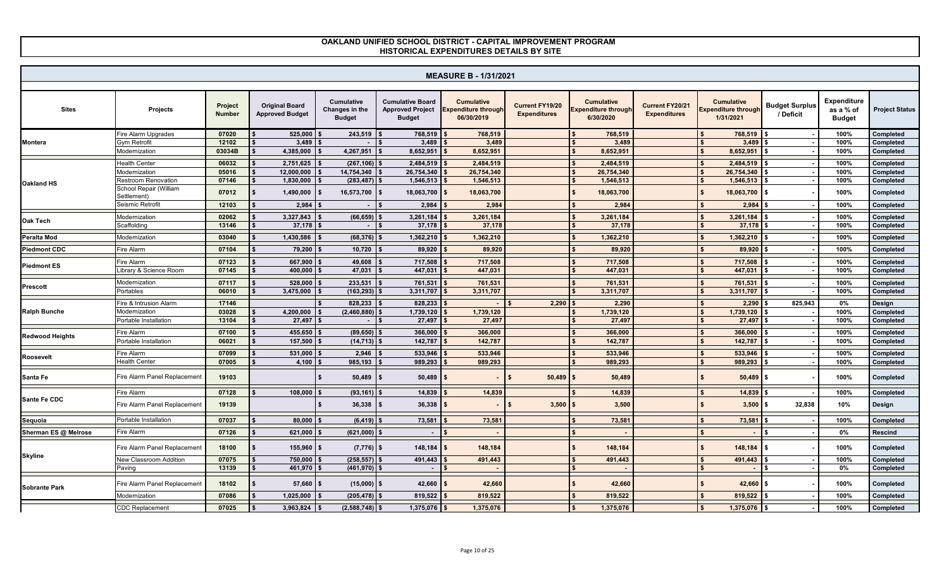|                        |                                       |                          |                                                 |                                                      |                                                                     | <b>MEASURE B - 1/31/2021</b>                           |                                               |                                                              |                                        |                                                              |                                    |                                                  |                       |
|------------------------|---------------------------------------|--------------------------|-------------------------------------------------|------------------------------------------------------|---------------------------------------------------------------------|--------------------------------------------------------|-----------------------------------------------|--------------------------------------------------------------|----------------------------------------|--------------------------------------------------------------|------------------------------------|--------------------------------------------------|-----------------------|
| <b>Sites</b>           | <b>Projects</b>                       | Project<br><b>Number</b> | <b>Original Board</b><br><b>Approved Budget</b> | <b>Cumulative</b><br>Changes in the<br><b>Budget</b> | <b>Cumulative Board</b><br><b>Approved Project</b><br><b>Budget</b> | <b>Cumulative</b><br>Expenditure through<br>06/30/2019 | <b>Current FY19/20</b><br><b>Expenditures</b> | <b>Cumulative</b><br><b>Expenditure through</b><br>6/30/2020 | Current FY20/21<br><b>Expenditures</b> | <b>Cumulative</b><br><b>Expenditure through</b><br>1/31/2021 | <b>Budget Surplus</b><br>/ Deficit | <b>Expenditure</b><br>as a % of<br><b>Budget</b> | <b>Project Status</b> |
|                        | <b>Fire Alarm Upgrades</b>            | 07020                    | $525,000$ \ \$                                  | 243.519                                              | 768.519                                                             | 768,519                                                |                                               | 768,519                                                      |                                        | 768.519                                                      |                                    | 100%                                             | <b>Completed</b>      |
| <b>Montera</b>         | <b>3ym Retrofit</b>                   | 12102                    | 3,489                                           |                                                      | 3,489                                                               | 3,489                                                  |                                               | 3.489                                                        |                                        | 3,489                                                        |                                    | 100%                                             | Completed             |
|                        | Modernization                         | 03034B                   | 4,385,000                                       | 4,267,951                                            | 8,652,951                                                           | 8,652,951                                              |                                               | 8,652,951                                                    |                                        | 8,652,951                                                    |                                    | 100%                                             | Completed             |
|                        | <b>Health Center</b>                  | 06032                    | 2,751,625                                       | (267, 106)                                           | 2,484,519                                                           | 2.484.519                                              |                                               | 2.484.519                                                    |                                        | 2.484.519                                                    |                                    | 100%                                             | Completed             |
|                        | Modernization                         | 05016                    | 12,000,000                                      | 14,754,340                                           | 26,754,340                                                          | 26,754,340                                             |                                               | 26,754,340                                                   |                                        | 26,754,340                                                   |                                    | 100%                                             | Completed             |
| <b>Oakland HS</b>      | <b>Restroom Renovation</b>            | 07146                    | 1,830,000                                       | $(283, 487)$ \$                                      | 1,546,513                                                           | 1,546,513                                              |                                               | 1,546,513                                                    |                                        | 1,546,513                                                    |                                    | 100%                                             | Completed             |
|                        | School Repair (William<br>Settlement) | 07012                    | 1,490,000                                       | $16,573,700$ \$                                      | 18,063,700                                                          | 18,063,700                                             |                                               | $\mathbf{s}$<br>18,063,700                                   |                                        | 18,063,700                                                   | - \$                               | 100%                                             | Completed             |
|                        | Seismic Retrofit                      | 12103                    | 2,984                                           |                                                      | 2,984                                                               | 2,984                                                  |                                               | 2,984                                                        |                                        | 2,984                                                        |                                    | 100%                                             | Completed             |
| <b>Oak Tech</b>        | Modernization                         | 02062                    | 3,327,843                                       | (66, 659)                                            | 3,261,184                                                           | 3,261,184                                              |                                               | 3,261,184                                                    |                                        | 3,261,184                                                    |                                    | 100%                                             | Completed             |
|                        | Scaffolding                           | 13146                    | 37,178                                          |                                                      | 37,178                                                              | 37,178                                                 |                                               | 37.178                                                       |                                        | 37,178                                                       |                                    | 100%                                             | Completed             |
| <b>Peralta Mod</b>     | Modernization                         | 03040                    | 1,430,586                                       | (68, 376)                                            | 1,362,210                                                           | 1,362,210                                              |                                               | 1,362,210                                                    |                                        | 1,362,210                                                    |                                    | 100%                                             | Completed             |
| <b>Piedmont CDC</b>    | Fire Alarm                            | 07104                    | 79,200                                          | 10,720                                               | 89,920                                                              | 89,920                                                 |                                               | 89.920                                                       |                                        | 89,920                                                       |                                    | 100%                                             |                       |
|                        |                                       |                          |                                                 |                                                      |                                                                     |                                                        |                                               |                                                              |                                        |                                                              |                                    |                                                  | Completed             |
| <b>Piedmont ES</b>     | Fire Alarm                            | 07123                    | 667,900                                         | 49,608                                               | 717,508                                                             | 717,508                                                |                                               | 717.508                                                      |                                        | 717,508                                                      |                                    | 100%                                             | Completed             |
|                        | Library & Science Room                | 07145                    | 400.000                                         | 47,031                                               | 447.031                                                             | 447.031                                                |                                               | 447.031                                                      |                                        | 447.031                                                      |                                    | 100%                                             | <b>Completed</b>      |
| <b>Prescott</b>        | Modernization                         | 07117                    | 528.000                                         | 233,531                                              | 761,531                                                             | 761,531                                                |                                               | 761,531                                                      |                                        | 761.531                                                      |                                    | 100%                                             | Completed             |
|                        | Portables                             | 06010                    | 3,475,000                                       | (163, 293)                                           | 3,311,707                                                           | 3,311,707                                              |                                               | 3,311,707                                                    |                                        | 3,311,707                                                    |                                    | 100%                                             | Completed             |
|                        | Fire & Intrusion Alarm                | 17146                    |                                                 | 828.233                                              | 828,233                                                             |                                                        | 2,290                                         | 2.290                                                        |                                        | 2.290                                                        | 825.943                            | 0%                                               | Design                |
| <b>Ralph Bunche</b>    | Modernization                         | 03028                    | 4,200,000                                       | (2,460,880)                                          | 1,739,120                                                           | 1,739,120                                              |                                               | 1,739,120                                                    |                                        | 1,739,120                                                    |                                    | 100%                                             | Completed             |
|                        | Portable Installation                 | 13104                    | 27,497                                          | $\sim$                                               | 27,497                                                              | 27,497                                                 |                                               | 27,497<br>\$                                                 |                                        | 27,497                                                       |                                    | 100%                                             | Completed             |
|                        | Fire Alarm                            | 07100                    | 455,650                                         | (89, 650)                                            | 366,000                                                             | 366,000                                                |                                               | 366,000                                                      |                                        | 366,000                                                      |                                    | 100%                                             | Completed             |
| <b>Redwood Heights</b> | Portable Installation                 | 06021                    | 157,500                                         | $(14, 713)$ \$                                       | 142,787                                                             | 142,787                                                |                                               | 142,787<br>\$                                                |                                        | 142,787                                                      |                                    | 100%                                             | Completed             |
|                        | Fire Alarm                            | 07099                    | 531,000                                         | 2.946                                                | 533,946                                                             | 533.946                                                |                                               | 533,946                                                      |                                        | 533.946                                                      |                                    | 100%                                             | Completed             |
| <b>Roosevelt</b>       | <b>Health Center</b>                  | 07005                    | 4.100                                           | 985.193                                              | 989.293                                                             | 989.293                                                |                                               | 989.293                                                      |                                        | 989.293                                                      |                                    | 100%                                             | Completed             |
| Santa Fe               | Fire Alarm Panel Replacemen           | 19103                    |                                                 | 50,489                                               | 50,489                                                              |                                                        | 50,489                                        | 50,489<br>\$                                                 |                                        | $50,489$ \$                                                  |                                    | 100%                                             | Completed             |
|                        |                                       |                          |                                                 |                                                      |                                                                     |                                                        |                                               |                                                              |                                        |                                                              |                                    |                                                  |                       |
| Sante Fe CDC           | Fire Alarm                            | 07128                    | 108.000                                         | (93, 161)                                            | 14,839                                                              | 14,839                                                 |                                               | 14,839                                                       |                                        | 14.839                                                       |                                    | 100%                                             | Completed             |
|                        | Fire Alarm Panel Replacement          | 19139                    |                                                 | 36,338                                               | 36,338                                                              |                                                        | 3,500                                         | 3,500                                                        |                                        | 3,500                                                        | 32,838<br>\$                       | 10%                                              | Design                |
| Sequoia                | Portable Installation                 | 07037                    | 80,000                                          | (6, 419)                                             | 73,581                                                              | 73,581                                                 |                                               | 73,581                                                       |                                        | 73,581                                                       |                                    | 100%                                             | Completed             |
| Sherman ES @ Melrose   | <b>Fire Alarm</b>                     | 07126                    | 621,000                                         | (621,000)                                            |                                                                     |                                                        |                                               |                                                              |                                        |                                                              |                                    | 0%                                               | <b>Rescind</b>        |
|                        | Fire Alarm Panel Replacemen           | 18100                    | 155,960                                         | $(7,776)$ \$                                         | 148,184                                                             | 148,184                                                |                                               | 148,184                                                      |                                        | 148,184                                                      | £.                                 | 100%                                             | Completed             |
| <b>Skyline</b>         | <b>New Classroom Addition</b>         | 07075                    | 750,000                                         | (258, 557)                                           | 491,443                                                             | 491,443                                                |                                               | 491.443                                                      |                                        | 491.443                                                      |                                    | 100%                                             | Completed             |
|                        | Paving                                | 13139                    | 461,970                                         | (461, 970)                                           |                                                                     |                                                        |                                               |                                                              |                                        |                                                              |                                    | 0%                                               | Completed             |
| <b>Sobrante Park</b>   | Fire Alarm Panel Replacemen           | 18102                    | 57,660                                          | $(15,000)$ \$                                        | 42,660                                                              | 42,660                                                 |                                               | 42,660                                                       |                                        | $42,660$ \$                                                  |                                    | 100%                                             | Completed             |
|                        | Modernization                         | 07086                    | 1,025,000                                       | (205, 478)                                           | 819,522                                                             | 819,522                                                |                                               | 819,522                                                      |                                        | 819,522                                                      |                                    | 100%                                             | Completed             |
|                        | <b>CDC Replacement</b>                | 07025                    | 3,963,824                                       | (2, 588, 748)                                        | 1,375,076                                                           | 1,375,076                                              |                                               | 1,375,076                                                    |                                        | 1,375,076                                                    |                                    | 100%                                             | Completed             |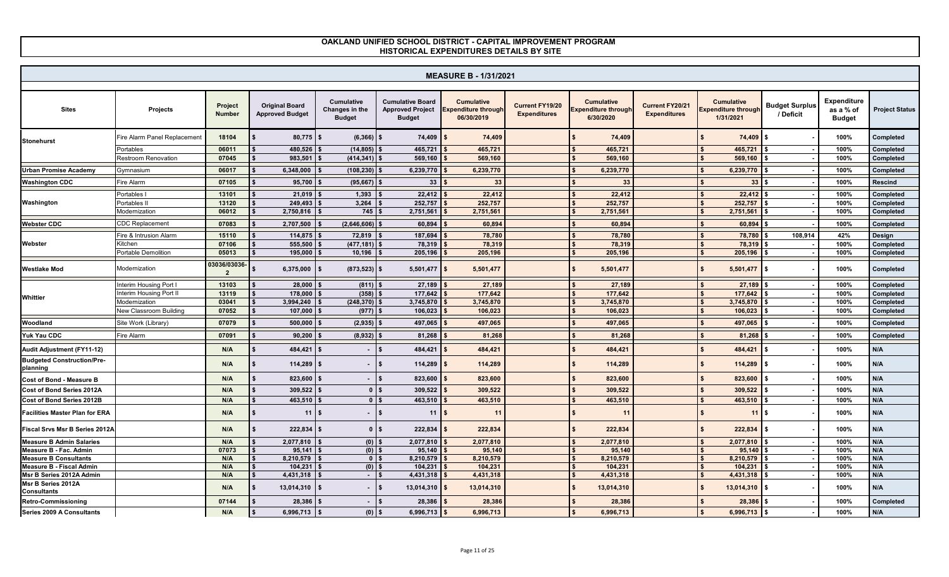|                                                |                             |                               |                                                 |                                                      |                                                                     | <b>MEASURE B - 1/31/2021</b>                                  |                                               |                                                              |                                        |                                                              |                                    |                                                  |                        |
|------------------------------------------------|-----------------------------|-------------------------------|-------------------------------------------------|------------------------------------------------------|---------------------------------------------------------------------|---------------------------------------------------------------|-----------------------------------------------|--------------------------------------------------------------|----------------------------------------|--------------------------------------------------------------|------------------------------------|--------------------------------------------------|------------------------|
| <b>Sites</b>                                   | <b>Projects</b>             | Project<br><b>Number</b>      | <b>Original Board</b><br><b>Approved Budget</b> | <b>Cumulative</b><br>Changes in the<br><b>Budget</b> | <b>Cumulative Board</b><br><b>Approved Project</b><br><b>Budget</b> | <b>Cumulative</b><br><b>Expenditure through</b><br>06/30/2019 | <b>Current FY19/20</b><br><b>Expenditures</b> | <b>Cumulative</b><br><b>Expenditure through</b><br>6/30/2020 | Current FY20/21<br><b>Expenditures</b> | <b>Cumulative</b><br><b>Expenditure through</b><br>1/31/2021 | <b>Budget Surplus</b><br>/ Deficit | <b>Expenditure</b><br>as a % of<br><b>Budget</b> | <b>Project Status</b>  |
| <b>Stonehurst</b>                              | Fire Alarm Panel Replacemen | 18104                         | $80,775$ \$                                     | (6, 366)                                             | 74,409<br>\$                                                        | 74,409                                                        |                                               | 74,409                                                       |                                        | 74,409                                                       | Ŝ.                                 | 100%                                             | Completed              |
|                                                | Portables                   | 06011                         | 480,526                                         | (14, 805)                                            | 465,721                                                             | 465,721                                                       |                                               | 465,721                                                      |                                        | 465,721                                                      |                                    | 100%                                             | Completed              |
|                                                | <b>Restroom Renovation</b>  | 07045                         | 983,501                                         | (414,341)   \$                                       | 569,160                                                             | 569,160                                                       |                                               | 569,160                                                      |                                        | 569,160                                                      |                                    | 100%                                             | Completed              |
| <b>Urban Promise Academv</b>                   | Gymnasium                   | 06017                         | 6,348,000                                       | (108, 230)                                           | 6,239,770                                                           | 6,239,770                                                     |                                               | 6,239,770                                                    |                                        | 6,239,770                                                    |                                    | 100%                                             | Completed              |
| <b>Washington CDC</b>                          | <b>Fire Alarm</b>           | 07105                         | 95,700                                          | (95, 667)                                            | 33 <sup>2</sup>                                                     | 33                                                            |                                               | 33                                                           |                                        | 33                                                           |                                    | 100%                                             | <b>Rescind</b>         |
|                                                |                             |                               |                                                 |                                                      |                                                                     |                                                               |                                               |                                                              |                                        |                                                              |                                    |                                                  |                        |
| Washington                                     | Portables<br>Portables II   | 13101<br>13120                | 21,019<br>249.493                               | 1,393<br>3,264                                       | 22,412<br>252,757                                                   | 22,412<br>252,757                                             |                                               | 22,412<br>252.757                                            |                                        | 22,412<br>252,757                                            |                                    | 100%<br>100%                                     | Completed<br>Completed |
|                                                | Modernization               | 06012                         | 2,750,816                                       | 745                                                  | 2,751,561                                                           | 2,751,561                                                     |                                               | 2,751,561                                                    |                                        | 2,751,561                                                    |                                    | 100%                                             | Completed              |
|                                                |                             |                               |                                                 |                                                      |                                                                     |                                                               |                                               |                                                              |                                        |                                                              |                                    |                                                  |                        |
| <b>Webster CDC</b>                             | $\mathsf{CDC}$ Replacement  | 07083                         | 2,707,500                                       | (2,646,606)                                          | 60,894                                                              | 60,894                                                        |                                               | 60.894                                                       |                                        | 60,894                                                       |                                    | 100%                                             | Completed              |
|                                                | Fire & Intrusion Alarm      | 15110                         | $114.875$ \$                                    | 72,819                                               | 187,694                                                             | 78,780                                                        |                                               | 78.780<br><sup>\$</sup>                                      |                                        | 78,780                                                       | 108.914                            | 42%                                              | Design                 |
| Webster                                        | Kitchen                     | 07106                         | 555,500                                         | (477, 181)                                           | 78,319                                                              | 78,319                                                        |                                               | 78,319<br>\$                                                 |                                        | 78,319                                                       |                                    | 100%                                             | Completed              |
|                                                | Portable Demolition         | 05013                         | 195,000                                         | 10,196                                               | 205,196                                                             | 205,196                                                       |                                               | 205,196                                                      |                                        | 205,196                                                      |                                    | 100%                                             | Completed              |
| <b>Westlake Mod</b>                            | Modernization               | 03036/03036<br>$\overline{2}$ | 6,375,000                                       | (873, 523)                                           | 5,501,477                                                           | 5,501,477                                                     |                                               | 5,501,477                                                    |                                        | 5,501,477                                                    | \$                                 | 100%                                             | Completed              |
|                                                | Interim Housing Port I      | 13103                         | 28,000                                          | (811)                                                | 27,189                                                              | 27,189                                                        |                                               | 27,189                                                       |                                        | 27,189                                                       |                                    | 100%                                             | Completed              |
| Whittier                                       | Interim Housing Port II     | 13119                         | 178,000                                         | (358)                                                | 177.642                                                             | 177.642                                                       |                                               | 177.642                                                      |                                        | 177.642                                                      |                                    | 100%                                             | <b>Completed</b>       |
|                                                | Modernization               | 03041                         | 3,994,240                                       | $(248, 370)$ \$                                      | 3,745,870                                                           | 3,745,870                                                     |                                               | 3,745,870<br>\$                                              |                                        | 3,745,870                                                    |                                    | 100%                                             | Completed              |
|                                                | New Classroom Building      | 07052                         | 107,000                                         | $(977)$ \$                                           | 106,023                                                             | 106,023                                                       |                                               | 106,023                                                      |                                        | 106,023                                                      |                                    | 100%                                             | Completed              |
| Woodland                                       | Site Work (Library)         | 07079                         | 500,000                                         | (2, 935)                                             | 497,065                                                             | 497,065                                                       |                                               | $\mathbf{s}$<br>497,065                                      |                                        | 497,065                                                      |                                    | 100%                                             | Completed              |
| Yuk Yau CDC                                    | <b>Fire Alarm</b>           | 07091                         | 90,200                                          | (8,932)                                              | 81,268                                                              | 81,268                                                        |                                               | 81,268<br>$\mathbf{s}$                                       |                                        | 81,268<br>\$                                                 |                                    | 100%                                             | Completed              |
| Audit Adjustment (FY11-12)                     |                             | N/A                           | 484,421                                         |                                                      | \$<br>484,421                                                       | 484,421                                                       |                                               | $\mathbf{s}$<br>484,421                                      |                                        | 484,421                                                      |                                    | 100%                                             | N/A                    |
| <b>Budgeted Construction/Pre-</b><br>planning  |                             | N/A                           | 114,289                                         | $\sim$                                               | \$<br>114,289                                                       | 114,289                                                       |                                               | 114,289<br>\$                                                |                                        | 114,289                                                      | \$                                 | 100%                                             | N/A                    |
| <b>Cost of Bond - Measure B</b>                |                             | N/A                           | 823,600                                         | $\sim$                                               | 823,600<br>\$.                                                      | 823,600                                                       |                                               | $\mathbf{S}$<br>823,600                                      |                                        | 823,600                                                      |                                    | 100%                                             | N/A                    |
| Cost of Bond Series 2012A                      |                             | N/A                           | 309,522                                         | $\mathbf{0}$                                         | 309,522<br><b>S</b>                                                 | 309,522                                                       |                                               | 309,522                                                      |                                        | 309,522                                                      |                                    | 100%                                             | N/A                    |
| Cost of Bond Series 2012B                      |                             | N/A                           | 463,510                                         | 0 <sup>1</sup>                                       | 463,510                                                             | 463,510                                                       |                                               | 463,510                                                      |                                        | 463,510                                                      |                                    | 100%                                             | N/A                    |
| <b>Facilities Master Plan for ERA</b>          |                             | N/A                           | 11                                              | $\sim$                                               | \$<br>11                                                            | $\cdot$                                                       |                                               | $\mathbf{s}$<br>11                                           |                                        | 11                                                           | Ŝ.                                 | 100%                                             | N/A                    |
| <b>Fiscal Srvs Msr B Series 2012A</b>          |                             | N/A                           | 222.834                                         | $\mathbf{0}$                                         | $\mathbf{\hat{s}}$<br>222.834                                       | 222,834                                                       |                                               | $\mathbf{s}$<br>222.834                                      |                                        | 222.834                                                      | \$                                 | 100%                                             | N/A                    |
| <b>Measure B Admin Salaries</b>                |                             | N/A                           | 2,077,810                                       | $(0)$ \$                                             | 2,077,810                                                           | 2,077,810                                                     |                                               | 2,077,810<br><sup>\$</sup>                                   |                                        | 2,077,810                                                    |                                    | 100%                                             | N/A                    |
| Measure B - Fac. Admin                         |                             | 07073                         | 95,141                                          | $(0)$ \$                                             | 95,140                                                              | 95,140                                                        |                                               | 95,140                                                       |                                        | 95,140                                                       |                                    | 100%                                             | N/A                    |
| <b>Measure B Consultants</b>                   |                             | N/A                           | 8,210,579                                       | 0 <sup>15</sup>                                      | 8,210,579                                                           | 8,210,579                                                     |                                               | 8,210,579                                                    |                                        | 8,210,579                                                    |                                    | 100%                                             | N/A                    |
| <b>Measure B - Fiscal Admin</b>                |                             | N/A                           | 104,231                                         | $(0)$ \$                                             | 104,231                                                             | 104,231                                                       |                                               | 104,231                                                      |                                        | 104,231                                                      |                                    | 100%                                             | N/A                    |
| Msr B Series 2012A Admin<br>Msr B Series 2012A |                             | N/A                           | 4,431,318                                       | $-1$ s                                               | 4,431,318                                                           | 4,431,318                                                     |                                               | 4,431,318                                                    |                                        | 4,431,318                                                    |                                    | 100%                                             | N/A                    |
| <b>Consultants</b>                             |                             | N/A                           | 13,014,310                                      | $\sim$                                               | 13,014,310<br>Ŝ.                                                    | 13,014,310                                                    |                                               | 13,014,310                                                   |                                        | 13,014,310                                                   | - \$                               | 100%                                             | N/A                    |
| <b>Retro-Commissioning</b>                     |                             | 07144                         | 28,386                                          | $\sim$                                               | \$<br>28,386                                                        | 28,38                                                         |                                               | 28,386                                                       |                                        | 28,386                                                       |                                    | 100%                                             | Completed              |
| Series 2009 A Consultants                      |                             | N/A                           | 6,996,713                                       | $(0)$ \$                                             | 6,996,713                                                           | 6,996,713                                                     |                                               | 6,996,713                                                    |                                        | 6,996,713                                                    |                                    | 100%                                             | N/A                    |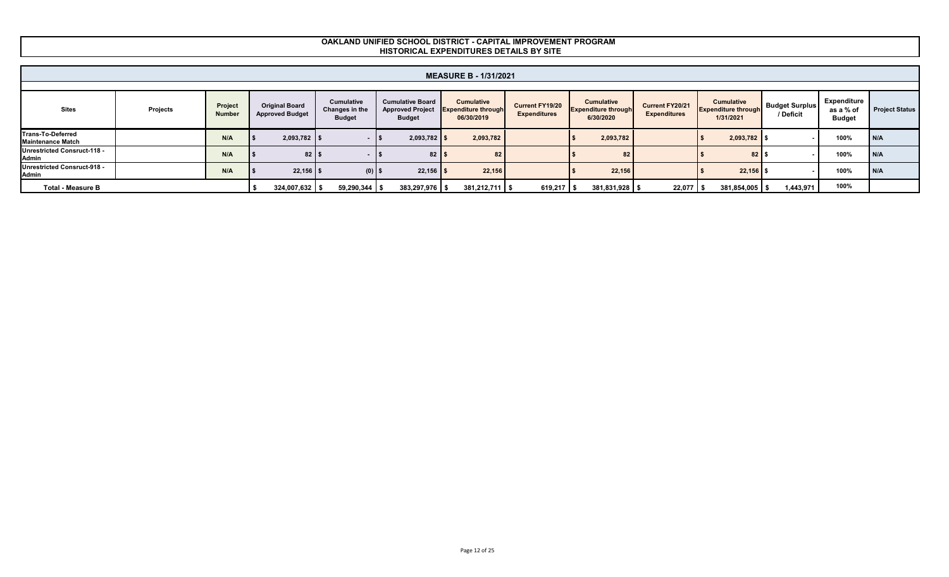|                                                      |          |                          |                                                 |                                               |                                                                     | <b>MEASURE B - 1/31/2021</b>                                  |                                               |                                                              |                                        |                                                              |                                    |                                           |                       |
|------------------------------------------------------|----------|--------------------------|-------------------------------------------------|-----------------------------------------------|---------------------------------------------------------------------|---------------------------------------------------------------|-----------------------------------------------|--------------------------------------------------------------|----------------------------------------|--------------------------------------------------------------|------------------------------------|-------------------------------------------|-----------------------|
|                                                      |          |                          |                                                 |                                               |                                                                     |                                                               |                                               |                                                              |                                        |                                                              |                                    |                                           |                       |
| Sites                                                | Projects | Project<br><b>Number</b> | <b>Original Board</b><br><b>Approved Budget</b> | Cumulative<br>Changes in the<br><b>Budget</b> | <b>Cumulative Board</b><br><b>Approved Project</b><br><b>Budget</b> | <b>Cumulative</b><br><b>Expenditure through</b><br>06/30/2019 | <b>Current FY19/20</b><br><b>Expenditures</b> | <b>Cumulative</b><br><b>Expenditure through</b><br>6/30/2020 | Current FY20/21<br><b>Expenditures</b> | <b>Cumulative</b><br><b>Expenditure through</b><br>1/31/2021 | <b>Budget Surplus</b><br>/ Deficit | Expenditure<br>as a % of<br><b>Budget</b> | <b>Project Status</b> |
| <b>Trans-To-Deferred</b><br><b>Maintenance Match</b> |          | N/A                      | $2,093,782$ \$                                  |                                               | $2,093,782$ \$                                                      | 2,093,782                                                     |                                               | 2,093,782                                                    |                                        | $2,093,782$ \$                                               |                                    | 100%                                      | I N/A                 |
| Unrestricted Consruct-118 -<br>Admin                 |          | N/A                      | 82 <sup>°</sup>                                 |                                               | 82 <sub>1</sub>                                                     | 82                                                            |                                               | 82                                                           |                                        | 82 <sub>1</sub>                                              |                                    | 100%                                      | I N/A                 |
| Unrestricted Consruct-918 -<br>Admin                 |          | N/A                      | $22,156$ \$                                     | (0)                                           | $22,156$ \$                                                         | 22,156                                                        |                                               | 22,156                                                       |                                        | $22,156$ \$                                                  |                                    | 100%                                      | I N/A                 |
| <b>Total - Measure B</b>                             |          |                          | $324,007,632$ \$                                | $59,290,344$ \$                               | $383,297,976$ \$                                                    | $381,212,711$ \$                                              | 619,217                                       | 381,831,928 \$                                               | $22,077$ \$                            | 381,854,005 \$                                               | 1,443,971                          | 100%                                      |                       |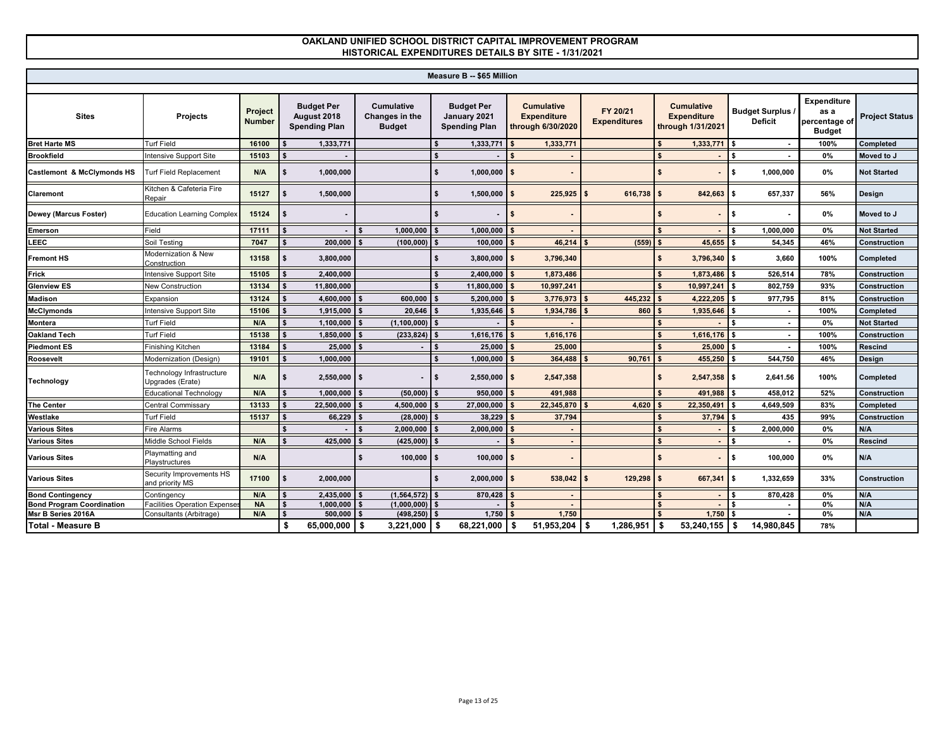|                                  |                                               |                          |                                                          |                                                      |      | Measure B -- \$65 Million                                 |                                                              |                                 |                    |                                                              |    |                                           |                                                              |                       |
|----------------------------------|-----------------------------------------------|--------------------------|----------------------------------------------------------|------------------------------------------------------|------|-----------------------------------------------------------|--------------------------------------------------------------|---------------------------------|--------------------|--------------------------------------------------------------|----|-------------------------------------------|--------------------------------------------------------------|-----------------------|
|                                  |                                               |                          |                                                          |                                                      |      |                                                           |                                                              |                                 |                    |                                                              |    |                                           |                                                              |                       |
| <b>Sites</b>                     | Projects                                      | Project<br><b>Number</b> | <b>Budget Per</b><br>August 2018<br><b>Spending Plan</b> | <b>Cumulative</b><br>Changes in the<br><b>Budget</b> |      | <b>Budget Per</b><br>January 2021<br><b>Spending Plan</b> | <b>Cumulative</b><br><b>Expenditure</b><br>through 6/30/2020 | FY 20/21<br><b>Expenditures</b> |                    | <b>Cumulative</b><br><b>Expenditure</b><br>through 1/31/2021 |    | <b>Budget Surplus /</b><br><b>Deficit</b> | <b>Expenditure</b><br>as a<br>percentage of<br><b>Budget</b> | <b>Project Status</b> |
| <b>Bret Harte MS</b>             | <b>Turf Field</b>                             | 16100                    | 1,333,771                                                |                                                      |      | 1,333,771                                                 | 1,333,771                                                    |                                 |                    | $1,333,771$ \$                                               |    |                                           | 100%                                                         | Completed             |
| <b>Brookfield</b>                | ntensive Support Site                         | 15103                    |                                                          |                                                      |      |                                                           |                                                              |                                 |                    |                                                              |    |                                           | 0%                                                           | Moved to J            |
| Castlemont & McClymonds HS       | <b>Turf Field Replacement</b>                 | N/A                      | 1,000,000                                                |                                                      |      | 1,000,000                                                 |                                                              |                                 |                    |                                                              | S. | 1,000,000                                 | 0%                                                           | <b>Not Started</b>    |
| Claremont                        | Kitchen & Cafeteria Fire<br>Repair            | 15127                    | 1,500,000                                                |                                                      |      | 1,500,000                                                 | 225,925                                                      | 616,738                         | $\mathbf{\hat{f}}$ | 842,663 \$                                                   |    | 657,337                                   | 56%                                                          | Design                |
| Dewey (Marcus Foster)            | <b>Education Learning Complex</b>             | 15124                    |                                                          |                                                      |      |                                                           |                                                              |                                 |                    |                                                              |    |                                           | 0%                                                           | Moved to J            |
| Emerson                          | Field                                         | 17111                    |                                                          | 1,000,000                                            |      | 1,000,000                                                 |                                                              |                                 |                    |                                                              |    | 1,000,000                                 | 0%                                                           | <b>Not Started</b>    |
| LEEC                             | Soil Testing                                  | 7047                     | 200,000                                                  | (100, 000)                                           |      | 100,000                                                   | 46,214                                                       | (559)                           |                    | 45,655                                                       |    | 54,345                                    | 46%                                                          | Construction          |
| <b>Fremont HS</b>                | Modernization & New<br>Construction           | 13158                    | 3,800,000                                                |                                                      |      | 3,800,000                                                 | 3,796,340                                                    |                                 |                    | $3,796,340$ \$                                               |    | 3,660                                     | 100%                                                         | Completed             |
| Frick                            | ntensive Support Site                         | 15105                    | 2,400,000                                                |                                                      |      | 2,400,000                                                 | 1,873,486                                                    |                                 |                    | $1,873,486$ \$                                               |    | 526,514                                   | 78%                                                          | Construction          |
| <b>Glenview ES</b>               | <b>New Construction</b>                       | 13134                    | 11,800,000                                               |                                                      |      | 11,800,000                                                | 10,997,241                                                   |                                 |                    | 10,997,241 \$                                                |    | 802,759                                   | 93%                                                          | Construction          |
| <b>Madison</b>                   | Expansion                                     | 13124                    | 4,600,000                                                | 600,000                                              |      | 5,200,000                                                 | 3,776,973                                                    | 445,232                         |                    | $4,222,205$ \$                                               |    | 977,795                                   | 81%                                                          | Construction          |
| <b>McClymonds</b>                | ntensive Support Site                         | 15106                    | 1,915,000                                                | 20,646                                               |      | 1,935,646                                                 | 1,934,786                                                    | 860                             |                    | 1,935,646                                                    |    |                                           | 100%                                                         | Completed             |
| <b>Montera</b>                   | <b>Turf Field</b>                             | N/A                      | 1,100,000                                                | (1, 100, 000)                                        |      |                                                           |                                                              |                                 |                    |                                                              |    |                                           | 0%                                                           | <b>Not Started</b>    |
| <b>Oakland Tech</b>              | <b>Turf Field</b>                             | 15138                    | 1,850,000                                                | (233, 824)                                           |      | 1,616,176                                                 | 1,616,176                                                    |                                 |                    | 1,616,176                                                    |    |                                           | 100%                                                         | Construction          |
| <b>Piedmont ES</b>               | Finishing Kitchen                             | 13184                    | 25,000                                                   |                                                      |      | 25,000                                                    | 25,000                                                       |                                 |                    | 25,000                                                       |    |                                           | 100%                                                         | <b>Rescind</b>        |
| Roosevelt                        | Modernization (Design)                        | 19101                    | 1,000,000                                                |                                                      |      | 1,000,000                                                 | 364,488                                                      | 90,761                          |                    | 455,250 \$                                                   |    | 544,750                                   | 46%                                                          | Design                |
| <b>Technology</b>                | Technology Infrastructure<br>Jpgrades (Erate) | N/A                      | $2,550,000$ \ \$<br>\$                                   |                                                      | l \$ | $2,550,000$ \$                                            | 2,547,358                                                    |                                 |                    | $2,547,358$ \$                                               |    | 2,641.56                                  | 100%                                                         | Completed             |
|                                  | Educational Technology                        | N/A                      | 1.000.000                                                | (50,000)                                             |      | 950,000                                                   | 491,988                                                      |                                 |                    | 491,988 \$                                                   |    | 458,012                                   | 52%                                                          | <b>Construction</b>   |
| <b>The Center</b>                | <b>Central Commissary</b>                     | 13133                    | 22,500,000                                               | 4,500,000                                            |      | 27,000,000                                                | 22,345,870                                                   | 4,620                           |                    | 22,350,491                                                   |    | 4,649,509                                 | 83%                                                          | Completed             |
| Westlake                         | <b>Turf Field</b>                             | 15137                    | 66,229                                                   | (28,000)                                             |      | 38,229                                                    | 37,794                                                       |                                 |                    | 37,794                                                       |    | 435                                       | 99%                                                          | Construction          |
| <b>Various Sites</b>             | Fire Alarms                                   |                          |                                                          | 2,000,000                                            |      | 2,000,000                                                 |                                                              |                                 |                    |                                                              |    | 2,000,000                                 | 0%                                                           | N/A                   |
| <b>Various Sites</b>             | Middle School Fields                          | N/A                      | 425,000                                                  | (425,000)                                            |      |                                                           |                                                              |                                 |                    |                                                              |    |                                           | 0%                                                           | <b>Rescind</b>        |
| <b>Various Sites</b>             | Playmatting and<br><b>Playstructures</b>      | N/A                      |                                                          | 100.000                                              |      | 100.000                                                   |                                                              |                                 |                    |                                                              |    | 100.000                                   | 0%                                                           | N/A                   |
| <b>Various Sites</b>             | Security Improvements HS<br>and priority MS   | 17100                    | 2,000,000                                                |                                                      |      | 2,000,000                                                 | 538,042                                                      | 129,298                         |                    | 667,341 \$                                                   |    | 1,332,659                                 | 33%                                                          | Construction          |
| <b>Bond Contingency</b>          | Contingency                                   | N/A                      | 2,435,000                                                | (1,564,572)                                          |      | 870,428                                                   |                                                              |                                 |                    | $\overline{a}$                                               |    | 870,428                                   | 0%                                                           | N/A                   |
| <b>Bond Program Coordination</b> | <b>Facilities Operation Expenses</b>          | <b>NA</b>                | 1.000.000                                                | (1,000,000)                                          |      |                                                           |                                                              |                                 |                    |                                                              |    |                                           | 0%                                                           | N/A                   |
| Msr B Series 2016A               | Consultants (Arbitrage)                       | N/A                      | 500.000                                                  | (498.250)                                            |      | 1.750                                                     | 1,750                                                        |                                 |                    | 1.750                                                        |    | $\sim$                                    | 0%                                                           | N/A                   |
| <b>Total - Measure B</b>         |                                               |                          | \$<br>$65,000,000$ \ \$                                  | $3,221,000$ \$                                       |      | 68.221.000                                                | 51,953,204                                                   | \$<br>1,286,951                 | \$                 | $53,240,155$ \$                                              |    | 14,980,845                                | 78%                                                          |                       |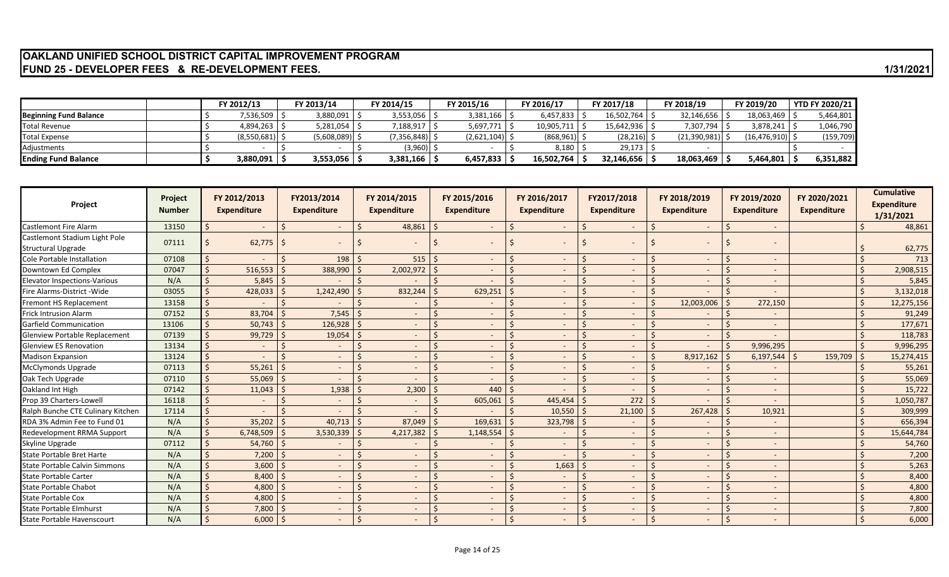# **OAKLAND UNIFIED SCHOOL DISTRICT CAPITAL IMPROVEMENT PROGRAM FUND 25 - DEVELOPER FEES & RE-DEVELOPMENT FEES. 1/31/2021**

|                               | FY 2012/13    | FY 2013/14  | FY 2014/15       | FY 2015/16       | <b>FY 2016/17</b> | FY 2017/18   | FY 2018/19   | FY 2019/20     | <b>YTD FY 2020/21</b> |
|-------------------------------|---------------|-------------|------------------|------------------|-------------------|--------------|--------------|----------------|-----------------------|
| <b>Beginning Fund Balance</b> | \$   536,509. | 3,880,091   | 3,553,056        | 3,381,166        | 6,457,833         | 16,502,764   | 32,146,656   | 18,063,469     | 5,464,801             |
| <b>Fotal Revenue</b>          | 4.894.263 \$  | 5,281,054   | 188,917          | 5,697,771        | 10.905.711        | 15.642.936 S | 7,307,794    | 3,878,241      | 1,046,790             |
| <b>Total Expense</b>          | (8,550,681)   | (5,608,089) | $(7,356,848)$ \$ | $(2,621,104)$ \$ | $(868, 961)$ \;   | (28, 216)    | (21,390,981) | (16, 476, 910) | (159, 709)            |
| Adjustments                   |               |             | (3,960) \$       |                  | 8,180             | 29,173       |              |                |                       |
| <b>Ending Fund Balance</b>    | 3,880,091丨    | 3,553,056   | 3,381,166        | 6,457,833        | 16,502,764        | 32,146,656   | 18,063,469   | 5,464,801      | 6,351,882             |

| Project                              | Project<br><b>Number</b> |              | FY 2012/2013<br><b>Expenditure</b> |              | FY2013/2014<br><b>Expenditure</b> | FY 2014/2015<br><b>Expenditure</b> | FY 2015/2016<br><b>Expenditure</b> |    | FY 2016/2017<br><b>Expenditure</b> |   | FY2017/2018<br><b>Expenditure</b> | FY 2018/2019<br><b>Expenditure</b> | FY 2019/2020<br><b>Expenditure</b> | FY 2020/2021<br><b>Expenditure</b> | <b>Cumulative</b><br><b>Expenditure</b><br>1/31/2021 |
|--------------------------------------|--------------------------|--------------|------------------------------------|--------------|-----------------------------------|------------------------------------|------------------------------------|----|------------------------------------|---|-----------------------------------|------------------------------------|------------------------------------|------------------------------------|------------------------------------------------------|
| <b>Castlemont Fire Alarm</b>         | 13150                    |              | $\sim$                             |              | $\sim$                            | 48,861                             |                                    | S. |                                    | Ś | $\sim$                            | $\overline{\phantom{a}}$           | $\overline{\phantom{0}}$           |                                    | 48,861                                               |
| Castlemont Stadium Light Pole        | 07111                    |              | 62,775                             |              |                                   |                                    |                                    |    |                                    |   |                                   |                                    |                                    |                                    |                                                      |
| <b>Structural Upgrade</b>            |                          |              |                                    |              | $\sim$                            | $\overline{\phantom{a}}$           |                                    |    |                                    |   | $\overline{\phantom{a}}$          | $\overline{\phantom{a}}$           |                                    |                                    | 62,775                                               |
| Cole Portable Installation           | 07108                    | $\mathsf{S}$ |                                    |              | 198                               | 515                                |                                    |    |                                    |   | $\sim$                            | $\overline{\phantom{a}}$           |                                    |                                    | 713                                                  |
| Downtown Ed Complex                  | 07047                    | Ś            | 516,553                            |              | 388,990                           | 2,002,972                          |                                    |    |                                    |   | $\sim$                            |                                    |                                    |                                    | 2,908,515                                            |
| <b>Elevator Inspections-Various</b>  | N/A                      | $\zeta$      | 5,845                              | l S          |                                   |                                    | $\zeta$                            | S, |                                    |   |                                   | ٠                                  |                                    |                                    | 5,845                                                |
| Fire Alarms-District - Wide          | 03055                    |              | 428,033                            |              | 1,242,490                         | 832,244                            | 629,251                            |    |                                    |   | $\sim$                            | $\overline{\phantom{a}}$           |                                    |                                    | 3,132,018                                            |
| Fremont HS Replacement               | 13158                    |              |                                    | <sup>5</sup> |                                   |                                    |                                    |    |                                    |   | $\sim$                            | 12,003,006                         | 272,150                            |                                    | 12,275,156                                           |
| <b>Frick Intrusion Alarm</b>         | 07152                    | ¢            | 83,704                             |              | 7,545                             | $\overline{\phantom{a}}$           |                                    |    |                                    |   | $\sim$                            |                                    |                                    |                                    | 91,249                                               |
| <b>Garfield Communication</b>        | 13106                    |              | 50,743                             | S.           | 126,928                           | $\overline{\phantom{a}}$           |                                    |    |                                    |   | $\sim$                            | $\overline{\phantom{a}}$           |                                    |                                    | 177,671                                              |
| <b>Glenview Portable Replacement</b> | 07139                    | Ś            | 99,729                             |              | 19,054                            | $\overline{\phantom{a}}$           |                                    |    |                                    |   | $\sim$                            | $\sim$                             |                                    |                                    | 118,783                                              |
| <b>Glenview ES Renovation</b>        | 13134                    |              |                                    |              | $\overline{\phantom{a}}$          | $\overline{\phantom{a}}$           |                                    |    |                                    |   | $\sim$                            |                                    | 9,996,295                          |                                    | 9,996,295                                            |
| <b>Madison Expansion</b>             | 13124                    | $\zeta$      |                                    |              | $\sim$                            | $\overline{\phantom{a}}$           |                                    |    |                                    |   | $\sim$                            | 8,917,162                          | 6,197,544                          | 159,709                            | 15,274,415                                           |
| <b>McClymonds Upgrade</b>            | 07113                    |              | 55,261                             |              |                                   |                                    |                                    |    |                                    |   |                                   |                                    |                                    |                                    | 55,261                                               |
| Oak Tech Upgrade                     | 07110                    |              | 55,069                             | $\zeta$      | $\sim$                            | $\overline{\phantom{a}}$           |                                    |    |                                    |   | $\sim$                            | $\sim$                             |                                    |                                    | 55,069                                               |
| Oakland Int High                     | 07142                    |              | 11,043                             |              | 1,938                             | 2,300                              | 440                                |    |                                    |   | $\sim$                            | $\overline{\phantom{a}}$           |                                    |                                    | 15,722                                               |
| Prop 39 Charters-Lowell              | 16118                    |              |                                    |              | $\overline{\phantom{a}}$          |                                    | 605,061                            |    | 445,454                            |   | 272                               |                                    |                                    |                                    | 1,050,787                                            |
| Ralph Bunche CTE Culinary Kitchen    | 17114                    | $\mathsf{S}$ |                                    |              |                                   |                                    |                                    |    | 10,550                             |   | 21,100                            | 267,428                            | 10,921                             |                                    | 309,999                                              |
| RDA 3% Admin Fee to Fund 01          | N/A                      | $\zeta$      | 35,202                             | $\zeta$      | 40,713                            | 87,049                             | 169,631                            |    | 323,798                            |   |                                   |                                    |                                    |                                    | 656,394                                              |
| <b>Redevelopment RRMA Support</b>    | N/A                      |              | 6,748,509                          | $\zeta$      | 3,530,339                         | 4,217,382                          | 1,148,554                          |    |                                    |   | $\sim$                            | $\sim$                             |                                    |                                    | 15,644,784                                           |
| Skyline Upgrade                      | 07112                    | Ś            | 54,760                             | -S           |                                   |                                    |                                    |    |                                    |   | $\sim$                            | $\overline{\phantom{a}}$           |                                    |                                    | 54,760                                               |
| State Portable Bret Harte            | N/A                      | Ś            | 7,200                              |              | $\sim$                            | $\overline{\phantom{a}}$           |                                    |    |                                    |   | $\sim$                            | $\overline{\phantom{a}}$           |                                    |                                    | 7,200                                                |
| <b>State Portable Calvin Simmons</b> | N/A                      | Ś            | 3,600                              |              |                                   |                                    |                                    |    | 1,663                              |   | $\sim$                            |                                    |                                    |                                    | 5,263                                                |
| <b>State Portable Carter</b>         | N/A                      | $\zeta$      | 8,400                              |              | $\sim$                            | $\overline{\phantom{a}}$           |                                    |    |                                    |   | <b>COL</b>                        | $\overline{\phantom{a}}$           |                                    |                                    | 8,400                                                |
| <b>State Portable Chabot</b>         | N/A                      | Ŝ.           | 4,800                              |              | $\sim$                            | $\overline{\phantom{a}}$           |                                    |    |                                    |   | $\sim$                            | $\overline{\phantom{a}}$           |                                    |                                    | 4,800                                                |
| <b>State Portable Cox</b>            | N/A                      | Ś            | 4,800                              |              | $\overline{\phantom{a}}$          | $\overline{\phantom{a}}$           |                                    |    |                                    |   | $\sim$                            | $\overline{\phantom{a}}$           | -                                  |                                    | 4,800                                                |
| <b>State Portable Elmhurst</b>       | N/A                      |              | 7,800                              |              |                                   | $\overline{\phantom{a}}$           |                                    |    |                                    |   | $\overline{\phantom{a}}$          | $\overline{\phantom{a}}$           | ۰.                                 |                                    | 7,800                                                |
| State Portable Havenscourt           | N/A                      | $\mathsf{S}$ | 6,000                              | l \$         |                                   |                                    |                                    |    |                                    |   |                                   |                                    |                                    |                                    | 6,000                                                |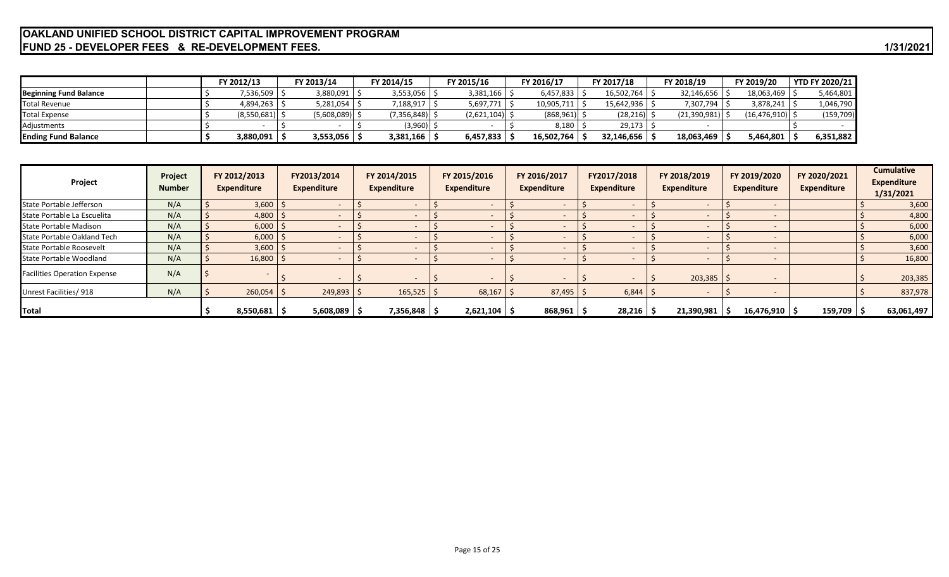# **OAKLAND UNIFIED SCHOOL DISTRICT CAPITAL IMPROVEMENT PROGRAM FUND 25 - DEVELOPER FEES & RE-DEVELOPMENT FEES. 1/31/2021**

|                               |  | FY 2012/13       | <sup>ፍ</sup> Y 2013/14 |             | FY 2014/15 |                  | FY 2015/16       | FY 2016/17 | FY 2017/18     | FY 2018/19   | FY 2019/20          | <b>YTD FY 2020/21</b> |
|-------------------------------|--|------------------|------------------------|-------------|------------|------------------|------------------|------------|----------------|--------------|---------------------|-----------------------|
| <b>Beginning Fund Balance</b> |  | ,536,509         |                        | 3,880,091   |            | 3,553,056        | 3,381,166        | 6,457,833  | 16,502,764     | 32,146,656   | 18,063,469 \$       | 5,464,801             |
| Total Revenue                 |  | $4,894,263$   :  |                        | 5,281,054   |            | 1,188,917        | $5,697,771$   \$ | 10,905,711 | 15,642,936 \$  | 7,307,794    | 3,878,241           | 1,046,790             |
| Total Expense                 |  | $(8,550,681)$ \; |                        | (5,608,089) |            | $(7,356,848)$ \$ | $(2,621,104)$ \$ | (868,961)  | $(28, 216)$ \$ | (21,390,981) | $(16, 476, 910)$ \$ | (159, 709)            |
| Adiustments                   |  |                  |                        |             |            | (3,960) 9        |                  | 8,180      | 29,173         |              |                     |                       |
| <b>Ending Fund Balance</b>    |  | 3,880,091        |                        | 3,553,056   |            | 3,381,166        | 6,457,833        | 16,502,764 | 32,146,656     | 18,063,469   | 5,464,801           | 6,351,882             |

| Project                             | Project<br><b>Number</b> | FY 2012/2013<br><b>Expenditure</b> | FY2013/2014<br><b>Expenditure</b> | FY 2014/2015<br><b>Expenditure</b> | FY 2015/2016<br><b>Expenditure</b> | FY 2016/2017<br><b>Expenditure</b> | FY2017/2018<br><b>Expenditure</b> | FY 2018/2019<br>Expenditure | FY 2019/2020<br><b>Expenditure</b> | FY 2020/2021<br><b>Expenditure</b> | <b>Cumulative</b><br><b>Expenditure</b><br>1/31/2021 |
|-------------------------------------|--------------------------|------------------------------------|-----------------------------------|------------------------------------|------------------------------------|------------------------------------|-----------------------------------|-----------------------------|------------------------------------|------------------------------------|------------------------------------------------------|
| State Portable Jefferson            | N/A                      | $3,600$   \$                       |                                   |                                    |                                    |                                    |                                   |                             |                                    |                                    | 3,600                                                |
| State Portable La Escuelita         | N/A                      | 4,800                              |                                   | -                                  |                                    |                                    |                                   |                             |                                    |                                    | 4,800                                                |
| State Portable Madison              | N/A                      | 6,000                              |                                   |                                    |                                    |                                    |                                   |                             |                                    |                                    | 6,000                                                |
| State Portable Oakland Tech         | N/A                      | $6,000$   \$                       |                                   |                                    |                                    |                                    |                                   |                             |                                    |                                    | 6,000                                                |
| State Portable Roosevelt            | N/A                      | $3,600$   \$                       |                                   |                                    |                                    |                                    |                                   |                             |                                    |                                    | 3,600                                                |
| State Portable Woodland             | N/A                      | $16,800$ $\frac{4}{5}$             |                                   |                                    |                                    |                                    |                                   |                             |                                    |                                    | 16,800                                               |
| <b>Facilities Operation Expense</b> | N/A                      |                                    |                                   |                                    |                                    |                                    |                                   | $203,385$ \$                |                                    |                                    | 203,385                                              |
| Unrest Facilities/918               | N/A                      | $260,054$ \$                       | 249,893                           | $165,525$ \$                       | 68,167                             | 87,495                             | 6,844                             |                             |                                    |                                    | 837,978                                              |
| Total                               |                          | $8,550,681$   \$                   | $5,608,089$ $\sqrt{5}$            | 7,356,848 S                        | $2,621,104$ \$                     | 868,961                            | 28,216                            | 21,390,981                  | $16,476,910$   \$                  | $159,709$ $\sqrt{5}$               | 63,061,497                                           |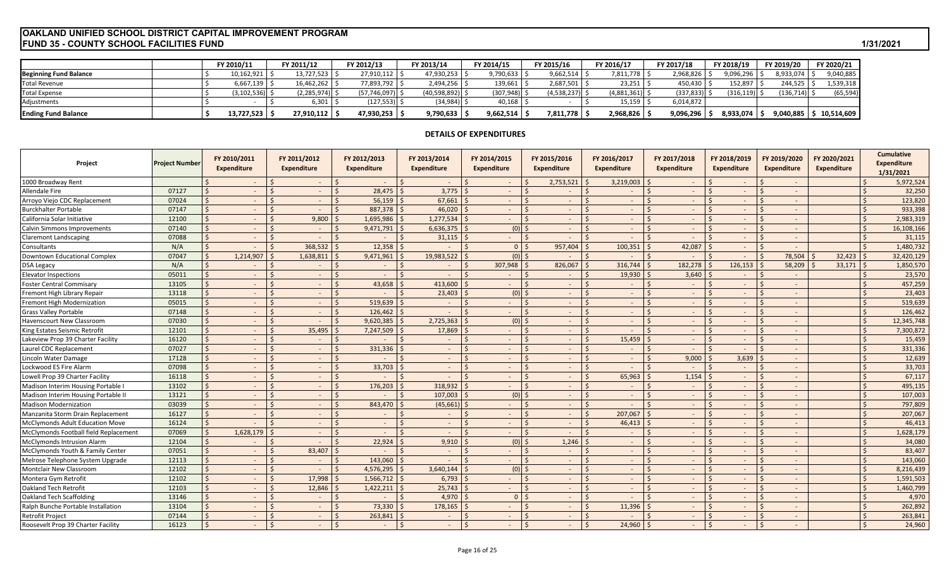# **FUND 35 - COUNTY SCHOOL FACILITIES FUND 1/31/2021 OAKLAND UNIFIED SCHOOL DISTRICT CAPITAL IMPROVEMENT PROGRAM**

|                               | <b>FY 2010/11</b> | Y 2011/12   | FY 2012/13          | FY 2013/14      | FY 2014/15      | FY 2015/16  | FY 2016/17  | FY 2017/18      | FY 2018/19 | FY 2019/20 | FY 2020/21 |
|-------------------------------|-------------------|-------------|---------------------|-----------------|-----------------|-------------|-------------|-----------------|------------|------------|------------|
| <b>Beginning Fund Balance</b> | 10,162,921        | 13.727.523  | 27,910,112          | 47,930,253      | 1,790,633       | 9,662,514   | ,811,778    | 2,968,826       | 9,096,296  | 8,933,074  | 9,040,885  |
| <b>Total Revenue</b>          | 6.667.139         | 16.462.262  | 77,893,792   \$     | 2,494,256       | $139,661$ \     | 2,687,501   | 23,251      | 450,430         | 152,897    | 244,525    | 1,539,318  |
| <b>Total Expense</b>          | $(3, 102, 536)$ . | (2.285.974) | (57, 746, 097)      | (40,598,892) \$ | $(307, 948)$ \$ | (4,538,237) | (4,881,361) | $(337, 833)$ \$ | (316, 119) | (136, 714) | (65, 594)  |
| Adjustments                   |                   | 6,301       | $(127, 553)$ $\mid$ | (34, 984)       | 40,168          |             | 15,159      | 6,014,872       |            |            |            |
| <b>Ending Fund Balance</b>    | 13,727,523        | 27,910,112  | 47,930,253          | 9,790,633       | 9,662,514       | 7,811,778 5 | 2,968,826   | 9,096,296 \$    | 8,933,074  | 9,040,885  | 10,514,609 |

# **DETAILS OF EXPENDITURES**

| Project                                | Project Number |                    | FY 2010/2011<br>Expenditure | FY 2011/2012<br><b>Expenditure</b>  | FY 2012/2013<br><b>Expenditure</b> |                    | FY 2013/2014<br>Expenditure | FY 2014/2015<br>Expenditure | FY 2015/2016<br><b>Expenditure</b> | FY 2016/2017<br><b>Expenditure</b> | FY 2017/2018<br><b>Expenditure</b> | FY 2018/2019<br><b>Expenditure</b> |              | FY 2019/2020<br><b>Expenditure</b> | FY 2020/2021<br>Expenditure |         | <b>Cumulative</b><br><b>Expenditure</b><br>1/31/2021 |
|----------------------------------------|----------------|--------------------|-----------------------------|-------------------------------------|------------------------------------|--------------------|-----------------------------|-----------------------------|------------------------------------|------------------------------------|------------------------------------|------------------------------------|--------------|------------------------------------|-----------------------------|---------|------------------------------------------------------|
| 1000 Broadway Rent                     |                |                    | $\sim$                      | $\sim$                              | $\sim$                             |                    | $\sim$                      | $\sim$                      | 2,753,521                          | 3,219,003                          | $\overline{\phantom{a}}$           | $\overline{\phantom{a}}$           |              | $\sim$                             |                             |         | 5,972,524                                            |
| Allendale Fire                         | 07127          |                    | $\sim$                      | $\sim$                              | 28,475                             |                    | 3,775                       | $\sim$                      |                                    | $\overline{\phantom{a}}$           | $\overline{\phantom{a}}$           |                                    |              | $\overline{\phantom{m}}$           |                             |         | 32,250                                               |
| Arroyo Viejo CDC Replacement           | 07024          | \$                 | $\sim$                      | $\sim$                              | 56,159<br>$\mathsf{\hat{S}}$       | Ś                  | $67,661$ \$                 | $\sim$                      | $\sim$                             | $\sim$                             | $\sim$                             | $\overline{\phantom{a}}$           | $\mathsf{S}$ | $\sim$                             |                             |         | 123,820                                              |
| <b>Burckhalter Portable</b>            | 07147          | $\mathsf{S}$       | $\sim$                      | $\sim$                              | 887,378                            |                    | 46,020                      | $\sim$                      | $\sim$                             | $\sim$                             | $\sim$                             | $\sim$                             |              | $\sim$                             |                             |         | 933,398                                              |
| California Solar Initiative            | 12100          | $\mathsf{\hat{S}}$ | $\sim$                      | 9,800                               | 1,695,986                          |                    | 1,277,534                   | $\sim$                      | $\leq$<br>$\sim$                   | $\overline{\phantom{a}}$           | $\overline{\phantom{a}}$           |                                    |              | $\overline{\phantom{a}}$           |                             |         | 2,983,319                                            |
| <b>Calvin Simmons Improvements</b>     | 07140          | $\mathsf{\hat{S}}$ | $\sim$                      | $\sim$                              | 9,471,791                          |                    | 6,636,375                   | $(0)$ \$                    | $\sim$                             | $\sim$                             | $\sim$                             | $\sim$                             |              | $\overline{\phantom{a}}$           |                             |         | 16,108,166                                           |
| <b>Claremont Landscaping</b>           | 07088          | $\mathsf{\hat{S}}$ | $\sim$                      |                                     |                                    |                    | 31,115                      | $\sim$                      | $\mathsf{S}$<br>$\sim$             | $\sim$                             | $\overline{\phantom{a}}$           | $\overline{\phantom{a}}$           |              | $\sim$                             |                             |         | 31,115                                               |
| Consultants                            | N/A            | $\mathsf{\hat{S}}$ | $\sim$                      | 368,532                             | 12,358<br>$\zeta$                  | $\varsigma$        |                             | 0 <sup>15</sup>             | 957,404                            | 100,351                            | 42,087                             | $\overline{\phantom{a}}$           |              |                                    |                             |         | 1,480,732                                            |
| Downtown Educational Complex           | 07047          | $\mathsf{\hat{S}}$ | 1,214,907                   | 1,638,811                           | 9,471,961                          |                    | 19,983,522                  | $(0)$ \$                    | $\sim$                             | $\overline{a}$                     | $\sim$                             | $\sim$                             |              | 78,504                             | 32,423                      |         | 32,420,129                                           |
| <b>DSA Legacy</b>                      | N/A            | $\mathsf{\hat{S}}$ | $\sim$                      | $\zeta$                             | $\mathsf{\hat{S}}$                 |                    | $\sim$                      | 307,948                     | 826,067                            | 316,744                            | 182,278                            | 126,153                            |              | 58,209                             | 33,171                      |         | 1,850,570                                            |
| <b>Elevator Inspections</b>            | 05011          | $\mathsf{\hat{S}}$ | $\sim$                      | $\sim$                              | $\zeta$                            |                    | $\sim$                      | $\sim$                      | $\leq$<br>$\sim$                   | $\zeta$<br>$19,930$ \$             | 3,640                              | $\sim$                             |              | $\overline{\phantom{a}}$           |                             |         | 23,570                                               |
| <b>Foster Central Commisary</b>        | 13105          | $\mathsf{\hat{S}}$ | $\sim$                      | $\sim$                              | 43,658                             |                    | 413,600                     | $\sim$                      | $\zeta$<br>$\sim$                  | $\overline{\phantom{a}}$           | $\overline{\phantom{a}}$           | $\overline{\phantom{a}}$           |              | $\sim$                             |                             |         | 457,259                                              |
| Fremont High Library Repair            | 13118          | $\mathsf{\hat{S}}$ | $\sim$                      |                                     | $\zeta$                            |                    | 23,403                      | $(0)$ \$                    | $\sim$                             | $\sim$                             | $\overline{\phantom{a}}$           |                                    | $\zeta$      | $\overline{\phantom{a}}$           |                             |         | 23,403                                               |
| <b>Fremont High Modernization</b>      | 05015          | $\mathsf{\hat{S}}$ | $\sim$                      | $\breve{\phantom{a}}$<br>$\sim$     | 519,639<br>$\mathsf{\hat{S}}$      | Ś                  | $\sim$                      | $\sim$                      | $\leq$<br>$\sim$                   | $\sim$                             | $\sim$                             | $\sim$                             | $\zeta$      | $\sim$                             |                             | $\zeta$ | 519,639                                              |
| <b>Grass Valley Portable</b>           | 07148          | $\mathsf{S}$       | $\sim$                      | $\sim$                              | 126,462                            |                    | $\sim$                      | $\sim$                      | $\sim$                             | $\sim$                             | $\sim$                             | $\overline{\phantom{a}}$           |              | $\sim$                             |                             |         | 126,462                                              |
| <b>Havenscourt New Classroom</b>       | 07030          | $\mathsf{\hat{S}}$ | $\sim$                      |                                     | 9,620,385                          |                    | 2,725,363                   | $(0)$ \$                    | $\sim$                             | $\sim$                             | $\sim$                             | $\overline{\phantom{a}}$           |              | $\overline{\phantom{a}}$           |                             |         | 12,345,748                                           |
| King Estates Seismic Retrofit          | 12101          | $\zeta$            | $\sim$                      | 35,495                              | 7,247,509                          |                    | 17,869                      | $\sim$                      | $\sim$                             | $\overline{\phantom{a}}$           | $\sim$                             | $\overline{\phantom{a}}$           |              | $\overline{\phantom{0}}$           |                             |         | 7,300,872                                            |
| Lakeview Prop 39 Charter Facility      | 16120          | $\mathsf{\dot{S}}$ | $\sim$                      | $\sim$                              |                                    |                    | $\sim$                      | $\sim$                      | $\sim$                             | 15,459                             | $\overline{\phantom{a}}$           | $\sim$                             |              | $\sim$                             |                             |         | 15,459                                               |
| Laurel CDC Replacement                 | 07027          | $\mathsf{S}$       | $\sim$                      | $\overline{\phantom{a}}$            | 331,336<br>$\zeta$                 |                    | $\sim$                      | $\sim$                      | $\sim$                             | $\sim$                             | $\sim$                             | $\sim$                             | $\zeta$      | $\overline{\phantom{a}}$           |                             |         | 331,336                                              |
| Lincoln Water Damage                   | 17128          | $\mathsf{S}$       | $\sim$                      | $\sim$                              | $\sim$                             |                    | $\sim$                      | $\sim$                      | $\sim$                             | $\sim$                             | 9,000                              | 3,639                              |              | $\sim$                             |                             |         | 12,639                                               |
| Lockwood ES Fire Alarm                 | 07098          | $\mathsf{\hat{S}}$ | $\sim$                      |                                     | 33,703<br>$\zeta$                  |                    | $\sim$                      |                             | $\sim$                             | $\overline{\phantom{a}}$           | $\overline{\phantom{a}}$           |                                    |              |                                    |                             |         | 33,703                                               |
| Lowell Prop 39 Charter Facility        | 16118          | $\mathsf{\hat{S}}$ | $\sim$                      | $\zeta$<br>$\overline{\phantom{a}}$ | $\zeta$                            |                    | $\sim$                      | $\sim$                      | $\sim$                             | 65,963                             | 1,154                              | $\overline{\phantom{a}}$           |              | $\overline{\phantom{a}}$           |                             |         | 67,117                                               |
| Madison Interim Housing Portable I     | 13102          | $\mathsf{\dot{S}}$ | $\sim$                      | $\sim$                              | 176,203                            |                    | 318,932                     | $\sim$                      | $\sim$                             | $\overline{\phantom{a}}$           | $\sim$                             | $\overline{\phantom{a}}$           |              | $\overline{\phantom{a}}$           |                             |         | 495,135                                              |
| Madison Interim Housing Portable II    | 13121          | $\mathsf{\hat{S}}$ | $\sim$                      | $\sim$                              | $\ddot{\phantom{0}}$               |                    | 107,003                     | (0)                         | l s<br>$\sim$                      | $\sim$                             | $\sim$                             | $\overline{\phantom{a}}$           |              | $\overline{\phantom{a}}$           |                             |         | 107,003                                              |
| <b>Madison Modernization</b>           | 03039          | $\mathsf{S}$       | $\sim$                      | $\sim$                              | 843,470<br>$\zeta$                 |                    | $(45,661)$ \$               | $\sim$                      | $\sim$                             | $\sim$                             | $\sim$                             | $\sim$                             |              | $\sim$                             |                             |         | 797,809                                              |
| Manzanita Storm Drain Replacement      | 16127          | $\mathsf{\hat{S}}$ | $\sim$                      | $\sim$                              | $\zeta$                            |                    | $\sim$                      | $\sim$                      | $\sim$                             | 207,067                            | $\sim$                             | $\overline{\phantom{a}}$           |              | $\sim$                             |                             |         | 207,067                                              |
| <b>McClymonds Adult Education Move</b> | 16124          | $\mathsf{S}$       | $\sim$                      | $\overline{\phantom{a}}$            | $\ddot{\phantom{0}}$               |                    | $\sim$                      | $\sim$                      | ¢<br>$\sim$                        | 46,413                             | $\overline{\phantom{a}}$           | $\overline{\phantom{a}}$           |              | $\overline{\phantom{0}}$           |                             |         | 46,413                                               |
| McClymonds Football field Replacement  | 07069          | $\mathsf{\dot{S}}$ | 1,628,179                   | $\sim$                              | $\zeta$                            |                    | $\sim$                      | $\sim$                      | $\prec$<br>$\sim$                  | $\sim$                             | $\sim$                             | $\overline{\phantom{a}}$           |              | $\overline{\phantom{a}}$           |                             |         | 1,628,179                                            |
| McClymonds Intrusion Alarm             | 12104          | \$                 | $\sim$                      |                                     | 22,924                             |                    | 9,910                       | (0)                         | 1,246                              | $\sim$                             | $\overline{\phantom{a}}$           |                                    |              | $\overline{\phantom{0}}$           |                             |         | 34,080                                               |
| McClymonds Youth & Family Center       | 07051          | $\mathsf{\hat{S}}$ | $\sim$                      | 83,407<br>$\zeta$                   |                                    |                    | $\sim$                      | $\sim$                      | $\leq$<br>$\sim$                   | $\sim$                             | $\sim$                             | $\overline{\phantom{a}}$           | $\zeta$      | $\sim$                             |                             |         | 83,407                                               |
| Melrose Telephone System Upgrade       | 12113          | $\mathsf{S}$       | $\sim$                      | $\sim$                              | $\zeta$<br>143.060                 |                    | $\sim$                      | $\sim$                      | $\leq$<br>$\sim$                   | $\sim$                             | $\sim$                             | $\sim$                             | $\zeta$      | $\sim$                             |                             |         | 143,060                                              |
| <b>Montclair New Classroom</b>         | 12102          | $\mathsf{\hat{S}}$ | $\sim$                      |                                     | 4,576,295                          |                    | 3.640.144                   | $(0)$ \$                    | $\sim$                             | $\overline{\phantom{a}}$           | $\overline{\phantom{a}}$           |                                    | $\zeta$      |                                    |                             |         | 8,216,439                                            |
| Montera Gym Retrofit                   | 12102          | $\mathsf{\hat{S}}$ | $\sim$                      | 17,998                              | 1,566,712                          |                    | 6,793                       | $\sim$                      | $\leq$<br>$\sim$                   | $\sim$                             | $\sim$                             | $\sim$                             |              | $\overline{\phantom{a}}$           |                             |         | 1,591,503                                            |
| Oakland Tech Retrofit                  | 12103          | $\mathsf{\dot{S}}$ | $\sim$                      | 12,846                              | 1,422,211                          |                    | 25,743                      | $\sim$                      | $\leq$<br>$\sim$                   | $\sim$                             | $\sim$                             | $\sim$                             |              | $\sim$                             |                             |         | 1,460,799                                            |
| Oakland Tech Scaffolding               | 13146          | $\mathsf{S}$       | $\sim$                      | $\sim$                              |                                    |                    | 4,970                       | 0 <sup>15</sup>             | $\sim$                             | $\overline{\phantom{a}}$           | $\overline{\phantom{a}}$           |                                    | $\zeta$      | $\overline{\phantom{a}}$           |                             |         | 4,970                                                |
| Ralph Bunche Portable Installation     | 13104          | Ś                  | $\sim$                      | $\sim$                              | 73,330                             |                    | 178,165                     |                             | $\sim$                             | 11,396                             | $\sim$                             | $\overline{\phantom{a}}$           | $\zeta$      | $\sim$                             |                             |         | 262,892                                              |
| <b>Retrofit Project</b>                | 07144          | $\mathsf{\dot{S}}$ | $\sim$                      |                                     | 263,841                            |                    | $\overline{\phantom{a}}$    |                             | $\sim$                             |                                    | $\overline{\phantom{a}}$           |                                    |              | $\overline{\phantom{m}}$           |                             |         | 263,841                                              |
| Roosevelt Prop 39 Charter Facility     | 16123          | $\mathsf{S}$       | $\sim$                      | l \$                                | $\zeta$                            | $\mathsf{\hat{S}}$ | $\sim$                      | - Ś<br>$\sim$               | $\mathsf{S}$<br>$\sim$             | $24,960$ \$<br>$\mathsf{S}$        | $\sim$                             |                                    | $\mathsf{S}$ | $\sim$                             |                             |         | 24,960                                               |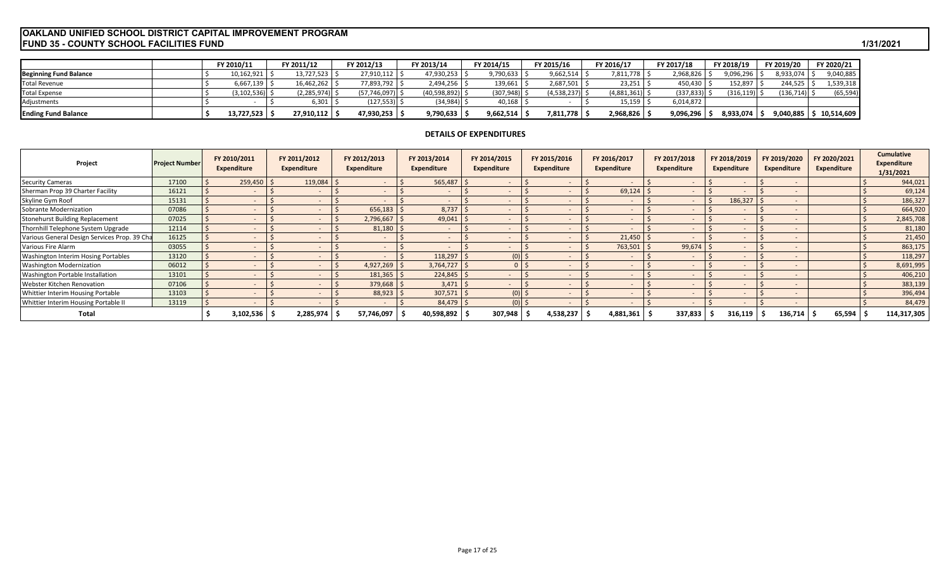# **FUND 35 - COUNTY SCHOOL FACILITIES FUND 1/31/2021 OAKLAND UNIFIED SCHOOL DISTRICT CAPITAL IMPROVEMENT PROGRAM**

|                               | FY 2010/11    | FY 2011/12           | FY 2012/13          | FY 2013/14 |                   | FY 2014/15   | FY 2015/16       | FY 2016/17  | FY 2017/18 | FY 2018/19 | FY 2019/20 | FY 2020/21 |
|-------------------------------|---------------|----------------------|---------------------|------------|-------------------|--------------|------------------|-------------|------------|------------|------------|------------|
| <b>Beginning Fund Balance</b> | 10,162,921    | 13,727,523           | 27,910,112          |            | 47,930,253        | 9,790,633    | 9,662,514        | 811,778     | 2,968,826  | 9,096,296  | 8,933,074  | 9,040,885  |
| <b>Total Revenue</b>          | 6,667,139     | 16,462,262           | 7,893,792           |            | 2,494,256         | $139,661$ \$ | 2,687,501        | 23,251      | 450.430    | 152,897    | 244,525    | 1,539,318  |
| <b>Total Expense</b>          | (3, 102, 536) | $(2,285,974)$ $\leq$ | $(57, 746, 097)$ \$ |            | (40,598,892)   \$ | (307,948)    | $(4,538,237)$ \$ | (4,881,361) | (337, 833) | (316, 119) | (136, 714) | (65, 594)  |
| Adjustments                   |               | 6,301 <b>1</b>       | $(127, 553)$ $\mid$ |            | (34, 984)         | 40,168       |                  | 15,159      | 6,014,872  |            |            |            |
| <b>Ending Fund Balance</b>    | 13,727,523    | 27,910,112           | 47,930,253 ,        |            | 9,790,633         | 9,662,514    | 7,811,778        | 2,968,826   | 9,096,296  | 8,933,074  | 9,040,885  | 10,514,609 |

# **DETAILS OF EXPENDITURES**

| Project                                      | <b>Project Number</b> | FY 2010/2011<br>Expenditure | FY 2011/2012<br><b>Expenditure</b> | FY 2012/2013<br><b>Expenditure</b> | FY 2013/2014<br><b>Expenditure</b> | FY 2014/2015<br>Expenditure | FY 2015/2016<br>Expenditure | FY 2016/2017<br>Expenditure | FY 2017/2018<br>Expenditure | FY 2018/2019<br>Expenditure | FY 2019/2020<br><b>Expenditure</b> | FY 2020/2021<br><b>Expenditure</b> | <b>Cumulative</b><br><b>Expenditure</b><br>1/31/2021 |
|----------------------------------------------|-----------------------|-----------------------------|------------------------------------|------------------------------------|------------------------------------|-----------------------------|-----------------------------|-----------------------------|-----------------------------|-----------------------------|------------------------------------|------------------------------------|------------------------------------------------------|
| <b>Security Cameras</b>                      | 17100                 | $259,450$ \$                | 119,084                            |                                    | 565,487                            |                             |                             | $\overline{\phantom{a}}$    |                             |                             |                                    |                                    | 944,021                                              |
| Sherman Prop 39 Charter Facility             | 16121                 | $\overline{\phantom{a}}$    |                                    |                                    | $\overline{a}$                     |                             |                             | 69,124                      |                             |                             |                                    |                                    | 69,124                                               |
| Skyline Gym Roof                             | 15131                 | $\overline{\phantom{a}}$    |                                    |                                    | $\sim$                             |                             |                             | $\overline{\phantom{m}}$    |                             | 186,327                     |                                    |                                    | 186,327                                              |
| Sobrante Modernization                       | 07086                 | $\sim$                      |                                    | 656,183                            | 8,737                              | $\sim$                      |                             | $\overline{\phantom{a}}$    |                             |                             |                                    |                                    | 664,920                                              |
| Stonehurst Building Replacement              | 07025                 | $\sim$                      |                                    | 2,796,667                          | 49,041                             | $\sim$                      |                             | $\overline{\phantom{a}}$    |                             |                             |                                    |                                    | 2,845,708                                            |
| Thornhill Telephone System Upgrade           | 12114                 |                             |                                    | 81,180                             |                                    |                             |                             | $\overline{\phantom{a}}$    |                             |                             |                                    |                                    | 81,180                                               |
| Various General Design Services Prop. 39 Cha | 16125                 |                             |                                    |                                    |                                    |                             |                             | 21,450                      |                             |                             |                                    |                                    | 21,450                                               |
| Various Fire Alarm                           | 03055                 |                             |                                    |                                    |                                    |                             |                             | 763,501                     | 99,674                      |                             |                                    |                                    | 863,175                                              |
| Washington Interim Hosing Portables          | 13120                 |                             |                                    |                                    | 118,297                            | $(0)$ \$                    |                             | $\overline{\phantom{a}}$    |                             |                             |                                    |                                    | 118,297                                              |
| <b>Washington Modernization</b>              | 06012                 |                             |                                    | 4,927,269                          | 3,764,727                          |                             |                             | $\overline{\phantom{a}}$    |                             |                             |                                    |                                    | 8,691,995                                            |
| Washington Portable Installation             | 13101                 |                             |                                    | 181,365                            | 224,845                            |                             |                             | $\overline{\phantom{a}}$    |                             |                             |                                    |                                    | 406,210                                              |
| Webster Kitchen Renovation                   | 07106                 |                             |                                    | 379,668                            | $3,471$ \$                         |                             |                             | $\overline{\phantom{a}}$    |                             |                             |                                    |                                    | 383,139                                              |
| Whittier Interim Housing Portable            | 13103                 |                             |                                    | 88,923                             | 307,571                            | $(0)$ \$                    |                             | $\overline{\phantom{a}}$    |                             |                             |                                    |                                    | 396,494                                              |
| Whittier Interim Housing Portable II         | 13119                 |                             |                                    |                                    | 84,479 \$                          |                             |                             | $\overline{a}$              |                             |                             |                                    |                                    | 84,479                                               |
| Total                                        |                       | 3,102,536                   | 2,285,974                          | 57,746,097                         | 40,598,892                         | 307,948                     | 1,538,237                   | 4,881,361                   | 337,833                     | 316,119                     | 136,714                            | 65,594                             | 114,317,305                                          |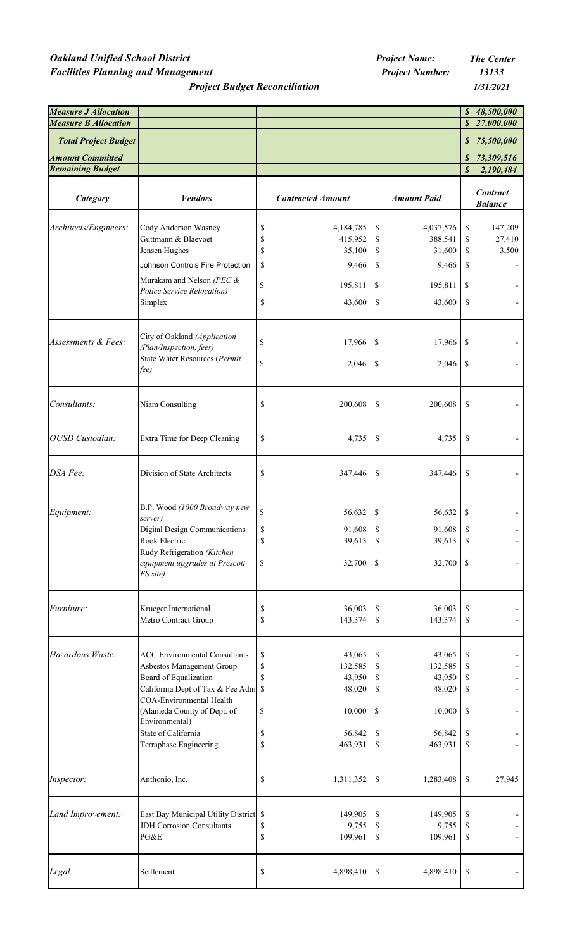# *Oakland Unified School District <i>Project Name:* **The Center** *The Center Project Name:* The Center *Facilities Planning and Management Project Number: 13133*

*Project Budget Reconciliation*

*1/31/2021*

| <b>Measure J Allocation</b> |                                                                           |                               |              |                    |                  | \$48,500,000                      |
|-----------------------------|---------------------------------------------------------------------------|-------------------------------|--------------|--------------------|------------------|-----------------------------------|
| <b>Measure B Allocation</b> |                                                                           |                               |              |                    |                  | \$27,000,000                      |
| <b>Total Project Budget</b> |                                                                           |                               |              |                    |                  | \$75,500,000                      |
| <b>Amount Committed</b>     |                                                                           |                               |              |                    | $\boldsymbol{s}$ | 73,309,516                        |
| <b>Remaining Budget</b>     |                                                                           |                               |              |                    | \$               | 2,190,484                         |
|                             |                                                                           |                               |              |                    |                  |                                   |
| <b>Category</b>             | <b>Vendors</b>                                                            | <b>Contracted Amount</b>      |              | <b>Amount Paid</b> |                  | <b>Contract</b><br><b>Balance</b> |
| Architects/Engineers:       | Cody Anderson Wasney                                                      | \$<br>4,184,785               | \$           | 4,037,576          | \$               | 147,209                           |
|                             | Guttmann & Blaevoet                                                       | \$<br>415,952                 | \$           | 388,541            | \$               | 27,410                            |
|                             | Jensen Hughes                                                             | \$<br>35,100                  | \$           | 31,600             | \$               | 3,500                             |
|                             | Johnson Controls Fire Protection                                          | \$<br>9,466                   | \$           | 9,466              | \$               |                                   |
|                             | Murakam and Nelson (PEC $\&$                                              |                               |              |                    |                  |                                   |
|                             | Police Service Relocation)                                                | \$<br>195,811                 | \$           | 195,811            | \$               |                                   |
|                             | Simplex                                                                   | \$<br>43,600                  | \$           | 43,600             | \$               |                                   |
|                             |                                                                           |                               |              |                    |                  |                                   |
|                             | City of Oakland (Application                                              |                               |              |                    |                  |                                   |
| Assessments & Fees:         | /Plan/Inspection, fees)                                                   | \$<br>17,966                  | $\mathbb{S}$ | 17,966             | $\mathbb{S}$     |                                   |
|                             | State Water Resources (Permit                                             | \$                            |              |                    |                  |                                   |
|                             | fee)                                                                      | 2,046                         | \$           | 2,046              | \$               |                                   |
|                             |                                                                           |                               |              |                    |                  |                                   |
| Consultants:                | Niam Consulting                                                           | \$<br>200,608                 | \$           | 200,608            | \$               |                                   |
|                             |                                                                           |                               |              |                    |                  |                                   |
| OUSD Custodian:             | Extra Time for Deep Cleaning                                              | \$<br>4,735                   | \$           | 4,735              | \$               |                                   |
| DSA Fee:                    | Division of State Architects                                              | \$<br>347,446                 | \$           | 347,446            | \$               |                                   |
|                             |                                                                           |                               |              |                    |                  |                                   |
|                             | B.P. Wood (1000 Broadway new                                              | \$<br>56,632                  | \$           | 56,632             |                  |                                   |
| Equipment:                  | server)                                                                   |                               |              |                    | \$               |                                   |
|                             | Digital Design Communications                                             | \$<br>91,608                  | \$           | 91,608             | \$               |                                   |
|                             | Rook Electric                                                             | \$<br>39,613                  | \$           | 39,613             | \$               |                                   |
|                             | Rudy Refrigeration (Kitchen<br>equipment upgrades at Prescott<br>ES site) | \$<br>32,700                  | \$           | 32,700             | \$               |                                   |
|                             |                                                                           |                               |              |                    |                  |                                   |
| Furniture:                  | Krueger International                                                     | $\mathbb{S}$<br>36,003        | \$           | 36,003             | \$               |                                   |
|                             | Metro Contract Group                                                      | \$<br>143,374                 | \$           | 143,374            | \$               |                                   |
|                             |                                                                           |                               |              |                    |                  |                                   |
| Hazardous Waste:            | <b>ACC Environmental Consultants</b>                                      | \$<br>43,065                  | \$           | 43,065             | \$               |                                   |
|                             | Asbestos Management Group<br>Board of Equalization                        | \$<br>132,585<br>\$<br>43,950 | \$<br>\$     | 132,585<br>43,950  | \$<br>\$         |                                   |
|                             | California Dept of Tax & Fee Adm                                          | $\mathbb{S}$<br>48,020        | \$           | 48,020             | \$               |                                   |
|                             | <b>COA-Environmental Health</b>                                           |                               |              |                    |                  |                                   |
|                             | (Alameda County of Dept. of<br>Environmental)                             | \$<br>10,000                  | \$           | 10,000             | \$               |                                   |
|                             | State of California                                                       | \$<br>56,842                  | \$           | 56,842             | \$               |                                   |
|                             | Terraphase Engineering                                                    | \$<br>463,931                 | \$           | 463,931            | \$               |                                   |
|                             |                                                                           |                               |              |                    |                  |                                   |
| Inspector:                  | Anthonio, Inc.                                                            | \$<br>1,311,352               | \$           | 1,283,408          | \$               | 27,945                            |
| Land Improvement:           | East Bay Municipal Utility District \$                                    | 149,905                       | \$           | 149,905            | \$               |                                   |
|                             | <b>JDH</b> Corrosion Consultants                                          | \$<br>9,755                   | \$           | 9,755              | \$               |                                   |
|                             | PG&E                                                                      | \$<br>109,961                 | \$           | 109,961            | \$               |                                   |
|                             |                                                                           |                               |              |                    |                  |                                   |
| Legal:                      | Settlement                                                                | \$<br>4,898,410               | \$           | 4,898,410          | \$               |                                   |
|                             |                                                                           |                               |              |                    |                  |                                   |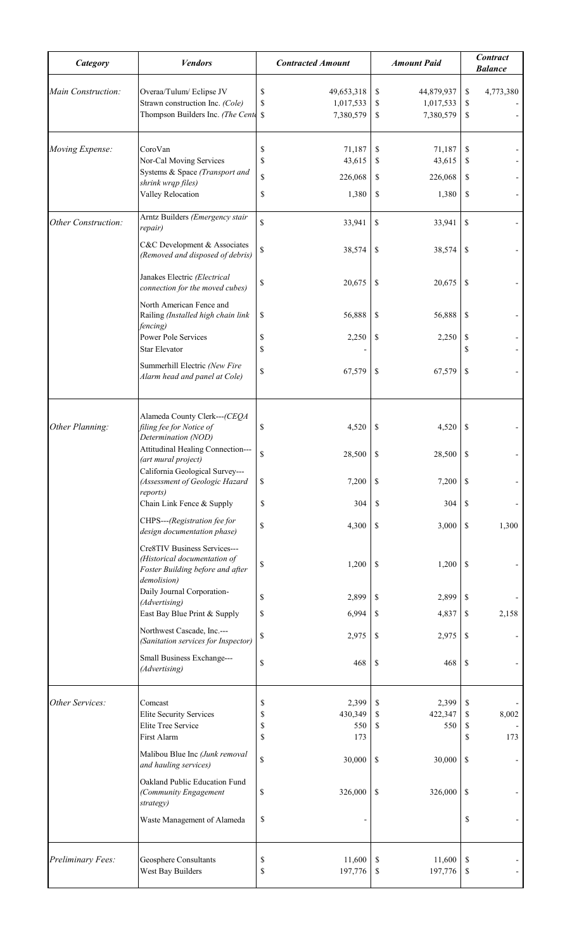| Category                   | <b>Vendors</b>                                                                                                   | <b>Contracted Amount</b>                                     | <b>Amount Paid</b>                                           | <b>Contract</b><br><b>Balance</b>    |
|----------------------------|------------------------------------------------------------------------------------------------------------------|--------------------------------------------------------------|--------------------------------------------------------------|--------------------------------------|
| Main Construction:         | Overaa/Tulum/Eclipse JV<br>Strawn construction Inc. (Cole)<br>Thompson Builders Inc. (The Cente                  | \$<br>49,653,318<br>\$<br>1,017,533<br>7,380,579<br>S        | \$<br>44,879,937<br>\$<br>1,017,533<br>\$<br>7,380,579       | \$<br>4,773,380<br>\$<br>\$          |
| Moving Expense:            | CoroVan<br>Nor-Cal Moving Services<br>Systems & Space (Transport and<br>shrink wrqp files)<br>Valley Relocation  | \$<br>71,187<br>\$<br>43,615<br>\$<br>226,068<br>\$<br>1,380 | \$<br>71,187<br>\$<br>43,615<br>\$<br>226,068<br>\$<br>1,380 | \$<br>\$<br>\$<br>\$                 |
| <b>Other Construction:</b> | Arntz Builders (Emergency stair<br>repair)                                                                       | \$<br>33,941                                                 | \$<br>33,941                                                 | $\boldsymbol{\mathsf{S}}$            |
|                            | C&C Development & Associates<br>(Removed and disposed of debris)                                                 | \$<br>38,574                                                 | \$<br>38,574                                                 | \$                                   |
|                            | Janakes Electric (Electrical<br>connection for the moved cubes)                                                  | \$<br>20,675                                                 | \$<br>20,675                                                 | \$.                                  |
|                            | North American Fence and<br>Railing (Installed high chain link<br>fencing)                                       | \$<br>56,888                                                 | \$<br>56,888                                                 | \$                                   |
|                            | <b>Power Pole Services</b><br><b>Star Elevator</b>                                                               | \$<br>2,250<br>\$                                            | 2,250<br>\$                                                  | \$<br>\$                             |
|                            | Summerhill Electric (New Fire<br>Alarm head and panel at Cole)                                                   | \$<br>67,579                                                 | \$<br>67,579                                                 | \$                                   |
| Other Planning:            | Alameda County Clerk---(CEQA<br>filing fee for Notice of<br>Determination (NOD)                                  | \$<br>4,520                                                  | \$<br>4,520                                                  | $\boldsymbol{\mathsf{S}}$            |
|                            | Attitudinal Healing Connection---<br>(art mural project)<br>California Geological Survey---                      | \$<br>28,500                                                 | \$<br>28,500                                                 | \$                                   |
|                            | (Assessment of Geologic Hazard<br>reports)<br>Chain Link Fence & Supply                                          | $\$$<br>7,200<br>\$<br>304                                   | \$<br>7,200<br>\$<br>304                                     | \$<br>\$                             |
|                            | CHPS---(Registration fee for<br>design documentation phase)                                                      | \$<br>4,300                                                  | \$<br>3,000                                                  | \$<br>1,300                          |
|                            | Cre8TIV Business Services---<br>(Historical documentation of<br>Foster Building before and after<br>demolision)  | \$<br>1,200                                                  | \$<br>1,200                                                  | \$                                   |
|                            | Daily Journal Corporation-<br>(Advertising)                                                                      | \$<br>2,899                                                  | \$<br>2,899                                                  | \$                                   |
|                            | East Bay Blue Print & Supply                                                                                     | \$<br>6,994                                                  | \$<br>4,837                                                  | $\boldsymbol{\mathsf{S}}$<br>2,158   |
|                            | Northwest Cascade, Inc.---<br>(Sanitation services for Inspector)                                                | $\mathbb{S}$<br>2,975                                        | \$<br>2,975                                                  | $\boldsymbol{\mathsf{S}}$            |
|                            | Small Business Exchange---<br>(Advertising)                                                                      | $\mathbb S$<br>468                                           | \$<br>468                                                    | $\mathbb{S}$                         |
| Other Services:            | Comcast<br><b>Elite Security Services</b><br>Elite Tree Service<br>First Alarm<br>Malibou Blue Inc (Junk removal | \$<br>2,399<br>\$<br>430,349<br>\$<br>550<br>\$<br>173       | \$<br>2,399<br>\$<br>422,347<br>\$<br>550                    | \$<br>8,002<br>\$<br>\$<br>\$<br>173 |
|                            | and hauling services)<br>Oakland Public Education Fund                                                           | $\mathbb S$<br>30,000                                        | $\mathbb{S}$<br>30,000                                       | \$                                   |
|                            | (Community Engagement<br>strategy)<br>Waste Management of Alameda                                                | 326,000<br>\$<br>\$                                          | 326,000<br>\$                                                | \$<br>\$                             |
|                            |                                                                                                                  |                                                              |                                                              |                                      |
| Preliminary Fees:          | Geosphere Consultants<br>West Bay Builders                                                                       | \$<br>11,600<br>\$<br>197,776                                | \$<br>11,600<br>197,776<br>\$                                | \$<br>\$                             |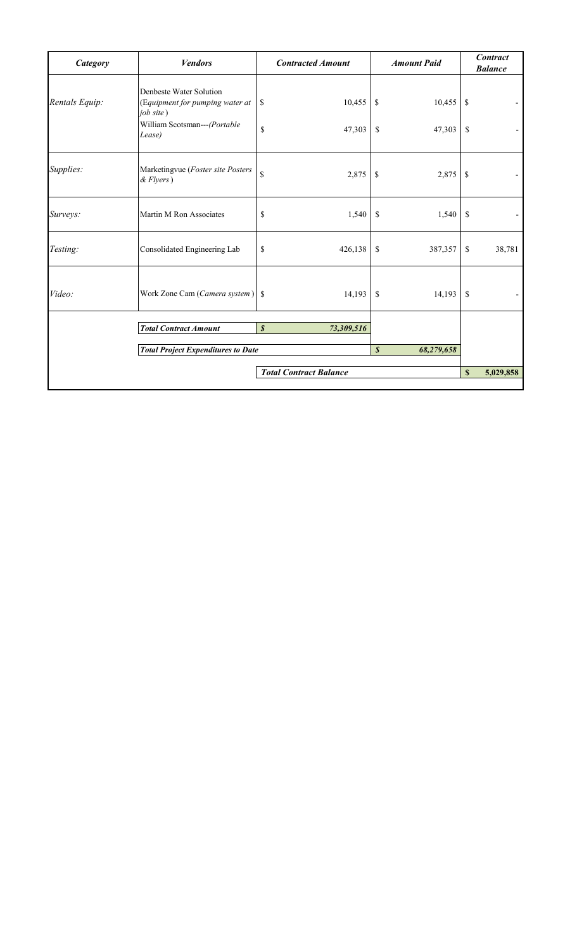| <b>Category</b> | <b>Vendors</b>                                                                                                    | <b>Contracted Amount</b>                 |                     | <b>Amount Paid</b> |                                 | <b>Contract</b><br><b>Balance</b> |
|-----------------|-------------------------------------------------------------------------------------------------------------------|------------------------------------------|---------------------|--------------------|---------------------------------|-----------------------------------|
| Rentals Equip:  | Denbeste Water Solution<br>(Equipment for pumping water at<br>job site)<br>William Scotsman---(Portable<br>Lease) | 10,455<br>\$<br>$\mathbf S$<br>47,303    | \$<br><sup>\$</sup> | 10,455<br>47,303   | $\boldsymbol{\mathsf{S}}$<br>\$ |                                   |
| Supplies:       | Marketingvue (Foster site Posters<br>$& Flyers$ )                                                                 | \$<br>2,875                              | \$                  | 2,875              | \$                              |                                   |
| Surveys:        | Martin M Ron Associates                                                                                           | \$<br>1,540                              | <sup>\$</sup>       | 1,540              | \$                              |                                   |
| Testing:        | Consolidated Engineering Lab                                                                                      | \$<br>426,138                            | \$                  | 387,357            | \$                              | 38,781                            |
| Video:          | Work Zone Cam (Camera system)                                                                                     | 14,193<br><sup>\$</sup>                  | \$                  | 14,193             | \$                              |                                   |
|                 | <b>Total Contract Amount</b>                                                                                      | $\boldsymbol{\mathcal{S}}$<br>73,309,516 |                     |                    |                                 |                                   |
|                 | <b>Total Project Expenditures to Date</b>                                                                         |                                          | $\boldsymbol{s}$    | 68,279,658         |                                 |                                   |
|                 |                                                                                                                   | <b>Total Contract Balance</b>            |                     |                    | $\mathbf S$                     | 5,029,858                         |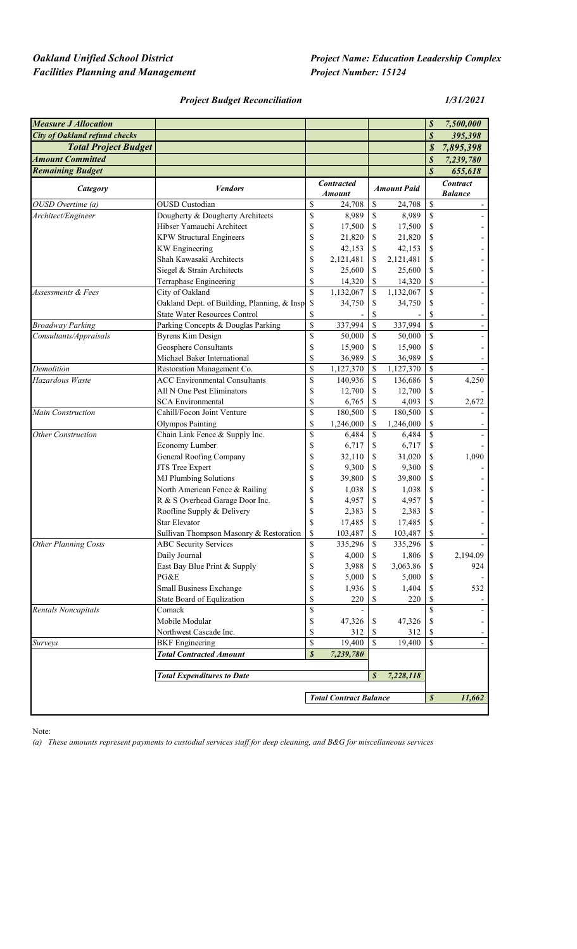# *Facilities Planning and Management Project Number: 15124*

# *Project Budget Reconciliation 1/31/2021*

| $\boldsymbol{s}$<br><b>City of Oakland refund checks</b><br>395,398<br><b>Total Project Budget</b><br>$\boldsymbol{\mathcal{S}}$<br>7,895,398<br><b>Amount Committed</b><br>$\boldsymbol{S}$<br>7,239,780<br>$\boldsymbol{s}$<br><b>Remaining Budget</b><br>655,618<br><b>Contract</b><br><b>Contracted</b><br><b>Vendors</b><br><b>Amount Paid</b><br>Category<br><b>Amount</b><br><b>Balance</b><br>OUSD Overtime (a)<br><b>OUSD</b> Custodian<br>\$<br>\$<br>24,708<br>\$<br>24,708<br>Dougherty & Dougherty Architects<br>\$<br>\$<br><sup>\$</sup><br>8,989<br>8,989<br>Architect/Engineer<br>\$<br>Hibser Yamauchi Architect<br>\$<br>17,500<br>17,500<br>\$<br>\$<br><b>KPW Structural Engineers</b><br>\$<br>21,820<br>\$<br>21,820<br>\$<br>\$<br><b>KW</b> Engineering<br>42,153<br>42,153<br>\$<br>$\mathbb S$<br>Shah Kawasaki Architects<br>\$<br>2,121,481<br>\$<br>2,121,481<br>\$<br>Siegel & Strain Architects<br>\$<br>25,600<br>\$<br>25,600<br>\$<br><sup>\$</sup><br>Terraphase Engineering<br>14,320<br>\$<br>14,320<br>\$<br>\$<br>City of Oakland<br>\$<br>Assessments & Fees<br>1,132,067<br>1,132,067<br>Oakland Dept. of Building, Planning, & Insp<br>\$<br>\$<br>34,750<br>\$<br>34,750<br><b>State Water Resources Control</b><br>\$<br>\$<br>\$<br>$\overline{\mathbf{S}}$<br>\$<br>$\mathbf{\hat{S}}$<br>337,994<br><b>Broadway Parking</b><br>Parking Concepts & Douglas Parking<br>337,994<br>\$<br>\$<br>\$<br>Consultants/Appraisals<br><b>Byrens Kim Design</b><br>50,000<br>50,000<br>\$<br>Geosphere Consultants<br>\$<br>15,900<br>15,900<br>\$<br>\$<br>Michael Baker International<br>\$<br>36,989<br>\$<br>36,989<br>\$<br>\$<br>\$<br>Demolition<br>Restoration Management Co.<br>1,127,370<br>1,127,370<br>\$<br>\$<br>Hazardous Waste<br><b>ACC Environmental Consultants</b><br>\$<br>4,250<br>140,936<br>136,686<br>\$<br>All N One Pest Eliminators<br>\$<br>12,700<br>12,700<br>\$<br>\$<br>\$<br><b>SCA Environmental</b><br>\$<br>6,765<br>4,093<br>2,672<br>\$<br>Cahill/Focon Joint Venture<br>\$<br>\$<br>Main Construction<br>180,500<br>180,500<br>\$<br>\$<br><b>Olympos Painting</b><br>1,246,000<br>1,246,000<br>\$<br>\$<br>$\boldsymbol{\mathsf{S}}$<br>Chain Link Fence & Supply Inc.<br>\$<br><b>Other Construction</b><br>6,484<br>6,484<br>$\mathbb S$<br>\$<br>Economy Lumber<br>6,717<br>6,717<br>\$<br>\$<br><b>General Roofing Company</b><br>1,090<br>\$<br>31,020<br>\$<br>32,110<br>JTS Tree Expert<br>\$<br>\$<br>9,300<br>9,300<br>\$<br>\$<br><b>MJ Plumbing Solutions</b><br>39,800<br>\$<br>39,800<br>\$<br>North American Fence & Railing<br>\$<br>\$<br>1,038<br>\$<br>1,038<br>R & S Overhead Garage Door Inc.<br>\$<br>\$<br>4,957<br>\$<br>4,957<br>\$<br>\$<br>\$<br>Roofline Supply & Delivery<br>2,383<br>2,383<br>\$<br>\$<br><b>Star Elevator</b><br>\$<br>17,485<br>17,485<br>103,487<br>\$<br>$\mathbb S$<br>Sullivan Thompson Masonry & Restoration<br>\$<br>103,487<br>\$<br>\$<br>$\mathbb{S}$<br><b>Other Planning Costs</b><br><b>ABC</b> Security Services<br>335,296<br>335,296<br>Daily Journal<br>\$<br>1,806<br>4,000<br>2,194.09<br>\$<br>\$<br>\$<br>East Bay Blue Print & Supply<br>3,063.86<br>3,988<br>\$<br>\$<br>\$<br>PG&E<br>\$<br>5,000<br>5,000<br>S<br>$\mathbb S$<br>Small Business Exchange<br>1,936<br>\$<br>1,404<br>532<br>S<br>\$<br>State Board of Equlization<br>220<br>\$<br>220<br><sup>2</sup><br>$\mathbb S$<br>\$<br>Rentals Noncapitals<br>Comack<br>Mobile Modular<br>\$<br>47,326<br>47,326<br>\$<br>\$<br>Northwest Cascade Inc.<br>\$<br>312<br>312<br>S<br>\$<br>$\mathbb S$<br>\$<br>\$<br><b>BKF</b> Engineering<br>19,400<br>19,400<br>Surveys<br>$\overline{\phantom{a}}$<br>$\pmb{\mathcal{S}}$<br><b>Total Contracted Amount</b><br>7,239,780<br>$\boldsymbol{s}$<br><b>Total Expenditures to Date</b><br>7,228,118<br>$\boldsymbol{s}$<br><b>Total Contract Balance</b><br>11,662 | <b>Measure J Allocation</b> |  |  | \$ | 7,500,000 |
|-----------------------------------------------------------------------------------------------------------------------------------------------------------------------------------------------------------------------------------------------------------------------------------------------------------------------------------------------------------------------------------------------------------------------------------------------------------------------------------------------------------------------------------------------------------------------------------------------------------------------------------------------------------------------------------------------------------------------------------------------------------------------------------------------------------------------------------------------------------------------------------------------------------------------------------------------------------------------------------------------------------------------------------------------------------------------------------------------------------------------------------------------------------------------------------------------------------------------------------------------------------------------------------------------------------------------------------------------------------------------------------------------------------------------------------------------------------------------------------------------------------------------------------------------------------------------------------------------------------------------------------------------------------------------------------------------------------------------------------------------------------------------------------------------------------------------------------------------------------------------------------------------------------------------------------------------------------------------------------------------------------------------------------------------------------------------------------------------------------------------------------------------------------------------------------------------------------------------------------------------------------------------------------------------------------------------------------------------------------------------------------------------------------------------------------------------------------------------------------------------------------------------------------------------------------------------------------------------------------------------------------------------------------------------------------------------------------------------------------------------------------------------------------------------------------------------------------------------------------------------------------------------------------------------------------------------------------------------------------------------------------------------------------------------------------------------------------------------------------------------------------------------------------------------------------------------------------------------------------------------------------------------------------------------------------------------------------------------------------------------------------------------------------------------------------------------------------------------------------------------------------------------------------------------------------------------------------------------------------------------------------------------------------------------------------------------------------------------------------------------------------------------------------------------------------------------------------------------------------------------------------------------------------------------------|-----------------------------|--|--|----|-----------|
|                                                                                                                                                                                                                                                                                                                                                                                                                                                                                                                                                                                                                                                                                                                                                                                                                                                                                                                                                                                                                                                                                                                                                                                                                                                                                                                                                                                                                                                                                                                                                                                                                                                                                                                                                                                                                                                                                                                                                                                                                                                                                                                                                                                                                                                                                                                                                                                                                                                                                                                                                                                                                                                                                                                                                                                                                                                                                                                                                                                                                                                                                                                                                                                                                                                                                                                                                                                                                                                                                                                                                                                                                                                                                                                                                                                                                                                                                                                             |                             |  |  |    |           |
|                                                                                                                                                                                                                                                                                                                                                                                                                                                                                                                                                                                                                                                                                                                                                                                                                                                                                                                                                                                                                                                                                                                                                                                                                                                                                                                                                                                                                                                                                                                                                                                                                                                                                                                                                                                                                                                                                                                                                                                                                                                                                                                                                                                                                                                                                                                                                                                                                                                                                                                                                                                                                                                                                                                                                                                                                                                                                                                                                                                                                                                                                                                                                                                                                                                                                                                                                                                                                                                                                                                                                                                                                                                                                                                                                                                                                                                                                                                             |                             |  |  |    |           |
|                                                                                                                                                                                                                                                                                                                                                                                                                                                                                                                                                                                                                                                                                                                                                                                                                                                                                                                                                                                                                                                                                                                                                                                                                                                                                                                                                                                                                                                                                                                                                                                                                                                                                                                                                                                                                                                                                                                                                                                                                                                                                                                                                                                                                                                                                                                                                                                                                                                                                                                                                                                                                                                                                                                                                                                                                                                                                                                                                                                                                                                                                                                                                                                                                                                                                                                                                                                                                                                                                                                                                                                                                                                                                                                                                                                                                                                                                                                             |                             |  |  |    |           |
|                                                                                                                                                                                                                                                                                                                                                                                                                                                                                                                                                                                                                                                                                                                                                                                                                                                                                                                                                                                                                                                                                                                                                                                                                                                                                                                                                                                                                                                                                                                                                                                                                                                                                                                                                                                                                                                                                                                                                                                                                                                                                                                                                                                                                                                                                                                                                                                                                                                                                                                                                                                                                                                                                                                                                                                                                                                                                                                                                                                                                                                                                                                                                                                                                                                                                                                                                                                                                                                                                                                                                                                                                                                                                                                                                                                                                                                                                                                             |                             |  |  |    |           |
|                                                                                                                                                                                                                                                                                                                                                                                                                                                                                                                                                                                                                                                                                                                                                                                                                                                                                                                                                                                                                                                                                                                                                                                                                                                                                                                                                                                                                                                                                                                                                                                                                                                                                                                                                                                                                                                                                                                                                                                                                                                                                                                                                                                                                                                                                                                                                                                                                                                                                                                                                                                                                                                                                                                                                                                                                                                                                                                                                                                                                                                                                                                                                                                                                                                                                                                                                                                                                                                                                                                                                                                                                                                                                                                                                                                                                                                                                                                             |                             |  |  |    |           |
|                                                                                                                                                                                                                                                                                                                                                                                                                                                                                                                                                                                                                                                                                                                                                                                                                                                                                                                                                                                                                                                                                                                                                                                                                                                                                                                                                                                                                                                                                                                                                                                                                                                                                                                                                                                                                                                                                                                                                                                                                                                                                                                                                                                                                                                                                                                                                                                                                                                                                                                                                                                                                                                                                                                                                                                                                                                                                                                                                                                                                                                                                                                                                                                                                                                                                                                                                                                                                                                                                                                                                                                                                                                                                                                                                                                                                                                                                                                             |                             |  |  |    |           |
|                                                                                                                                                                                                                                                                                                                                                                                                                                                                                                                                                                                                                                                                                                                                                                                                                                                                                                                                                                                                                                                                                                                                                                                                                                                                                                                                                                                                                                                                                                                                                                                                                                                                                                                                                                                                                                                                                                                                                                                                                                                                                                                                                                                                                                                                                                                                                                                                                                                                                                                                                                                                                                                                                                                                                                                                                                                                                                                                                                                                                                                                                                                                                                                                                                                                                                                                                                                                                                                                                                                                                                                                                                                                                                                                                                                                                                                                                                                             |                             |  |  |    |           |
|                                                                                                                                                                                                                                                                                                                                                                                                                                                                                                                                                                                                                                                                                                                                                                                                                                                                                                                                                                                                                                                                                                                                                                                                                                                                                                                                                                                                                                                                                                                                                                                                                                                                                                                                                                                                                                                                                                                                                                                                                                                                                                                                                                                                                                                                                                                                                                                                                                                                                                                                                                                                                                                                                                                                                                                                                                                                                                                                                                                                                                                                                                                                                                                                                                                                                                                                                                                                                                                                                                                                                                                                                                                                                                                                                                                                                                                                                                                             |                             |  |  |    |           |
|                                                                                                                                                                                                                                                                                                                                                                                                                                                                                                                                                                                                                                                                                                                                                                                                                                                                                                                                                                                                                                                                                                                                                                                                                                                                                                                                                                                                                                                                                                                                                                                                                                                                                                                                                                                                                                                                                                                                                                                                                                                                                                                                                                                                                                                                                                                                                                                                                                                                                                                                                                                                                                                                                                                                                                                                                                                                                                                                                                                                                                                                                                                                                                                                                                                                                                                                                                                                                                                                                                                                                                                                                                                                                                                                                                                                                                                                                                                             |                             |  |  |    |           |
|                                                                                                                                                                                                                                                                                                                                                                                                                                                                                                                                                                                                                                                                                                                                                                                                                                                                                                                                                                                                                                                                                                                                                                                                                                                                                                                                                                                                                                                                                                                                                                                                                                                                                                                                                                                                                                                                                                                                                                                                                                                                                                                                                                                                                                                                                                                                                                                                                                                                                                                                                                                                                                                                                                                                                                                                                                                                                                                                                                                                                                                                                                                                                                                                                                                                                                                                                                                                                                                                                                                                                                                                                                                                                                                                                                                                                                                                                                                             |                             |  |  |    |           |
|                                                                                                                                                                                                                                                                                                                                                                                                                                                                                                                                                                                                                                                                                                                                                                                                                                                                                                                                                                                                                                                                                                                                                                                                                                                                                                                                                                                                                                                                                                                                                                                                                                                                                                                                                                                                                                                                                                                                                                                                                                                                                                                                                                                                                                                                                                                                                                                                                                                                                                                                                                                                                                                                                                                                                                                                                                                                                                                                                                                                                                                                                                                                                                                                                                                                                                                                                                                                                                                                                                                                                                                                                                                                                                                                                                                                                                                                                                                             |                             |  |  |    |           |
|                                                                                                                                                                                                                                                                                                                                                                                                                                                                                                                                                                                                                                                                                                                                                                                                                                                                                                                                                                                                                                                                                                                                                                                                                                                                                                                                                                                                                                                                                                                                                                                                                                                                                                                                                                                                                                                                                                                                                                                                                                                                                                                                                                                                                                                                                                                                                                                                                                                                                                                                                                                                                                                                                                                                                                                                                                                                                                                                                                                                                                                                                                                                                                                                                                                                                                                                                                                                                                                                                                                                                                                                                                                                                                                                                                                                                                                                                                                             |                             |  |  |    |           |
|                                                                                                                                                                                                                                                                                                                                                                                                                                                                                                                                                                                                                                                                                                                                                                                                                                                                                                                                                                                                                                                                                                                                                                                                                                                                                                                                                                                                                                                                                                                                                                                                                                                                                                                                                                                                                                                                                                                                                                                                                                                                                                                                                                                                                                                                                                                                                                                                                                                                                                                                                                                                                                                                                                                                                                                                                                                                                                                                                                                                                                                                                                                                                                                                                                                                                                                                                                                                                                                                                                                                                                                                                                                                                                                                                                                                                                                                                                                             |                             |  |  |    |           |
|                                                                                                                                                                                                                                                                                                                                                                                                                                                                                                                                                                                                                                                                                                                                                                                                                                                                                                                                                                                                                                                                                                                                                                                                                                                                                                                                                                                                                                                                                                                                                                                                                                                                                                                                                                                                                                                                                                                                                                                                                                                                                                                                                                                                                                                                                                                                                                                                                                                                                                                                                                                                                                                                                                                                                                                                                                                                                                                                                                                                                                                                                                                                                                                                                                                                                                                                                                                                                                                                                                                                                                                                                                                                                                                                                                                                                                                                                                                             |                             |  |  |    |           |
|                                                                                                                                                                                                                                                                                                                                                                                                                                                                                                                                                                                                                                                                                                                                                                                                                                                                                                                                                                                                                                                                                                                                                                                                                                                                                                                                                                                                                                                                                                                                                                                                                                                                                                                                                                                                                                                                                                                                                                                                                                                                                                                                                                                                                                                                                                                                                                                                                                                                                                                                                                                                                                                                                                                                                                                                                                                                                                                                                                                                                                                                                                                                                                                                                                                                                                                                                                                                                                                                                                                                                                                                                                                                                                                                                                                                                                                                                                                             |                             |  |  |    |           |
|                                                                                                                                                                                                                                                                                                                                                                                                                                                                                                                                                                                                                                                                                                                                                                                                                                                                                                                                                                                                                                                                                                                                                                                                                                                                                                                                                                                                                                                                                                                                                                                                                                                                                                                                                                                                                                                                                                                                                                                                                                                                                                                                                                                                                                                                                                                                                                                                                                                                                                                                                                                                                                                                                                                                                                                                                                                                                                                                                                                                                                                                                                                                                                                                                                                                                                                                                                                                                                                                                                                                                                                                                                                                                                                                                                                                                                                                                                                             |                             |  |  |    |           |
|                                                                                                                                                                                                                                                                                                                                                                                                                                                                                                                                                                                                                                                                                                                                                                                                                                                                                                                                                                                                                                                                                                                                                                                                                                                                                                                                                                                                                                                                                                                                                                                                                                                                                                                                                                                                                                                                                                                                                                                                                                                                                                                                                                                                                                                                                                                                                                                                                                                                                                                                                                                                                                                                                                                                                                                                                                                                                                                                                                                                                                                                                                                                                                                                                                                                                                                                                                                                                                                                                                                                                                                                                                                                                                                                                                                                                                                                                                                             |                             |  |  |    |           |
|                                                                                                                                                                                                                                                                                                                                                                                                                                                                                                                                                                                                                                                                                                                                                                                                                                                                                                                                                                                                                                                                                                                                                                                                                                                                                                                                                                                                                                                                                                                                                                                                                                                                                                                                                                                                                                                                                                                                                                                                                                                                                                                                                                                                                                                                                                                                                                                                                                                                                                                                                                                                                                                                                                                                                                                                                                                                                                                                                                                                                                                                                                                                                                                                                                                                                                                                                                                                                                                                                                                                                                                                                                                                                                                                                                                                                                                                                                                             |                             |  |  |    |           |
|                                                                                                                                                                                                                                                                                                                                                                                                                                                                                                                                                                                                                                                                                                                                                                                                                                                                                                                                                                                                                                                                                                                                                                                                                                                                                                                                                                                                                                                                                                                                                                                                                                                                                                                                                                                                                                                                                                                                                                                                                                                                                                                                                                                                                                                                                                                                                                                                                                                                                                                                                                                                                                                                                                                                                                                                                                                                                                                                                                                                                                                                                                                                                                                                                                                                                                                                                                                                                                                                                                                                                                                                                                                                                                                                                                                                                                                                                                                             |                             |  |  |    |           |
|                                                                                                                                                                                                                                                                                                                                                                                                                                                                                                                                                                                                                                                                                                                                                                                                                                                                                                                                                                                                                                                                                                                                                                                                                                                                                                                                                                                                                                                                                                                                                                                                                                                                                                                                                                                                                                                                                                                                                                                                                                                                                                                                                                                                                                                                                                                                                                                                                                                                                                                                                                                                                                                                                                                                                                                                                                                                                                                                                                                                                                                                                                                                                                                                                                                                                                                                                                                                                                                                                                                                                                                                                                                                                                                                                                                                                                                                                                                             |                             |  |  |    |           |
|                                                                                                                                                                                                                                                                                                                                                                                                                                                                                                                                                                                                                                                                                                                                                                                                                                                                                                                                                                                                                                                                                                                                                                                                                                                                                                                                                                                                                                                                                                                                                                                                                                                                                                                                                                                                                                                                                                                                                                                                                                                                                                                                                                                                                                                                                                                                                                                                                                                                                                                                                                                                                                                                                                                                                                                                                                                                                                                                                                                                                                                                                                                                                                                                                                                                                                                                                                                                                                                                                                                                                                                                                                                                                                                                                                                                                                                                                                                             |                             |  |  |    |           |
|                                                                                                                                                                                                                                                                                                                                                                                                                                                                                                                                                                                                                                                                                                                                                                                                                                                                                                                                                                                                                                                                                                                                                                                                                                                                                                                                                                                                                                                                                                                                                                                                                                                                                                                                                                                                                                                                                                                                                                                                                                                                                                                                                                                                                                                                                                                                                                                                                                                                                                                                                                                                                                                                                                                                                                                                                                                                                                                                                                                                                                                                                                                                                                                                                                                                                                                                                                                                                                                                                                                                                                                                                                                                                                                                                                                                                                                                                                                             |                             |  |  |    |           |
|                                                                                                                                                                                                                                                                                                                                                                                                                                                                                                                                                                                                                                                                                                                                                                                                                                                                                                                                                                                                                                                                                                                                                                                                                                                                                                                                                                                                                                                                                                                                                                                                                                                                                                                                                                                                                                                                                                                                                                                                                                                                                                                                                                                                                                                                                                                                                                                                                                                                                                                                                                                                                                                                                                                                                                                                                                                                                                                                                                                                                                                                                                                                                                                                                                                                                                                                                                                                                                                                                                                                                                                                                                                                                                                                                                                                                                                                                                                             |                             |  |  |    |           |
|                                                                                                                                                                                                                                                                                                                                                                                                                                                                                                                                                                                                                                                                                                                                                                                                                                                                                                                                                                                                                                                                                                                                                                                                                                                                                                                                                                                                                                                                                                                                                                                                                                                                                                                                                                                                                                                                                                                                                                                                                                                                                                                                                                                                                                                                                                                                                                                                                                                                                                                                                                                                                                                                                                                                                                                                                                                                                                                                                                                                                                                                                                                                                                                                                                                                                                                                                                                                                                                                                                                                                                                                                                                                                                                                                                                                                                                                                                                             |                             |  |  |    |           |
|                                                                                                                                                                                                                                                                                                                                                                                                                                                                                                                                                                                                                                                                                                                                                                                                                                                                                                                                                                                                                                                                                                                                                                                                                                                                                                                                                                                                                                                                                                                                                                                                                                                                                                                                                                                                                                                                                                                                                                                                                                                                                                                                                                                                                                                                                                                                                                                                                                                                                                                                                                                                                                                                                                                                                                                                                                                                                                                                                                                                                                                                                                                                                                                                                                                                                                                                                                                                                                                                                                                                                                                                                                                                                                                                                                                                                                                                                                                             |                             |  |  |    |           |
|                                                                                                                                                                                                                                                                                                                                                                                                                                                                                                                                                                                                                                                                                                                                                                                                                                                                                                                                                                                                                                                                                                                                                                                                                                                                                                                                                                                                                                                                                                                                                                                                                                                                                                                                                                                                                                                                                                                                                                                                                                                                                                                                                                                                                                                                                                                                                                                                                                                                                                                                                                                                                                                                                                                                                                                                                                                                                                                                                                                                                                                                                                                                                                                                                                                                                                                                                                                                                                                                                                                                                                                                                                                                                                                                                                                                                                                                                                                             |                             |  |  |    |           |
|                                                                                                                                                                                                                                                                                                                                                                                                                                                                                                                                                                                                                                                                                                                                                                                                                                                                                                                                                                                                                                                                                                                                                                                                                                                                                                                                                                                                                                                                                                                                                                                                                                                                                                                                                                                                                                                                                                                                                                                                                                                                                                                                                                                                                                                                                                                                                                                                                                                                                                                                                                                                                                                                                                                                                                                                                                                                                                                                                                                                                                                                                                                                                                                                                                                                                                                                                                                                                                                                                                                                                                                                                                                                                                                                                                                                                                                                                                                             |                             |  |  |    |           |
|                                                                                                                                                                                                                                                                                                                                                                                                                                                                                                                                                                                                                                                                                                                                                                                                                                                                                                                                                                                                                                                                                                                                                                                                                                                                                                                                                                                                                                                                                                                                                                                                                                                                                                                                                                                                                                                                                                                                                                                                                                                                                                                                                                                                                                                                                                                                                                                                                                                                                                                                                                                                                                                                                                                                                                                                                                                                                                                                                                                                                                                                                                                                                                                                                                                                                                                                                                                                                                                                                                                                                                                                                                                                                                                                                                                                                                                                                                                             |                             |  |  |    |           |
|                                                                                                                                                                                                                                                                                                                                                                                                                                                                                                                                                                                                                                                                                                                                                                                                                                                                                                                                                                                                                                                                                                                                                                                                                                                                                                                                                                                                                                                                                                                                                                                                                                                                                                                                                                                                                                                                                                                                                                                                                                                                                                                                                                                                                                                                                                                                                                                                                                                                                                                                                                                                                                                                                                                                                                                                                                                                                                                                                                                                                                                                                                                                                                                                                                                                                                                                                                                                                                                                                                                                                                                                                                                                                                                                                                                                                                                                                                                             |                             |  |  |    |           |
|                                                                                                                                                                                                                                                                                                                                                                                                                                                                                                                                                                                                                                                                                                                                                                                                                                                                                                                                                                                                                                                                                                                                                                                                                                                                                                                                                                                                                                                                                                                                                                                                                                                                                                                                                                                                                                                                                                                                                                                                                                                                                                                                                                                                                                                                                                                                                                                                                                                                                                                                                                                                                                                                                                                                                                                                                                                                                                                                                                                                                                                                                                                                                                                                                                                                                                                                                                                                                                                                                                                                                                                                                                                                                                                                                                                                                                                                                                                             |                             |  |  |    |           |
|                                                                                                                                                                                                                                                                                                                                                                                                                                                                                                                                                                                                                                                                                                                                                                                                                                                                                                                                                                                                                                                                                                                                                                                                                                                                                                                                                                                                                                                                                                                                                                                                                                                                                                                                                                                                                                                                                                                                                                                                                                                                                                                                                                                                                                                                                                                                                                                                                                                                                                                                                                                                                                                                                                                                                                                                                                                                                                                                                                                                                                                                                                                                                                                                                                                                                                                                                                                                                                                                                                                                                                                                                                                                                                                                                                                                                                                                                                                             |                             |  |  |    |           |
|                                                                                                                                                                                                                                                                                                                                                                                                                                                                                                                                                                                                                                                                                                                                                                                                                                                                                                                                                                                                                                                                                                                                                                                                                                                                                                                                                                                                                                                                                                                                                                                                                                                                                                                                                                                                                                                                                                                                                                                                                                                                                                                                                                                                                                                                                                                                                                                                                                                                                                                                                                                                                                                                                                                                                                                                                                                                                                                                                                                                                                                                                                                                                                                                                                                                                                                                                                                                                                                                                                                                                                                                                                                                                                                                                                                                                                                                                                                             |                             |  |  |    |           |
|                                                                                                                                                                                                                                                                                                                                                                                                                                                                                                                                                                                                                                                                                                                                                                                                                                                                                                                                                                                                                                                                                                                                                                                                                                                                                                                                                                                                                                                                                                                                                                                                                                                                                                                                                                                                                                                                                                                                                                                                                                                                                                                                                                                                                                                                                                                                                                                                                                                                                                                                                                                                                                                                                                                                                                                                                                                                                                                                                                                                                                                                                                                                                                                                                                                                                                                                                                                                                                                                                                                                                                                                                                                                                                                                                                                                                                                                                                                             |                             |  |  |    |           |
|                                                                                                                                                                                                                                                                                                                                                                                                                                                                                                                                                                                                                                                                                                                                                                                                                                                                                                                                                                                                                                                                                                                                                                                                                                                                                                                                                                                                                                                                                                                                                                                                                                                                                                                                                                                                                                                                                                                                                                                                                                                                                                                                                                                                                                                                                                                                                                                                                                                                                                                                                                                                                                                                                                                                                                                                                                                                                                                                                                                                                                                                                                                                                                                                                                                                                                                                                                                                                                                                                                                                                                                                                                                                                                                                                                                                                                                                                                                             |                             |  |  |    |           |
|                                                                                                                                                                                                                                                                                                                                                                                                                                                                                                                                                                                                                                                                                                                                                                                                                                                                                                                                                                                                                                                                                                                                                                                                                                                                                                                                                                                                                                                                                                                                                                                                                                                                                                                                                                                                                                                                                                                                                                                                                                                                                                                                                                                                                                                                                                                                                                                                                                                                                                                                                                                                                                                                                                                                                                                                                                                                                                                                                                                                                                                                                                                                                                                                                                                                                                                                                                                                                                                                                                                                                                                                                                                                                                                                                                                                                                                                                                                             |                             |  |  |    |           |
|                                                                                                                                                                                                                                                                                                                                                                                                                                                                                                                                                                                                                                                                                                                                                                                                                                                                                                                                                                                                                                                                                                                                                                                                                                                                                                                                                                                                                                                                                                                                                                                                                                                                                                                                                                                                                                                                                                                                                                                                                                                                                                                                                                                                                                                                                                                                                                                                                                                                                                                                                                                                                                                                                                                                                                                                                                                                                                                                                                                                                                                                                                                                                                                                                                                                                                                                                                                                                                                                                                                                                                                                                                                                                                                                                                                                                                                                                                                             |                             |  |  |    |           |
|                                                                                                                                                                                                                                                                                                                                                                                                                                                                                                                                                                                                                                                                                                                                                                                                                                                                                                                                                                                                                                                                                                                                                                                                                                                                                                                                                                                                                                                                                                                                                                                                                                                                                                                                                                                                                                                                                                                                                                                                                                                                                                                                                                                                                                                                                                                                                                                                                                                                                                                                                                                                                                                                                                                                                                                                                                                                                                                                                                                                                                                                                                                                                                                                                                                                                                                                                                                                                                                                                                                                                                                                                                                                                                                                                                                                                                                                                                                             |                             |  |  |    |           |
|                                                                                                                                                                                                                                                                                                                                                                                                                                                                                                                                                                                                                                                                                                                                                                                                                                                                                                                                                                                                                                                                                                                                                                                                                                                                                                                                                                                                                                                                                                                                                                                                                                                                                                                                                                                                                                                                                                                                                                                                                                                                                                                                                                                                                                                                                                                                                                                                                                                                                                                                                                                                                                                                                                                                                                                                                                                                                                                                                                                                                                                                                                                                                                                                                                                                                                                                                                                                                                                                                                                                                                                                                                                                                                                                                                                                                                                                                                                             |                             |  |  |    |           |
|                                                                                                                                                                                                                                                                                                                                                                                                                                                                                                                                                                                                                                                                                                                                                                                                                                                                                                                                                                                                                                                                                                                                                                                                                                                                                                                                                                                                                                                                                                                                                                                                                                                                                                                                                                                                                                                                                                                                                                                                                                                                                                                                                                                                                                                                                                                                                                                                                                                                                                                                                                                                                                                                                                                                                                                                                                                                                                                                                                                                                                                                                                                                                                                                                                                                                                                                                                                                                                                                                                                                                                                                                                                                                                                                                                                                                                                                                                                             |                             |  |  |    |           |
|                                                                                                                                                                                                                                                                                                                                                                                                                                                                                                                                                                                                                                                                                                                                                                                                                                                                                                                                                                                                                                                                                                                                                                                                                                                                                                                                                                                                                                                                                                                                                                                                                                                                                                                                                                                                                                                                                                                                                                                                                                                                                                                                                                                                                                                                                                                                                                                                                                                                                                                                                                                                                                                                                                                                                                                                                                                                                                                                                                                                                                                                                                                                                                                                                                                                                                                                                                                                                                                                                                                                                                                                                                                                                                                                                                                                                                                                                                                             |                             |  |  |    |           |
|                                                                                                                                                                                                                                                                                                                                                                                                                                                                                                                                                                                                                                                                                                                                                                                                                                                                                                                                                                                                                                                                                                                                                                                                                                                                                                                                                                                                                                                                                                                                                                                                                                                                                                                                                                                                                                                                                                                                                                                                                                                                                                                                                                                                                                                                                                                                                                                                                                                                                                                                                                                                                                                                                                                                                                                                                                                                                                                                                                                                                                                                                                                                                                                                                                                                                                                                                                                                                                                                                                                                                                                                                                                                                                                                                                                                                                                                                                                             |                             |  |  |    | 924       |
|                                                                                                                                                                                                                                                                                                                                                                                                                                                                                                                                                                                                                                                                                                                                                                                                                                                                                                                                                                                                                                                                                                                                                                                                                                                                                                                                                                                                                                                                                                                                                                                                                                                                                                                                                                                                                                                                                                                                                                                                                                                                                                                                                                                                                                                                                                                                                                                                                                                                                                                                                                                                                                                                                                                                                                                                                                                                                                                                                                                                                                                                                                                                                                                                                                                                                                                                                                                                                                                                                                                                                                                                                                                                                                                                                                                                                                                                                                                             |                             |  |  |    |           |
|                                                                                                                                                                                                                                                                                                                                                                                                                                                                                                                                                                                                                                                                                                                                                                                                                                                                                                                                                                                                                                                                                                                                                                                                                                                                                                                                                                                                                                                                                                                                                                                                                                                                                                                                                                                                                                                                                                                                                                                                                                                                                                                                                                                                                                                                                                                                                                                                                                                                                                                                                                                                                                                                                                                                                                                                                                                                                                                                                                                                                                                                                                                                                                                                                                                                                                                                                                                                                                                                                                                                                                                                                                                                                                                                                                                                                                                                                                                             |                             |  |  |    |           |
|                                                                                                                                                                                                                                                                                                                                                                                                                                                                                                                                                                                                                                                                                                                                                                                                                                                                                                                                                                                                                                                                                                                                                                                                                                                                                                                                                                                                                                                                                                                                                                                                                                                                                                                                                                                                                                                                                                                                                                                                                                                                                                                                                                                                                                                                                                                                                                                                                                                                                                                                                                                                                                                                                                                                                                                                                                                                                                                                                                                                                                                                                                                                                                                                                                                                                                                                                                                                                                                                                                                                                                                                                                                                                                                                                                                                                                                                                                                             |                             |  |  |    |           |
|                                                                                                                                                                                                                                                                                                                                                                                                                                                                                                                                                                                                                                                                                                                                                                                                                                                                                                                                                                                                                                                                                                                                                                                                                                                                                                                                                                                                                                                                                                                                                                                                                                                                                                                                                                                                                                                                                                                                                                                                                                                                                                                                                                                                                                                                                                                                                                                                                                                                                                                                                                                                                                                                                                                                                                                                                                                                                                                                                                                                                                                                                                                                                                                                                                                                                                                                                                                                                                                                                                                                                                                                                                                                                                                                                                                                                                                                                                                             |                             |  |  |    |           |
|                                                                                                                                                                                                                                                                                                                                                                                                                                                                                                                                                                                                                                                                                                                                                                                                                                                                                                                                                                                                                                                                                                                                                                                                                                                                                                                                                                                                                                                                                                                                                                                                                                                                                                                                                                                                                                                                                                                                                                                                                                                                                                                                                                                                                                                                                                                                                                                                                                                                                                                                                                                                                                                                                                                                                                                                                                                                                                                                                                                                                                                                                                                                                                                                                                                                                                                                                                                                                                                                                                                                                                                                                                                                                                                                                                                                                                                                                                                             |                             |  |  |    |           |
|                                                                                                                                                                                                                                                                                                                                                                                                                                                                                                                                                                                                                                                                                                                                                                                                                                                                                                                                                                                                                                                                                                                                                                                                                                                                                                                                                                                                                                                                                                                                                                                                                                                                                                                                                                                                                                                                                                                                                                                                                                                                                                                                                                                                                                                                                                                                                                                                                                                                                                                                                                                                                                                                                                                                                                                                                                                                                                                                                                                                                                                                                                                                                                                                                                                                                                                                                                                                                                                                                                                                                                                                                                                                                                                                                                                                                                                                                                                             |                             |  |  |    |           |
|                                                                                                                                                                                                                                                                                                                                                                                                                                                                                                                                                                                                                                                                                                                                                                                                                                                                                                                                                                                                                                                                                                                                                                                                                                                                                                                                                                                                                                                                                                                                                                                                                                                                                                                                                                                                                                                                                                                                                                                                                                                                                                                                                                                                                                                                                                                                                                                                                                                                                                                                                                                                                                                                                                                                                                                                                                                                                                                                                                                                                                                                                                                                                                                                                                                                                                                                                                                                                                                                                                                                                                                                                                                                                                                                                                                                                                                                                                                             |                             |  |  |    |           |
|                                                                                                                                                                                                                                                                                                                                                                                                                                                                                                                                                                                                                                                                                                                                                                                                                                                                                                                                                                                                                                                                                                                                                                                                                                                                                                                                                                                                                                                                                                                                                                                                                                                                                                                                                                                                                                                                                                                                                                                                                                                                                                                                                                                                                                                                                                                                                                                                                                                                                                                                                                                                                                                                                                                                                                                                                                                                                                                                                                                                                                                                                                                                                                                                                                                                                                                                                                                                                                                                                                                                                                                                                                                                                                                                                                                                                                                                                                                             |                             |  |  |    |           |
|                                                                                                                                                                                                                                                                                                                                                                                                                                                                                                                                                                                                                                                                                                                                                                                                                                                                                                                                                                                                                                                                                                                                                                                                                                                                                                                                                                                                                                                                                                                                                                                                                                                                                                                                                                                                                                                                                                                                                                                                                                                                                                                                                                                                                                                                                                                                                                                                                                                                                                                                                                                                                                                                                                                                                                                                                                                                                                                                                                                                                                                                                                                                                                                                                                                                                                                                                                                                                                                                                                                                                                                                                                                                                                                                                                                                                                                                                                                             |                             |  |  |    |           |
|                                                                                                                                                                                                                                                                                                                                                                                                                                                                                                                                                                                                                                                                                                                                                                                                                                                                                                                                                                                                                                                                                                                                                                                                                                                                                                                                                                                                                                                                                                                                                                                                                                                                                                                                                                                                                                                                                                                                                                                                                                                                                                                                                                                                                                                                                                                                                                                                                                                                                                                                                                                                                                                                                                                                                                                                                                                                                                                                                                                                                                                                                                                                                                                                                                                                                                                                                                                                                                                                                                                                                                                                                                                                                                                                                                                                                                                                                                                             |                             |  |  |    |           |
|                                                                                                                                                                                                                                                                                                                                                                                                                                                                                                                                                                                                                                                                                                                                                                                                                                                                                                                                                                                                                                                                                                                                                                                                                                                                                                                                                                                                                                                                                                                                                                                                                                                                                                                                                                                                                                                                                                                                                                                                                                                                                                                                                                                                                                                                                                                                                                                                                                                                                                                                                                                                                                                                                                                                                                                                                                                                                                                                                                                                                                                                                                                                                                                                                                                                                                                                                                                                                                                                                                                                                                                                                                                                                                                                                                                                                                                                                                                             |                             |  |  |    |           |
|                                                                                                                                                                                                                                                                                                                                                                                                                                                                                                                                                                                                                                                                                                                                                                                                                                                                                                                                                                                                                                                                                                                                                                                                                                                                                                                                                                                                                                                                                                                                                                                                                                                                                                                                                                                                                                                                                                                                                                                                                                                                                                                                                                                                                                                                                                                                                                                                                                                                                                                                                                                                                                                                                                                                                                                                                                                                                                                                                                                                                                                                                                                                                                                                                                                                                                                                                                                                                                                                                                                                                                                                                                                                                                                                                                                                                                                                                                                             |                             |  |  |    |           |
|                                                                                                                                                                                                                                                                                                                                                                                                                                                                                                                                                                                                                                                                                                                                                                                                                                                                                                                                                                                                                                                                                                                                                                                                                                                                                                                                                                                                                                                                                                                                                                                                                                                                                                                                                                                                                                                                                                                                                                                                                                                                                                                                                                                                                                                                                                                                                                                                                                                                                                                                                                                                                                                                                                                                                                                                                                                                                                                                                                                                                                                                                                                                                                                                                                                                                                                                                                                                                                                                                                                                                                                                                                                                                                                                                                                                                                                                                                                             |                             |  |  |    |           |

Note:

*(a) These amounts represent payments to custodial services staff for deep cleaning, and B&G for miscellaneous services*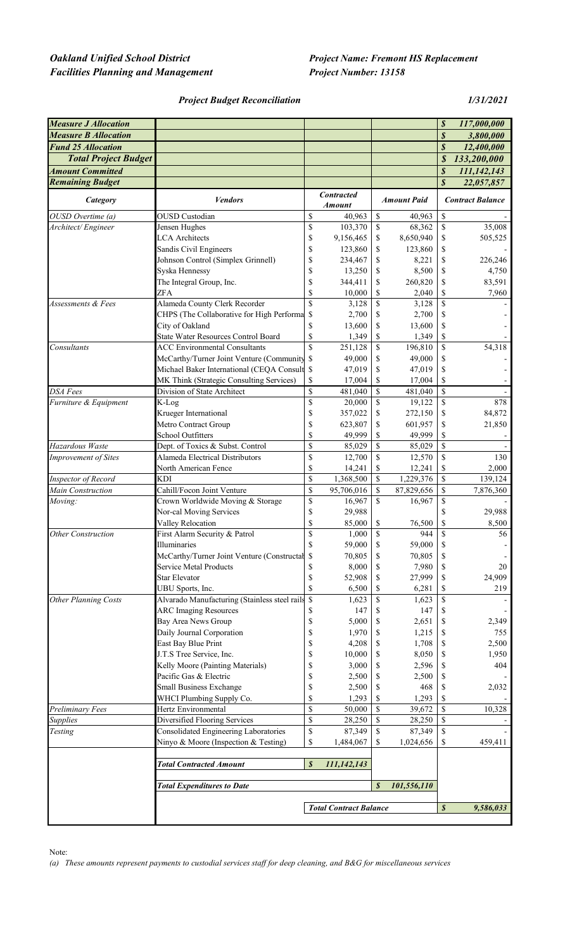# $Oakland$  Unified School District  $Facilities$  **Planning and Management**

| <b>Project Name: Fremont HS Replacement</b> |
|---------------------------------------------|
| <b>Project Number: 13158</b>                |

*Project Budget Reconciliation 1/31/2021*

| <b>Measure J Allocation</b> |                                                                                                        |                               |                                    |               |                    | \$                         | 117,000,000             |
|-----------------------------|--------------------------------------------------------------------------------------------------------|-------------------------------|------------------------------------|---------------|--------------------|----------------------------|-------------------------|
| <b>Measure B Allocation</b> |                                                                                                        |                               |                                    |               |                    | $\boldsymbol{\mathcal{S}}$ | 3,800,000               |
| <b>Fund 25 Allocation</b>   |                                                                                                        |                               |                                    |               |                    | $\boldsymbol{s}$           | 12,400,000              |
| <b>Total Project Budget</b> |                                                                                                        |                               |                                    |               |                    | \$                         | 133,200,000             |
| <b>Amount Committed</b>     |                                                                                                        |                               |                                    |               |                    | \$                         | 111,142,143             |
| <b>Remaining Budget</b>     |                                                                                                        |                               |                                    |               |                    | $\boldsymbol{\mathcal{S}}$ | 22,057,857              |
| Category                    | <b>Vendors</b>                                                                                         |                               | <b>Contracted</b><br><b>Amount</b> |               | <b>Amount Paid</b> |                            | <b>Contract Balance</b> |
| OUSD Overtime (a)           | <b>OUSD</b> Custodian                                                                                  | \$                            | 40,963                             | \$            | 40,963             | \$                         |                         |
| Architect/Engineer          | Jensen Hughes                                                                                          | \$                            | 103,370                            | \$            | 68,362             | \$                         | 35,008                  |
|                             | <b>LCA</b> Architects                                                                                  | \$                            | 9,156,465                          | \$            | 8,650,940          | \$                         | 505,525                 |
|                             | Sandis Civil Engineers                                                                                 | \$                            | 123,860                            | \$            | 123,860            | \$                         |                         |
|                             | Johnson Control (Simplex Grinnell)                                                                     | \$                            | 234,467                            | \$            | 8,221              | \$                         | 226,246                 |
|                             | Syska Hennessy                                                                                         | \$                            | 13,250                             | \$            | 8,500              | \$                         | 4,750                   |
|                             | The Integral Group, Inc.                                                                               | \$                            | 344,411                            | \$            | 260,820            | \$                         | 83,591                  |
|                             | ZFA                                                                                                    | \$                            | 10,000                             | \$            | 2,040              | \$                         | 7,960                   |
| Assessments & Fees          | Alameda County Clerk Recorder                                                                          | \$                            | 3,128                              | \$            | 3,128              | \$                         |                         |
|                             | CHPS (The Collaborative for High Performa                                                              | <sup>\$</sup>                 | 2,700                              | \$            | 2,700              | \$                         |                         |
|                             | City of Oakland                                                                                        | \$                            | 13,600                             | S             | 13,600             | \$                         |                         |
|                             | <b>State Water Resources Control Board</b>                                                             | \$                            | 1,349                              | \$            | 1,349              | \$                         |                         |
| Consultants                 | <b>ACC Environmental Consultants</b>                                                                   | \$                            | 251,128                            | <sup>\$</sup> | 196,810            | <sup>\$</sup>              | 54,318                  |
|                             | McCarthy/Turner Joint Venture (Community \$                                                            |                               | 49,000                             | \$            | 49,000             | \$                         |                         |
|                             | Michael Baker International (CEQA Consult \$                                                           |                               | 47,019                             | \$            | 47,019             | \$                         |                         |
|                             | MK Think (Strategic Consulting Services)                                                               | \$                            | 17,004                             | S             | 17,004             | \$                         |                         |
| <b>DSA Fees</b>             | Division of State Architect                                                                            | \$                            | 481,040                            | \$            | 481,040            | \$                         |                         |
| Furniture & Equipment       | K-Log                                                                                                  | \$                            | 20,000                             | \$            | 19,122             | \$                         | 878                     |
|                             | Krueger International                                                                                  | \$                            | 357,022                            | \$            | 272,150            | \$                         | 84,872                  |
|                             | Metro Contract Group                                                                                   | \$                            | 623,807                            | \$            | 601,957            | \$                         | 21,850                  |
|                             | School Outfitters                                                                                      | \$                            | 49,999                             | \$            | 49,999             | \$                         |                         |
| Hazardous Waste             | Dept. of Toxics & Subst. Control                                                                       | \$                            | 85,029                             | \$            | 85,029             | $\mathbb{S}$               |                         |
| <b>Improvement of Sites</b> | <b>Alameda Electrical Distributors</b>                                                                 | \$                            | 12,700                             | \$            | 12,570             | \$                         | 130                     |
|                             | North American Fence                                                                                   | \$                            | 14,241                             | \$            | 12,241             | \$                         | 2,000                   |
| Inspector of Record         | <b>KDI</b>                                                                                             | \$                            | 1,368,500                          | \$            | 1,229,376          | $\mathsf{\$}$              | 139,124                 |
| Main Construction           | Cahill/Focon Joint Venture                                                                             | \$                            | 95,706,016                         | $\mathbb S$   | 87,829,656         | $\mathbb S$                | 7,876,360               |
| Moving:                     | Crown Worldwide Moving & Storage                                                                       | \$                            | 16,967                             | $\mathbf S$   | 16,967             | \$                         |                         |
|                             | Nor-cal Moving Services                                                                                | \$                            | 29,988                             |               |                    | \$                         | 29,988                  |
|                             | Valley Relocation                                                                                      | \$<br>\$                      | 85,000                             | \$<br>\$      | 76,500<br>944      | \$<br>$\mathcal{S}$        | 8,500<br>56             |
| <b>Other Construction</b>   | First Alarm Security & Patrol<br>Illuminaries                                                          | \$                            | 1,000<br>59,000                    | \$            | 59,000             | \$                         |                         |
|                             | McCarthy/Turner Joint Venture (Constructal \$                                                          |                               | 70,805                             | \$            | 70,805             |                            |                         |
|                             | Service Metal Products                                                                                 | \$                            | 8,000                              | \$            | 7,980              | \$                         | 20                      |
|                             | Star Elevator                                                                                          | \$                            | 52,908                             | \$            | 27,999             | \$                         | 24,909                  |
|                             | UBU Sports, Inc.                                                                                       | \$                            | 6,500                              | \$            | 6,281              | \$                         | 219                     |
| <b>Other Planning Costs</b> | Alvarado Manufacturing (Stainless steel rails \$                                                       |                               | 1,623                              | \$            | 1,623              | \$                         |                         |
|                             | <b>ARC Imaging Resources</b>                                                                           | S                             | 147                                | \$            | 147                | \$                         |                         |
|                             | Bay Area News Group                                                                                    | \$                            | 5,000                              | \$            | 2,651              | \$                         | 2,349                   |
|                             | Daily Journal Corporation                                                                              | \$                            | 1,970                              | \$            | 1,215              | \$                         | 755                     |
|                             | East Bay Blue Print                                                                                    | \$                            | 4,208                              | \$            | 1,708              | \$                         | 2,500                   |
|                             | J.T.S Tree Service, Inc.                                                                               | \$                            | 10,000                             | \$            | 8,050              | \$                         | 1,950                   |
|                             | Kelly Moore (Painting Materials)                                                                       | \$                            | 3,000                              | \$            | 2,596              | \$                         | 404                     |
|                             | Pacific Gas & Electric                                                                                 | \$                            | 2,500                              | \$            | 2,500              | \$                         |                         |
|                             | <b>Small Business Exchange</b>                                                                         | \$                            | 2,500                              | \$            | 468                | \$                         | 2,032                   |
|                             | WHCI Plumbing Supply Co.                                                                               | \$                            | 1,293                              | \$            | 1,293              | \$                         |                         |
| Preliminary Fees            | Hertz Environmental                                                                                    | \$                            | 50,000                             | \$            | 39,672             | \$                         | 10,328                  |
| <b>Supplies</b>             | Diversified Flooring Services                                                                          | \$                            | 28,250                             | \$            | 28,250             | $\mathbb{S}$               |                         |
| Testing                     | Consolidated Engineering Laboratories                                                                  | \$                            | 87,349                             | \$            | 87,349             | <sup>\$</sup>              |                         |
|                             | Ninyo & Moore (Inspection & Testing)                                                                   | \$                            | 1,484,067                          | \$            | 1,024,656          | \$                         | 459,411                 |
|                             | $\boldsymbol{s}$<br><b>Total Contracted Amount</b><br>111,142,143<br><b>Total Expenditures to Date</b> |                               |                                    |               |                    |                            |                         |
|                             |                                                                                                        |                               |                                    |               | 101,556,110        |                            |                         |
|                             |                                                                                                        | <b>Total Contract Balance</b> |                                    |               | \$                 | 9,586,033                  |                         |
|                             |                                                                                                        |                               |                                    |               |                    |                            |                         |

Note:

*(a) These amounts represent payments to custodial services staff for deep cleaning, and B&G for miscellaneous services*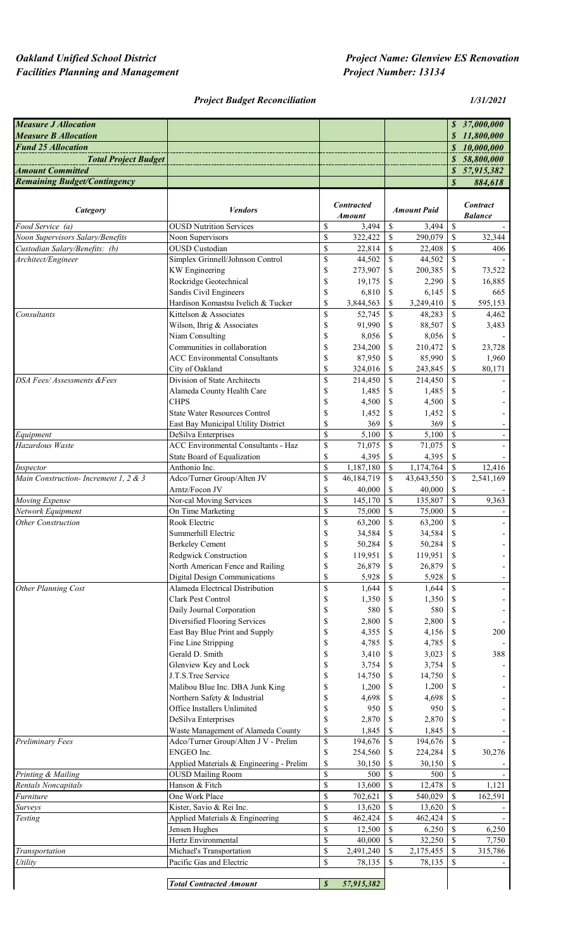# *Facilities Planning and Management Project Number: 13134*

# *Project Budget Reconciliation 1/31/2021*

| <b>Measure J Allocation</b>          |                                                              |                                                                       |                   |                             |                    |                          | \$37,000,000    |
|--------------------------------------|--------------------------------------------------------------|-----------------------------------------------------------------------|-------------------|-----------------------------|--------------------|--------------------------|-----------------|
| <b>Measure B Allocation</b>          |                                                              |                                                                       |                   |                             |                    |                          | \$11,800,000    |
| <b>Fund 25 Allocation</b>            |                                                              |                                                                       |                   |                             |                    |                          | \$10,000,000    |
| <b>Total Project Budget</b>          |                                                              |                                                                       |                   |                             |                    |                          | \$58,800,000    |
| <b>Amount Committed</b>              |                                                              |                                                                       |                   |                             |                    |                          | \$57,915,382    |
| <b>Remaining Budget/Contingency</b>  |                                                              |                                                                       |                   |                             |                    | \$                       | 884,618         |
|                                      |                                                              |                                                                       | <b>Contracted</b> |                             |                    |                          | <b>Contract</b> |
| Category                             | <b>Vendors</b>                                               |                                                                       | Amount            |                             | <b>Amount Paid</b> |                          | <b>Balance</b>  |
| Food Service (a)                     | <b>OUSD Nutrition Services</b>                               | \$                                                                    | 3,494             | \$                          | 3,494              | \$                       |                 |
| Noon Supervisors Salary/Benefits     | Noon Supervisors                                             | \$                                                                    | 322,422           | $\mathbb{S}$                | 290,079            | $\$$                     | 32,344          |
| Custodian Salary/Benefits: (b)       | <b>OUSD</b> Custodian                                        | \$                                                                    | 22,814            | \$                          | 22,408             | \$                       | 406             |
| Architect/Engineer                   | Simplex Grinnell/Johnson Control                             | \$                                                                    | 44,502            | $\mathcal{S}$               | 44,502             | \$                       |                 |
|                                      | <b>KW</b> Engineering                                        | \$                                                                    | 273,907           | \$                          | 200,385            | \$                       | 73,522          |
|                                      | Rockridge Geotechnical                                       | \$                                                                    | 19,175            | \$                          | 2,290              | \$                       | 16,885          |
|                                      | Sandis Civil Engineers                                       | \$                                                                    | 6,810             | S                           | 6,145              | \$                       | 665             |
|                                      | Hardison Komastsu Ivelich & Tucker<br>Kittelson & Associates | \$                                                                    | 3,844,563         | \$                          | 3,249,410          | \$                       | 595,153         |
| Consultants                          |                                                              | \$                                                                    | 52,745            | <sup>\$</sup>               | 48,283             | \$                       | 4,462           |
|                                      | Wilson, Ihrig & Associates<br>Niam Consulting                | \$<br>\$                                                              | 91,990<br>8,056   | \$<br>S                     | 88,507<br>8,056    | \$<br>\$                 | 3,483           |
|                                      | Communities in collaboration                                 | \$                                                                    | 234,200           | S                           | 210,472            | \$                       | 23,728          |
|                                      | <b>ACC Environmental Consultants</b>                         | \$                                                                    | 87,950            | S                           | 85,990             | \$                       | 1,960           |
|                                      | City of Oakland                                              | \$                                                                    | 324,016           | \$                          | 243,845            | \$                       | 80,171          |
| DSA Fees/Assessments &Fees           | Division of State Architects                                 | \$                                                                    | 214,450           | $\mathbb{S}$                | 214,450            | \$                       |                 |
|                                      | Alameda County Health Care                                   | \$                                                                    | 1,485             | S                           | 1,485              | \$                       |                 |
|                                      | <b>CHPS</b>                                                  | \$                                                                    | 4,500             | S                           | 4,500              | \$                       |                 |
|                                      | <b>State Water Resources Control</b>                         | \$                                                                    | 1,452             | \$                          | 1,452              | \$                       |                 |
|                                      | East Bay Municipal Utility District                          | \$                                                                    | 369               | \$                          | 369                | \$                       |                 |
| Equipment                            | DeSilva Enterprises                                          | \$                                                                    | 5,100             | $\mathbb{S}$                | 5,100              | $\overline{\mathcal{S}}$ |                 |
| Hazardous Waste                      | <b>ACC Environmental Consultants - Haz</b>                   | \$                                                                    | 71,075            | \$                          | 71,075             | $\overline{\mathcal{S}}$ |                 |
|                                      | State Board of Equalization                                  | \$                                                                    | 4,395             | \$                          | 4,395              | \$                       |                 |
| Inspector                            | Anthonio Inc.                                                | \$                                                                    | 1,187,180         | $\mathbf S$                 | 1,174,764          | $\overline{\mathcal{S}}$ | 12,416          |
| Main Construction-Increment 1, 2 & 3 | Adco/Turner Group/Alten JV                                   | \$                                                                    | 46,184,719        | $\mathbf S$                 | 43,643,550         | \$                       | 2,541,169       |
|                                      | Arntz/Focon JV                                               | \$                                                                    | 40,000            | \$                          | 40,000             | \$                       |                 |
| Moving Expense                       | Nor-cal Moving Services                                      | \$                                                                    | 145,170           | $\mathbb{S}$                | 135,807            | \$                       | 9,363           |
| Network Equipment                    | On Time Marketing                                            | \$                                                                    | 75,000            | $\mathbb{S}$                | 75,000             | \$                       |                 |
| <b>Other Construction</b>            | Rook Electric                                                | \$                                                                    | 63,200            | \$                          | 63,200             | \$                       |                 |
|                                      | Summerhill Electric                                          | \$                                                                    | 34,584            | \$                          | 34,584             | \$                       |                 |
|                                      | <b>Berkeley Cement</b>                                       | \$                                                                    | 50,284            | $\mathbb{S}$                | 50,284             | \$                       |                 |
|                                      | Redgwick Construction<br>North American Fence and Railing    | \$<br>\$                                                              | 119,951<br>26,879 | $\sqrt{S}$<br>-S            | 119,951<br>26,879  | \$<br>\$                 |                 |
|                                      | Digital Design Communications                                | \$                                                                    | 5,928             | S                           | 5,928              | \$                       |                 |
| Other Planning Cost                  | Alameda Electrical Distribution                              | $\mathbb{S}% _{t}\left( t\right) \equiv\mathbb{S}_{t}\left( t\right)$ | 1,644             | $\mathbb{S}$                | 1,644              | $\mathbb{S}$             |                 |
|                                      | Clark Pest Control                                           | $\mathbb S$                                                           | 1,350             | -S                          | 1,350              | \$                       |                 |
|                                      | Daily Journal Corporation                                    | $\mathbb S$                                                           | 580               | S                           | 580                | \$                       |                 |
|                                      | Diversified Flooring Services                                | \$                                                                    | 2,800             | S                           | 2,800              | \$                       |                 |
|                                      | East Bay Blue Print and Supply                               | \$                                                                    | 4,355             | <sup>\$</sup>               | 4,156              | \$                       | 200             |
|                                      | Fine Line Stripping                                          | \$                                                                    | 4,785             | \$                          | 4,785              | \$                       |                 |
|                                      | Gerald D. Smith                                              | \$                                                                    | 3,410             | S                           | 3,023              | \$                       | 388             |
|                                      | Glenview Key and Lock                                        | \$                                                                    | 3,754             | S                           | 3,754              | \$                       |                 |
|                                      | J.T.S.Tree Service                                           | \$                                                                    | 14,750            | <sup>S</sup>                | 14,750             | \$                       |                 |
|                                      | Malibou Blue Inc. DBA Junk King                              | \$                                                                    | 1,200             | <sup>\$</sup>               | 1,200              | \$                       |                 |
|                                      | Northern Safety & Industrial                                 | \$                                                                    | 4,698             | S                           | 4,698              | \$                       |                 |
|                                      | Office Installers Unlimited                                  | \$                                                                    | 950               | \$                          | 950                | \$                       |                 |
|                                      | DeSilva Enterprises                                          | \$                                                                    | 2,870             | \$                          | 2,870              | \$                       |                 |
|                                      | Waste Management of Alameda County                           | \$                                                                    | 1,845             | \$                          | 1,845              | \$                       |                 |
| Preliminary Fees                     | Adco/Turner Group/Alten J V - Prelim                         | $\mathbb{S}% _{t}\left( t\right) \equiv\mathbb{S}_{t}\left( t\right)$ | 194,676           | \$                          | 194,676            | \$                       |                 |
|                                      | ENGEO Inc.                                                   | \$                                                                    | 254,560           | -S                          | 224,284            | \$                       | 30,276          |
|                                      | Applied Materials & Engineering - Prelim                     | \$                                                                    | 30,150            | S                           | 30,150             | \$                       |                 |
| Printing & Mailing                   | <b>OUSD Mailing Room</b>                                     | \$                                                                    | 500               | \$                          | 500                | \$                       |                 |
| Rentals Noncapitals                  | Hanson & Fitch                                               | \$                                                                    | 13,600            | $\mathbb{S}$<br>$\mathbf S$ | 12,478             | $\mathbb{S}$             | 1,121           |
| Furniture                            | One Work Place<br>Kister, Savio & Rei Inc.                   | \$<br>\$                                                              | 702,621           | $\mathbf S$                 | 540,029            | $\mathbb{S}$<br>\$       | 162,591         |
| Surveys                              | Applied Materials & Engineering                              | \$                                                                    | 13,620<br>462,424 | \$                          | 13,620<br>462,424  | \$                       |                 |
| Testing                              | Jensen Hughes                                                | \$                                                                    | 12,500            | \$                          | 6,250              | $\mathbb{S}$             | 6,250           |
|                                      | Hertz Environmental                                          | \$                                                                    | 40,000            | $\mathbf S$                 | 32,250             | $\mathbb{S}$             | 7,750           |
| Transportation                       | Michael's Transportation                                     | \$                                                                    | 2,491,240         | <sup>\$</sup>               | 2,175,455          | \$                       | 315,786         |
| <b>Utility</b>                       | Pacific Gas and Electric                                     | \$                                                                    | 78,135            | \$                          | 78,135             | \$                       |                 |
|                                      |                                                              |                                                                       |                   |                             |                    |                          |                 |
|                                      | <b>Total Contracted Amount</b>                               | $\pmb{\mathcal{S}}$                                                   | 57,915,382        |                             |                    |                          |                 |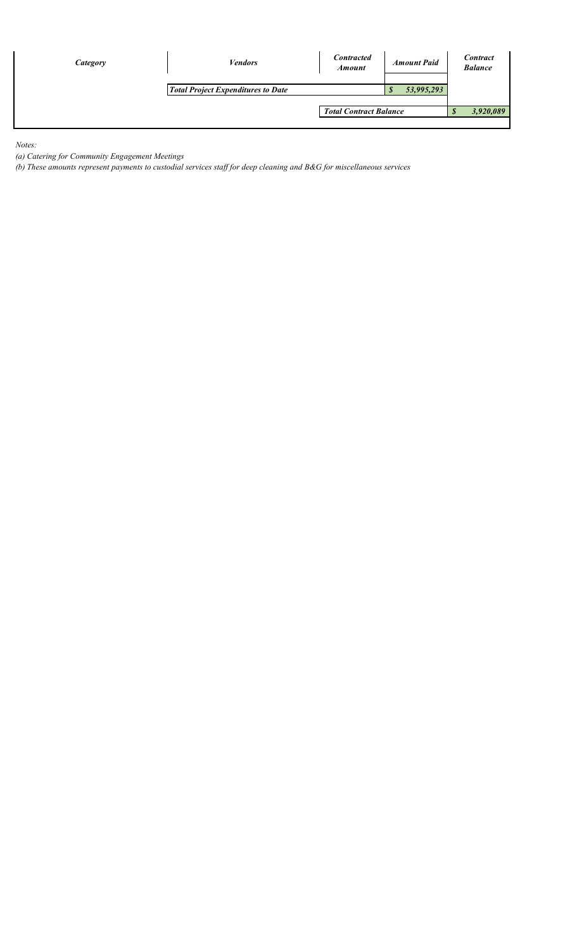| Category | <b>Vendors</b><br><b>Total Project Expenditures to Date</b> | <b>Contracted</b><br><b>Amount Paid</b><br><b>Amount</b><br>53,995,293<br>- 77 |  |  | <b>Contract</b><br><b>Balance</b> |
|----------|-------------------------------------------------------------|--------------------------------------------------------------------------------|--|--|-----------------------------------|
|          |                                                             | <b>Total Contract Balance</b>                                                  |  |  | 3,920,089                         |
|          |                                                             |                                                                                |  |  |                                   |

*Notes:*

*(a) Catering for Community Engagement Meetings*

*(b) These amounts represent payments to custodial services staff for deep cleaning and B&G for miscellaneous services*